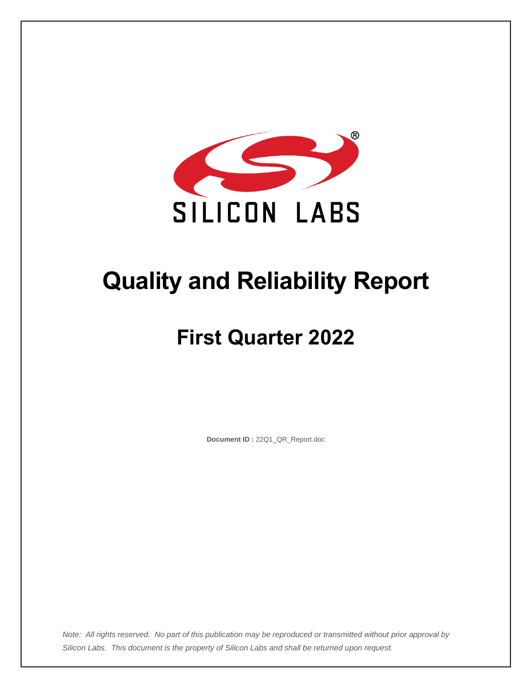

# **Quality and Reliability Report**

# **First Quarter 2022**

**Document ID :** 22Q1\_QR\_Report.doc

*Note: All rights reserved. No part of this publication may be reproduced or transmitted without prior approval by Silicon Labs. This document is the property of Silicon Labs and shall be returned upon request.*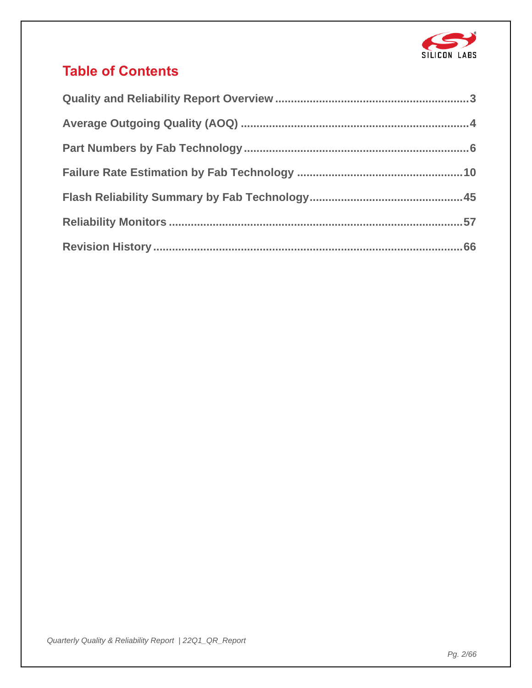

# **Table of Contents**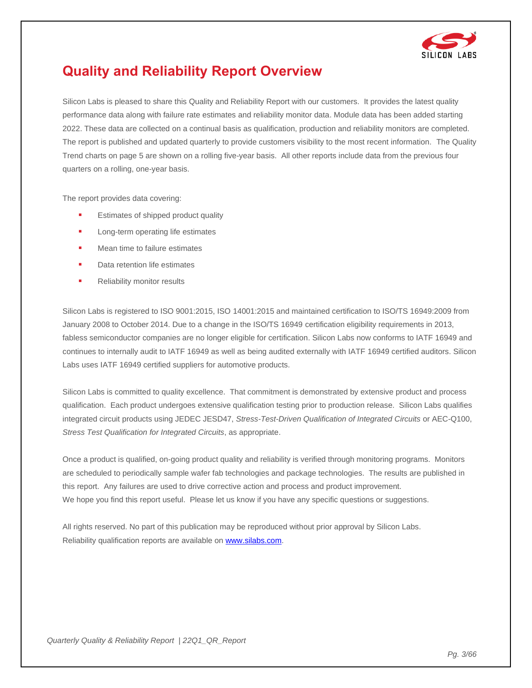

# <span id="page-2-0"></span>**Quality and Reliability Report Overview**

Silicon Labs is pleased to share this Quality and Reliability Report with our customers. It provides the latest quality performance data along with failure rate estimates and reliability monitor data. Module data has been added starting 2022. These data are collected on a continual basis as qualification, production and reliability monitors are completed. The report is published and updated quarterly to provide customers visibility to the most recent information. The Quality Trend charts on page 5 are shown on a rolling five-year basis. All other reports include data from the previous four quarters on a rolling, one-year basis.

The report provides data covering:

- Estimates of shipped product quality
- Long-term operating life estimates
- Mean time to failure estimates
- Data retention life estimates
- **■** Reliability monitor results

Silicon Labs is registered to ISO 9001:2015, ISO 14001:2015 and maintained certification to ISO/TS 16949:2009 from January 2008 to October 2014. Due to a change in the ISO/TS 16949 certification eligibility requirements in 2013, fabless semiconductor companies are no longer eligible for certification. Silicon Labs now conforms to IATF 16949 and continues to internally audit to IATF 16949 as well as being audited externally with IATF 16949 certified auditors. Silicon Labs uses IATF 16949 certified suppliers for automotive products.

Silicon Labs is committed to quality excellence. That commitment is demonstrated by extensive product and process qualification. Each product undergoes extensive qualification testing prior to production release. Silicon Labs qualifies integrated circuit products using JEDEC JESD47, *Stress-Test-Driven Qualification of Integrated Circuits* or AEC-Q100, *Stress Test Qualification for Integrated Circuits*, as appropriate.

Once a product is qualified, on-going product quality and reliability is verified through monitoring programs. Monitors are scheduled to periodically sample wafer fab technologies and package technologies. The results are published in this report. Any failures are used to drive corrective action and process and product improvement. We hope you find this report useful. Please let us know if you have any specific questions or suggestions.

All rights reserved. No part of this publication may be reproduced without prior approval by Silicon Labs. Reliability qualification reports are available o[n www.silabs.com.](https://www.silabs.com/)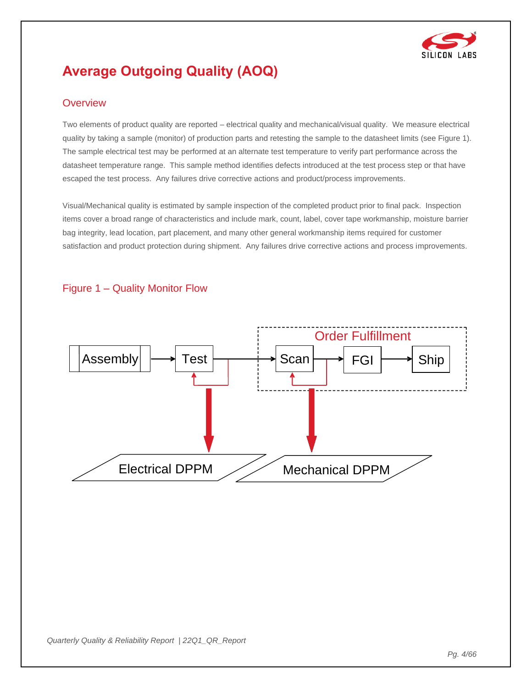

# <span id="page-3-0"></span>**Average Outgoing Quality (AOQ)**

#### **Overview**

Two elements of product quality are reported – electrical quality and mechanical/visual quality. We measure electrical quality by taking a sample (monitor) of production parts and retesting the sample to the datasheet limits (see Figure 1). The sample electrical test may be performed at an alternate test temperature to verify part performance across the datasheet temperature range. This sample method identifies defects introduced at the test process step or that have escaped the test process. Any failures drive corrective actions and product/process improvements.

Visual/Mechanical quality is estimated by sample inspection of the completed product prior to final pack. Inspection items cover a broad range of characteristics and include mark, count, label, cover tape workmanship, moisture barrier bag integrity, lead location, part placement, and many other general workmanship items required for customer satisfaction and product protection during shipment. Any failures drive corrective actions and process improvements.



#### Figure 1 – Quality Monitor Flow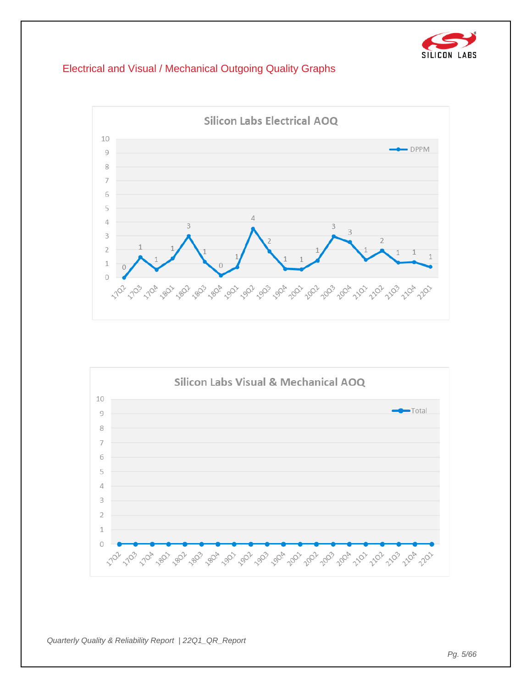

## Electrical and Visual / Mechanical Outgoing Quality Graphs



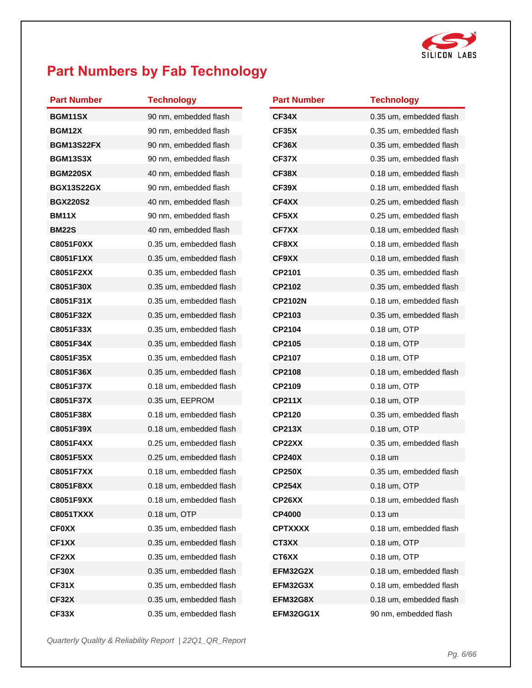

# <span id="page-5-0"></span>**Part Numbers by Fab Technology**

| <b>Part Number</b> | <b>Technology</b>              | <b>Part Number</b> | <b>Technology</b>       |
|--------------------|--------------------------------|--------------------|-------------------------|
| BGM11SX            | 90 nm, embedded flash          | CF34X              | 0.35 um, embedded flash |
| <b>BGM12X</b>      | 90 nm, embedded flash<br>CF35X |                    | 0.35 um, embedded flash |
| <b>BGM13S22FX</b>  | 90 nm, embedded flash          | CF36X              | 0.35 um, embedded flash |
| <b>BGM13S3X</b>    | 90 nm, embedded flash          | CF37X              | 0.35 um, embedded flash |
| <b>BGM220SX</b>    | 40 nm, embedded flash          | <b>CF38X</b>       | 0.18 um, embedded flash |
| <b>BGX13S22GX</b>  | 90 nm, embedded flash          | CF39X              | 0.18 um, embedded flash |
| <b>BGX220S2</b>    | 40 nm, embedded flash          | CF4XX              | 0.25 um, embedded flash |
| <b>BM11X</b>       | 90 nm, embedded flash          | CF5XX              | 0.25 um, embedded flash |
| <b>BM22S</b>       | 40 nm, embedded flash          | <b>CF7XX</b>       | 0.18 um, embedded flash |
| <b>C8051F0XX</b>   | 0.35 um, embedded flash        | CF8XX              | 0.18 um, embedded flash |
| C8051F1XX          | 0.35 um, embedded flash        | CF9XX              | 0.18 um, embedded flash |
| C8051F2XX          | 0.35 um, embedded flash        | CP2101             | 0.35 um, embedded flash |
| C8051F30X          | 0.35 um, embedded flash        | CP2102             | 0.35 um, embedded flash |
| C8051F31X          | 0.35 um, embedded flash        | <b>CP2102N</b>     | 0.18 um, embedded flash |
| C8051F32X          | 0.35 um. embedded flash        | CP2103             | 0.35 um, embedded flash |
| C8051F33X          | 0.35 um, embedded flash        | CP2104             | 0.18 um, OTP            |
| C8051F34X          | 0.35 um, embedded flash        | CP2105             | 0.18 um, OTP            |
| C8051F35X          | 0.35 um, embedded flash        | CP2107             | 0.18 um, OTP            |
| C8051F36X          | 0.35 um, embedded flash        | CP2108             | 0.18 um, embedded flash |
| C8051F37X          | 0.18 um, embedded flash        | CP2109             | 0.18 um, OTP            |
| C8051F37X          | 0.35 um, EEPROM                | <b>CP211X</b>      | 0.18 um, OTP            |
| C8051F38X          | 0.18 um, embedded flash        | CP2120             | 0.35 um, embedded flash |
| C8051F39X          | 0.18 um, embedded flash        | <b>CP213X</b>      | 0.18 um, OTP            |
| C8051F4XX          | 0.25 um, embedded flash        | CP22XX             | 0.35 um, embedded flash |
| C8051F5XX          | 0.25 um, embedded flash        | <b>CP240X</b>      | $0.18$ um               |
| <b>C8051F7XX</b>   | 0.18 um, embedded flash        | <b>CP250X</b>      | 0.35 um, embedded flash |
| <b>C8051F8XX</b>   | 0.18 um, embedded flash        | <b>CP254X</b>      | 0.18 um, OTP            |
| C8051F9XX          | 0.18 um, embedded flash        | CP26XX             | 0.18 um, embedded flash |
| <b>C8051TXXX</b>   | 0.18 um, OTP                   | <b>CP4000</b>      | $0.13$ um               |
| <b>CF0XX</b>       | 0.35 um, embedded flash        | <b>CPTXXXX</b>     | 0.18 um, embedded flash |
| CF1XX              | 0.35 um, embedded flash        | CT3XX              | 0.18 um, OTP            |
| CF2XX              | 0.35 um, embedded flash        | CT6XX              | 0.18 um, OTP            |
| <b>CF30X</b>       | 0.35 um, embedded flash        | EFM32G2X           | 0.18 um, embedded flash |
| <b>CF31X</b>       | 0.35 um, embedded flash        | EFM32G3X           | 0.18 um, embedded flash |
| CF32X              | 0.35 um, embedded flash        | EFM32G8X           | 0.18 um, embedded flash |
| CF33X              | 0.35 um, embedded flash        | EFM32GG1X          | 90 nm, embedded flash   |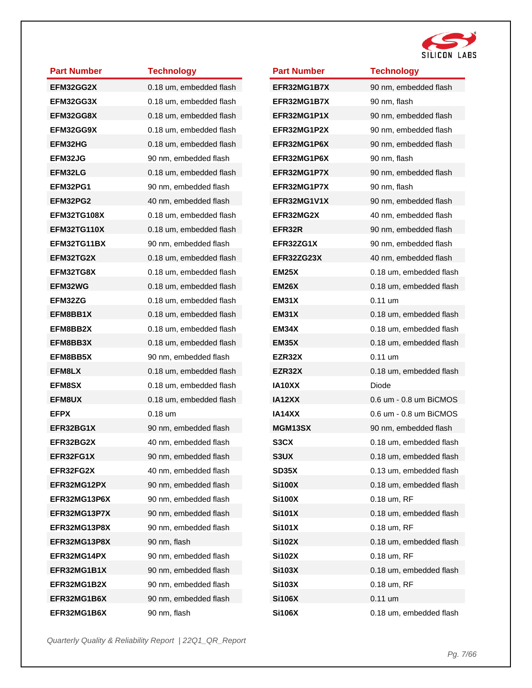

| <b>Part Number</b> | <b>Technology</b>       |
|--------------------|-------------------------|
| EFM32GG2X          | 0.18 um, embedded flash |
| EFM32GG3X          | 0.18 um, embedded flash |
| EFM32GG8X          | 0.18 um, embedded flash |
| EFM32GG9X          | 0.18 um, embedded flash |
| <b>EFM32HG</b>     | 0.18 um, embedded flash |
| <b>EFM32JG</b>     | 90 nm, embedded flash   |
| EFM32LG            | 0.18 um, embedded flash |
| EFM32PG1           | 90 nm, embedded flash   |
| EFM32PG2           | 40 nm, embedded flash   |
| <b>EFM32TG108X</b> | 0.18 um, embedded flash |
| <b>EFM32TG110X</b> | 0.18 um, embedded flash |
| EFM32TG11BX        | 90 nm, embedded flash   |
| EFM32TG2X          | 0.18 um, embedded flash |
| EFM32TG8X          | 0.18 um, embedded flash |
| EFM32WG            | 0.18 um, embedded flash |
| EFM32ZG            | 0.18 um, embedded flash |
| EFM8BB1X           | 0.18 um, embedded flash |
| EFM8BB2X           | 0.18 um, embedded flash |
| EFM8BB3X           | 0.18 um, embedded flash |
| EFM8BB5X           | 90 nm, embedded flash   |
| EFM8LX             | 0.18 um, embedded flash |
| <b>EFM8SX</b>      | 0.18 um, embedded flash |
| EFM8UX             | 0.18 um, embedded flash |
| <b>EFPX</b>        | $0.18$ um               |
| EFR32BG1X          | 90 nm, embedded flash   |
| <b>EFR32BG2X</b>   | 40 nm, embedded flash   |
| <b>EFR32FG1X</b>   | 90 nm, embedded flash   |
| <b>EFR32FG2X</b>   | 40 nm, embedded flash   |
| <b>EFR32MG12PX</b> | 90 nm, embedded flash   |
| EFR32MG13P6X       | 90 nm, embedded flash   |
| EFR32MG13P7X       | 90 nm. embedded flash   |
| EFR32MG13P8X       | 90 nm, embedded flash   |
| EFR32MG13P8X       | 90 nm, flash            |
| EFR32MG14PX        | 90 nm, embedded flash   |
| EFR32MG1B1X        | 90 nm, embedded flash   |
| EFR32MG1B2X        | 90 nm, embedded flash   |
| EFR32MG1B6X        | 90 nm, embedded flash   |
| EFR32MG1B6X        | 90 nm, flash            |

| <b>Part Number</b> | <b>Technology</b>       |
|--------------------|-------------------------|
| EFR32MG1B7X        | 90 nm, embedded flash   |
| EFR32MG1B7X        | 90 nm, flash            |
| EFR32MG1P1X        | 90 nm, embedded flash   |
| EFR32MG1P2X        | 90 nm, embedded flash   |
| EFR32MG1P6X        | 90 nm, embedded flash   |
| EFR32MG1P6X        | 90 nm, flash            |
| EFR32MG1P7X        | 90 nm, embedded flash   |
| EFR32MG1P7X        | 90 nm, flash            |
| EFR32MG1V1X        | 90 nm, embedded flash   |
| <b>EFR32MG2X</b>   | 40 nm, embedded flash   |
| EFR32R             | 90 nm, embedded flash   |
| EFR32ZG1X          | 90 nm, embedded flash   |
| EFR32ZG23X         | 40 nm, embedded flash   |
| <b>EM25X</b>       | 0.18 um, embedded flash |
| EM26X              | 0.18 um, embedded flash |
| <b>EM31X</b>       | 0.11 um                 |
| <b>EM31X</b>       | 0.18 um, embedded flash |
| EM34X              | 0.18 um, embedded flash |
| <b>EM35X</b>       | 0.18 um, embedded flash |
| EZR32X             | 0.11 um                 |
| EZR32X             | 0.18 um, embedded flash |
| IA10XX             | Diode                   |
| <b>IA12XX</b>      | 0.6 um - 0.8 um BiCMOS  |
| <b>IA14XX</b>      | 0.6 um - 0.8 um BiCMOS  |
| <b>MGM13SX</b>     | 90 nm, embedded flash   |
| S3CX               | 0.18 um, embedded flash |
| S3UX               | 0.18 um, embedded flash |
| SD35X              | 0.13 um, embedded flash |
| <b>Si100X</b>      | 0.18 um, embedded flash |
| <b>Si100X</b>      | 0.18 um, RF             |
| <b>Si101X</b>      | 0.18 um, embedded flash |
| <b>Si101X</b>      | 0.18 um, RF             |
| <b>Si102X</b>      | 0.18 um, embedded flash |
| <b>Si102X</b>      | 0.18 um, RF             |
| <b>Si103X</b>      | 0.18 um, embedded flash |
| <b>Si103X</b>      | 0.18 um, RF             |
| <b>Si106X</b>      | $0.11$ um               |
| <b>Si106X</b>      | 0.18 um, embedded flash |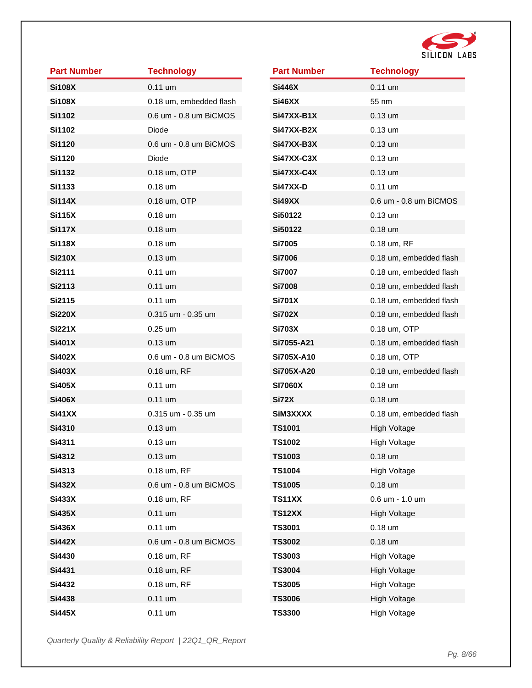

| <b>Part Number</b> | <b>Technology</b>       |
|--------------------|-------------------------|
| <b>Si108X</b>      | $0.11$ um               |
| <b>Si108X</b>      | 0.18 um, embedded flash |
| <b>Si1102</b>      | 0.6 um - 0.8 um BiCMOS  |
| <b>Si1102</b>      | Diode                   |
| <b>Si1120</b>      | 0.6 um - 0.8 um BiCMOS  |
| <b>Si1120</b>      | Diode                   |
| <b>Si1132</b>      | 0.18 um, OTP            |
| <b>Si1133</b>      | $0.18$ um               |
| <b>Si114X</b>      | 0.18 um, OTP            |
| <b>Si115X</b>      | $0.18$ um               |
| <b>Si117X</b>      | $0.18$ um               |
| <b>Si118X</b>      | $0.18$ um               |
| <b>Si210X</b>      | $0.13 \text{ um}$       |
| <b>Si2111</b>      | $0.11$ um               |
| Si2113             | $0.11$ um               |
| <b>Si2115</b>      | $0.11 \text{ um}$       |
| <b>Si220X</b>      | 0.315 um - 0.35 um      |
| <b>Si221X</b>      | $0.25 \text{ um}$       |
| <b>Si401X</b>      | $0.13$ um               |
| <b>Si402X</b>      | 0.6 um - 0.8 um BiCMOS  |
| <b>Si403X</b>      | 0.18 um, RF             |
| <b>Si405X</b>      | $0.11$ um               |
| <b>Si406X</b>      | $0.11$ um               |
| <b>Si41XX</b>      | 0.315 um - 0.35 um      |
| Si4310             | $0.13$ um               |
| Si4311             | $0.13$ um               |
| Si4312             | $0.13$ um               |
| Si4313             | 0.18 um, RF             |
| <b>Si432X</b>      | 0.6 um - 0.8 um BiCMOS  |
| <b>Si433X</b>      | 0.18 um, RF             |
| <b>Si435X</b>      | $0.11$ um               |
| <b>Si436X</b>      | $0.11$ um               |
| <b>Si442X</b>      | 0.6 um - 0.8 um BiCMOS  |
| Si4430             | 0.18 um, RF             |
| Si4431             | 0.18 um, RF             |
| Si4432             | 0.18 um, RF             |
| Si4438             | $0.11$ um               |
| <b>Si445X</b>      | $0.11$ um               |

| <b>Part Number</b> | <b>Technology</b>       |
|--------------------|-------------------------|
| <b>Si446X</b>      | $0.11$ um               |
| Si46XX             | 55 nm                   |
| Si47XX-B1X         | $0.13 \text{ um}$       |
| Si47XX-B2X         | 0.13 um                 |
| Si47XX-B3X         | 0.13 um                 |
| Si47XX-C3X         | $0.13 \text{ um}$       |
| Si47XX-C4X         | 0.13 um                 |
| Si47XX-D           | 0.11 um                 |
| Si49XX             | 0.6 um - 0.8 um BiCMOS  |
| Si50122            | $0.13 \text{ um}$       |
| Si50122            | $0.18$ um               |
| Si7005             | 0.18 um, RF             |
| Si7006             | 0.18 um, embedded flash |
| <b>Si7007</b>      | 0.18 um, embedded flash |
| <b>Si7008</b>      | 0.18 um, embedded flash |
| <b>Si701X</b>      | 0.18 um, embedded flash |
| <b>Si702X</b>      | 0.18 um, embedded flash |
| <b>Si703X</b>      | 0.18 um, OTP            |
| Si7055-A21         | 0.18 um, embedded flash |
| Si705X-A10         | 0.18 um, OTP            |
| Si705X-A20         | 0.18 um, embedded flash |
| <b>SI7060X</b>     | 0.18 um                 |
| Si72X              | 0.18 um                 |
| SiM3XXXX           | 0.18 um, embedded flash |
| <b>TS1001</b>      | High Voltage            |
| <b>TS1002</b>      | High Voltage            |
| <b>TS1003</b>      | $0.18$ um               |
| <b>TS1004</b>      | <b>High Voltage</b>     |
| <b>TS1005</b>      | $0.18$ um               |
| <b>TS11XX</b>      | 0.6 um - 1.0 um         |
| <b>TS12XX</b>      | <b>High Voltage</b>     |
| <b>TS3001</b>      | $0.18$ um               |
| <b>TS3002</b>      | $0.18$ um               |
| <b>TS3003</b>      | <b>High Voltage</b>     |
| <b>TS3004</b>      | <b>High Voltage</b>     |
| <b>TS3005</b>      | <b>High Voltage</b>     |
| <b>TS3006</b>      | <b>High Voltage</b>     |
| <b>TS3300</b>      | High Voltage            |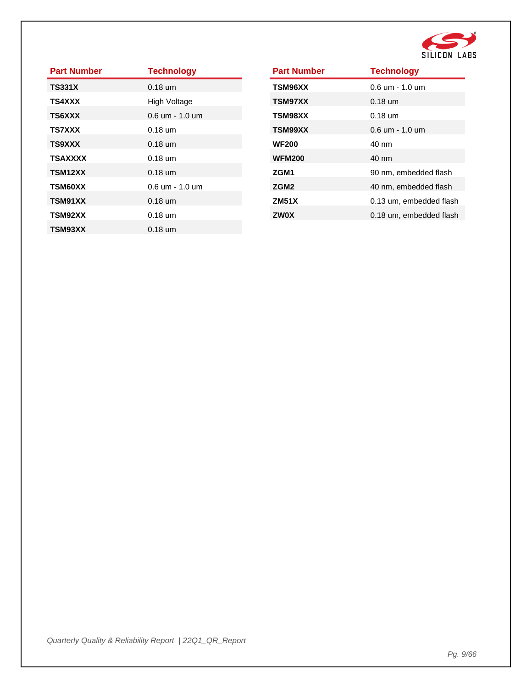

| <b>Part Number</b> | <b>Technology</b>                 |
|--------------------|-----------------------------------|
| <b>TS331X</b>      | $0.18$ um                         |
| <b>TS4XXX</b>      | High Voltage                      |
| <b>TS6XXX</b>      | $0.6 \text{ um} - 1.0 \text{ um}$ |
| <b>TS7XXX</b>      | $0.18$ um                         |
| <b>TS9XXX</b>      | $0.18$ um                         |
| <b>TSAXXXX</b>     | $0.18 \text{ um}$                 |
| TSM12XX            | $0.18 \text{ um}$                 |
| <b>TSM60XX</b>     | 0.6 um - 1.0 um                   |
| TSM91XX            | $0.18 \text{ um}$                 |
| TSM92XX            | $0.18$ um                         |
| TSM93XX            | $0.18 \text{ um}$                 |

| <b>Part Number</b> | <b>Technology</b>                  |
|--------------------|------------------------------------|
| TSM96XX            | $0.6 \, \text{um}$ - 1.0 $\rm{um}$ |
| <b>TSM97XX</b>     | $0.18 \text{ um}$                  |
| <b>TSM98XX</b>     | $0.18$ um                          |
| <b>TSM99XX</b>     | $0.6 \text{ um} - 1.0 \text{ um}$  |
| <b>WF200</b>       | 40 nm                              |
| <b>WFM200</b>      | 40 nm                              |
| ZGM1               | 90 nm, embedded flash              |
| ZGM <sub>2</sub>   | 40 nm, embedded flash              |
| <b>ZM51X</b>       | 0.13 um, embedded flash            |
| <b>ZW0X</b>        | 0.18 um, embedded flash            |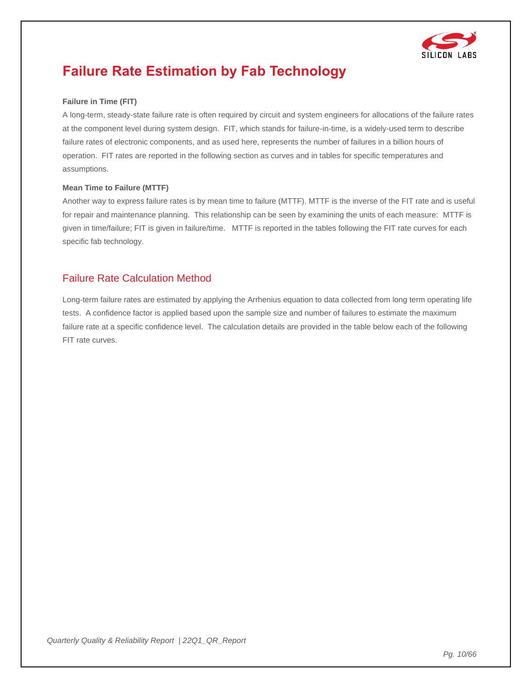

# <span id="page-9-0"></span>**Failure Rate Estimation by Fab Technology**

#### **Failure in Time (FIT)**

A long-term, steady-state failure rate is often required by circuit and system engineers for allocations of the failure rates at the component level during system design. FIT, which stands for failure-in-time, is a widely-used term to describe failure rates of electronic components, and as used here, represents the number of failures in a billion hours of operation. FIT rates are reported in the following section as curves and in tables for specific temperatures and assumptions.

#### **Mean Time to Failure (MTTF)**

Another way to express failure rates is by mean time to failure (MTTF). MTTF is the inverse of the FIT rate and is useful for repair and maintenance planning. This relationship can be seen by examining the units of each measure: MTTF is given in time/failure; FIT is given in failure/time. MTTF is reported in the tables following the FIT rate curves for each specific fab technology.

#### Failure Rate Calculation Method

Long-term failure rates are estimated by applying the Arrhenius equation to data collected from long term operating life tests. A confidence factor is applied based upon the sample size and number of failures to estimate the maximum failure rate at a specific confidence level. The calculation details are provided in the table below each of the following FIT rate curves.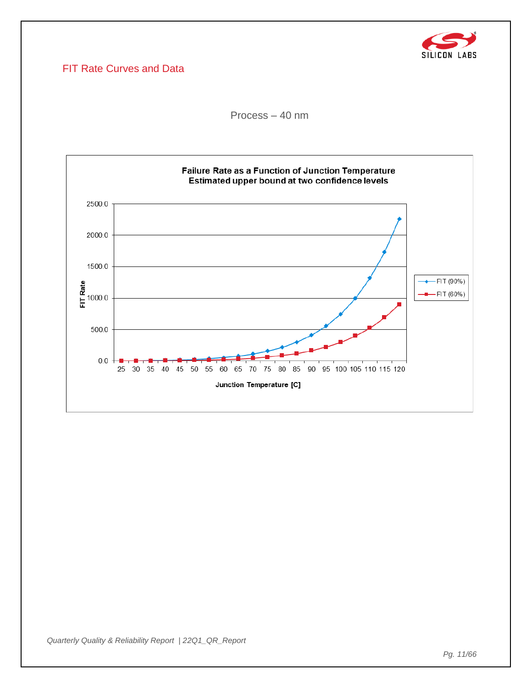

### FIT Rate Curves and Data

Process – 40 nm

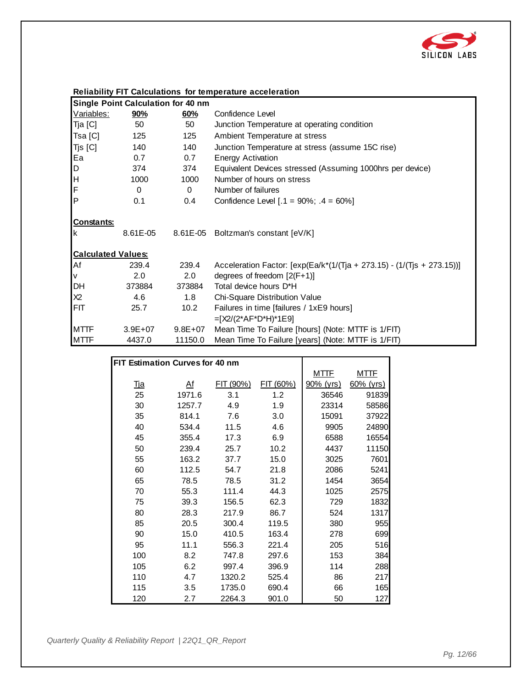![](_page_11_Picture_0.jpeg)

| <b>Single Point Calculation for 40 nm</b>           |             |                   |                                                                           |
|-----------------------------------------------------|-------------|-------------------|---------------------------------------------------------------------------|
| Variables:                                          | <u>90%</u>  | 60%               | Confidence Level                                                          |
| Tja [C]                                             | 50          | 50                | Junction Temperature at operating condition                               |
| Tsa [C]                                             | 125         | 125               | Ambient Temperature at stress                                             |
| Tjs [C]                                             | 140         | 140               | Junction Temperature at stress (assume 15C rise)                          |
| Ea                                                  | 0.7         | 0.7               | <b>Energy Activation</b>                                                  |
| $\mathsf D$                                         | 374         | 374               | Equivalent Devices stressed (Assuming 1000hrs per device)                 |
| H                                                   | 1000        | 1000              | Number of hours on stress                                                 |
| F                                                   | 0           | $\Omega$          | Number of failures                                                        |
| P                                                   | 0.1         | 0.4               | Confidence Level $[.1 = 90\%; .4 = 60\%]$                                 |
| <b>Constants:</b><br>k<br><b>Calculated Values:</b> | 8.61E-05    |                   | 8.61E-05 Boltzman's constant [eV/K]                                       |
| Af                                                  | 239.4       | 239.4             | Acceleration Factor: $[exp(Ea/k*(1/(Tja + 273.15) - (1/(Tjs + 273.15)))]$ |
| V                                                   | 2.0         | 2.0               | degrees of freedom $[2(F+1)]$                                             |
| <b>DH</b>                                           | 373884      | 373884            | Total device hours D*H                                                    |
| X2                                                  | 4.6         | 1.8               | Chi-Square Distribution Value                                             |
| <b>FIT</b>                                          | 25.7        | 10.2 <sub>2</sub> | Failures in time [failures / 1xE9 hours]                                  |
|                                                     |             |                   | $=[X2/(2*AF*D*H)*1E9]$                                                    |
| <b>MTTF</b>                                         | $3.9E + 07$ | $9.8E + 07$       | Mean Time To Failure [hours] (Note: MTTF is 1/FIT)                        |
| <b>MTTF</b>                                         | 4437.0      | 11150.0           | Mean Time To Failure [years] (Note: MTTF is 1/FIT)                        |

|                                 |                |           | 10 Tallard Lybard Tribeto: 111 Th |             |              |
|---------------------------------|----------------|-----------|-----------------------------------|-------------|--------------|
|                                 |                |           |                                   |             |              |
| FIT Estimation Curves for 40 nm |                |           |                                   |             |              |
|                                 |                |           |                                   | <u>MTTF</u> | <u>MTTF</u>  |
| <u>Tja</u>                      | A <sup>f</sup> | FIT (90%) | FIT (60%)                         | 90% (yrs)   | $60\%$ (yrs) |
| 25                              | 1971.6         | 3.1       | 1.2                               | 36546       | 91839        |
| 30                              | 1257.7         | 4.9       | 1.9                               | 23314       | 58586        |
| 35                              | 814.1          | 7.6       | 3.0                               | 15091       | 37922        |
| 40                              | 534.4          | 11.5      | 4.6                               | 9905        | 24890        |
| 45                              | 355.4          | 17.3      | 6.9                               | 6588        | 16554        |
| 50                              | 239.4          | 25.7      | 10.2                              | 4437        | 11150        |
| 55                              | 163.2          | 37.7      | 15.0                              | 3025        | 7601         |
| 60                              | 112.5          | 54.7      | 21.8                              | 2086        | 5241         |
| 65                              | 78.5           | 78.5      | 31.2                              | 1454        | 3654         |
| 70                              | 55.3           | 111.4     | 44.3                              | 1025        | 2575         |
| 75                              | 39.3           | 156.5     | 62.3                              | 729         | 1832         |
| 80                              | 28.3           | 217.9     | 86.7                              | 524         | 1317         |
| 85                              | 20.5           | 300.4     | 119.5                             | 380         | 955          |
| 90                              | 15.0           | 410.5     | 163.4                             | 278         | 699          |
| 95                              | 11.1           | 556.3     | 221.4                             | 205         | 516          |
| 100                             | 8.2            | 747.8     | 297.6                             | 153         | 384          |
| 105                             | 6.2            | 997.4     | 396.9                             | 114         | 288          |
| 110                             | 4.7            | 1320.2    | 525.4                             | 86          | 217          |
| 115                             | 3.5            | 1735.0    | 690.4                             | 66          | 165          |
| 120                             | 2.7            | 2264.3    | 901.0                             | 50          | 127          |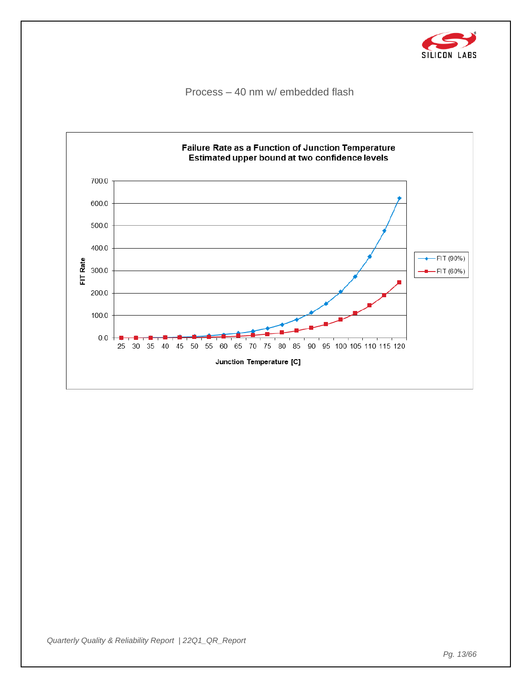![](_page_12_Picture_0.jpeg)

Process – 40 nm w/ embedded flash

![](_page_12_Figure_2.jpeg)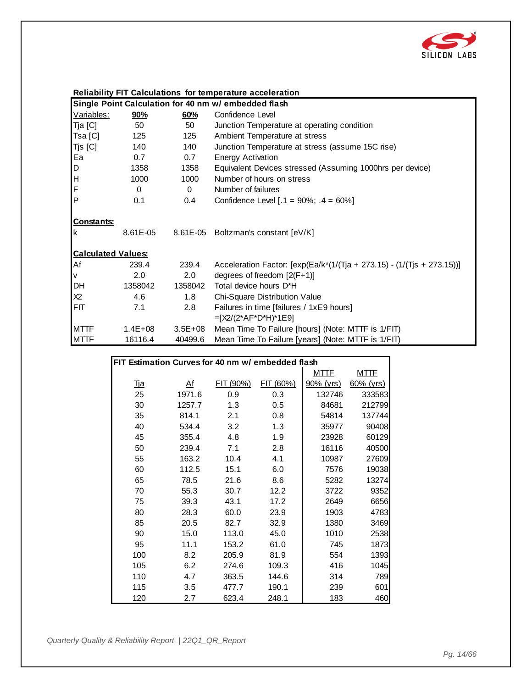![](_page_13_Picture_0.jpeg)

#### **Reliability FIT Calculations for temperature acceleration**

|                           |             |             | Single Point Calculation for 40 nm w/ embedded flash                      |
|---------------------------|-------------|-------------|---------------------------------------------------------------------------|
| Variables:                | <u>90%</u>  | 60%         | Confidence Level                                                          |
| Tja [C]                   | 50          | 50          | Junction Temperature at operating condition                               |
| Tsa [C]                   | 125         | 125         | Ambient Temperature at stress                                             |
| Tjs [C]                   | 140         | 140         | Junction Temperature at stress (assume 15C rise)                          |
| Ea                        | 0.7         | 0.7         | <b>Energy Activation</b>                                                  |
| D                         | 1358        | 1358        | Equivalent Devices stressed (Assuming 1000hrs per device)                 |
| H                         | 1000        | 1000        | Number of hours on stress                                                 |
| F                         | 0           | $\Omega$    | Number of failures                                                        |
| lP.                       | 0.1         | 0.4         | Confidence Level $[.1 = 90\%; .4 = 60\%]$                                 |
| <b>Constants:</b><br>Ιk   | 8.61E-05    | 8.61E-05    | Boltzman's constant [eV/K]                                                |
| <b>Calculated Values:</b> |             |             |                                                                           |
| Af                        | 239.4       | 239.4       | Acceleration Factor: $[exp(Ea/k*(1/(Tja + 273.15) - (1/(Tjs + 273.15)))]$ |
| V                         | 2.0         | 2.0         | degrees of freedom $[2(F+1)]$                                             |
| DH                        | 1358042     | 1358042     | Total device hours D*H                                                    |
| X <sub>2</sub>            | 4.6         | 1.8         | Chi-Square Distribution Value                                             |
| <b>IFIT</b>               | 7.1         | 2.8         | Failures in time [failures / 1xE9 hours]                                  |
|                           |             |             | $=[X2/(2*AF*D*H)*1E9]$                                                    |
| <b>MTTF</b>               | $1.4E + 08$ | $3.5E + 08$ | Mean Time To Failure [hours] (Note: MTTF is 1/FIT)                        |
| <b>MTTF</b>               | 16116.4     | 40499.6     | Mean Time To Failure [years] (Note: MTTF is 1/FIT)                        |

|            |                                                   |           | modif inno To Failuro [youro] (Hoto: MTTH |           |              |  |  |
|------------|---------------------------------------------------|-----------|-------------------------------------------|-----------|--------------|--|--|
|            |                                                   |           |                                           |           |              |  |  |
|            | FIT Estimation Curves for 40 nm w/ embedded flash |           |                                           |           |              |  |  |
|            |                                                   |           |                                           | MTTF      | MTTF         |  |  |
| <u>Tja</u> | A <sup>f</sup>                                    | FIT (90%) | FIT (60%)                                 | 90% (yrs) | $60\%$ (yrs) |  |  |
| 25         | 1971.6                                            | 0.9       | 0.3                                       | 132746    | 333583       |  |  |
| 30         | 1257.7                                            | 1.3       | 0.5                                       | 84681     | 212799       |  |  |
| 35         | 814.1                                             | 2.1       | 0.8                                       | 54814     | 137744       |  |  |
| 40         | 534.4                                             | 3.2       | 1.3                                       | 35977     | 90408        |  |  |
| 45         | 355.4                                             | 4.8       | 1.9                                       | 23928     | 60129        |  |  |
| 50         | 239.4                                             | 7.1       | 2.8                                       | 16116     | 40500        |  |  |
| 55         | 163.2                                             | 10.4      | 4.1                                       | 10987     | 27609        |  |  |
| 60         | 112.5                                             | 15.1      | 6.0                                       | 7576      | 19038        |  |  |
| 65         | 78.5                                              | 21.6      | 8.6                                       | 5282      | 13274        |  |  |
| 70         | 55.3                                              | 30.7      | 12.2                                      | 3722      | 9352         |  |  |
| 75         | 39.3                                              | 43.1      | 17.2                                      | 2649      | 6656         |  |  |
| 80         | 28.3                                              | 60.0      | 23.9                                      | 1903      | 4783         |  |  |
| 85         | 20.5                                              | 82.7      | 32.9                                      | 1380      | 3469         |  |  |
| 90         | 15.0                                              | 113.0     | 45.0                                      | 1010      | 2538         |  |  |
| 95         | 11.1                                              | 153.2     | 61.0                                      | 745       | 1873         |  |  |
| 100        | 8.2                                               | 205.9     | 81.9                                      | 554       | 1393         |  |  |
| 105        | 6.2                                               | 274.6     | 109.3                                     | 416       | 1045         |  |  |
| 110        | 4.7                                               | 363.5     | 144.6                                     | 314       | 789          |  |  |
| 115        | 3.5                                               | 477.7     | 190.1                                     | 239       | 601          |  |  |
| 120        | 2.7                                               | 623.4     | 248.1                                     | 183       | 460          |  |  |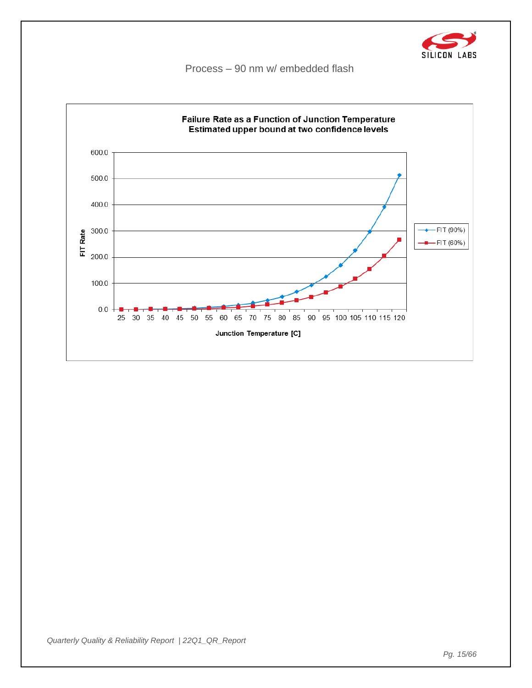![](_page_14_Picture_0.jpeg)

Process – 90 nm w/ embedded flash

![](_page_14_Figure_2.jpeg)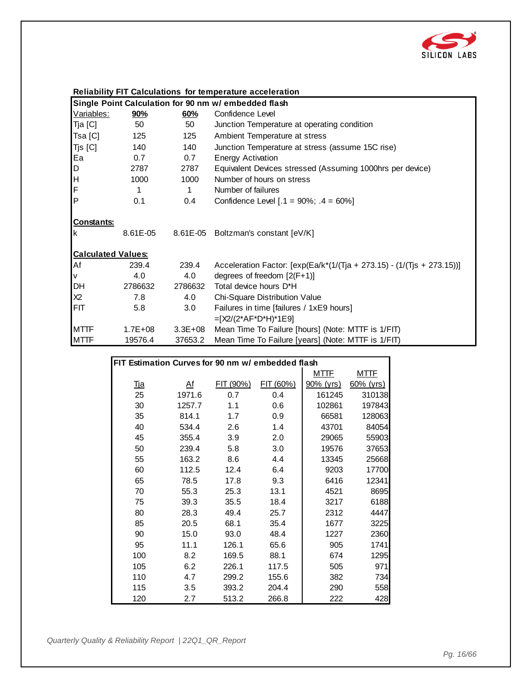![](_page_15_Picture_0.jpeg)

#### **Reliability FIT Calculations for temperature acceleration**

| Single Point Calculation for 90 nm w/ embedded flash |             |             |                                                                              |  |  |
|------------------------------------------------------|-------------|-------------|------------------------------------------------------------------------------|--|--|
| Variables:                                           | 90%         | 60%         | Confidence Level                                                             |  |  |
| Tja [C]                                              | 50          | 50          | Junction Temperature at operating condition                                  |  |  |
| Tsa [C]                                              | 125         | 125         | Ambient Temperature at stress                                                |  |  |
| Tjs [C]                                              | 140         | 140         | Junction Temperature at stress (assume 15C rise)                             |  |  |
| Ea                                                   | 0.7         | 0.7         | <b>Energy Activation</b>                                                     |  |  |
| D                                                    | 2787        | 2787        | Equivalent Devices stressed (Assuming 1000hrs per device)                    |  |  |
| H.                                                   | 1000        | 1000        | Number of hours on stress                                                    |  |  |
| F                                                    | 1           | 1           | Number of failures                                                           |  |  |
| lP.                                                  | 0.1         | 0.4         | Confidence Level $[.1 = 90\%; .4 = 60\%]$                                    |  |  |
| <b>Constants:</b><br>Ιk                              | 8.61E-05    |             | 8.61E-05 Boltzman's constant [eV/K]                                          |  |  |
| <b>Calculated Values:</b>                            |             |             |                                                                              |  |  |
| Af                                                   | 239.4       | 239.4       | Acceleration Factor: $[\exp(Ea/k^{*}(1/(T)a + 273.15) - (1/(T)s + 273.15))]$ |  |  |
| V                                                    | 4.0         | 4.0         | degrees of freedom $[2(F+1)]$                                                |  |  |
| DH                                                   | 2786632     | 2786632     | Total device hours D*H                                                       |  |  |
| X <sub>2</sub>                                       | 7.8         | 4.0         | Chi-Square Distribution Value                                                |  |  |
| <b>FIT</b>                                           | 5.8         | 3.0         | Failures in time [failures / 1xE9 hours]                                     |  |  |
|                                                      |             |             | $=[X2/(2*AF*D*H)*1E9]$                                                       |  |  |
| <b>MTTF</b>                                          | $1.7E + 08$ | $3.3E + 08$ | Mean Time To Failure [hours] (Note: MTTF is 1/FIT)                           |  |  |
| <b>MTTF</b>                                          | 19576.4     | 37653.2     | Mean Time To Failure [years] (Note: MTTF is 1/FIT)                           |  |  |

|            |                                                   |           | $\frac{1}{2}$ |             |              |  |  |
|------------|---------------------------------------------------|-----------|---------------|-------------|--------------|--|--|
|            |                                                   |           |               |             |              |  |  |
|            | FIT Estimation Curves for 90 nm w/ embedded flash |           |               |             |              |  |  |
|            |                                                   |           |               | <u>MTTF</u> | <u>MTTF</u>  |  |  |
| <u>Tja</u> | A <sup>f</sup>                                    | FIT (90%) | FIT (60%)     | 90% (yrs)   | $60\%$ (yrs) |  |  |
| 25         | 1971.6                                            | 0.7       | 0.4           | 161245      | 310138       |  |  |
| 30         | 1257.7                                            | 1.1       | 0.6           | 102861      | 197843       |  |  |
| 35         | 814.1                                             | 1.7       | 0.9           | 66581       | 128063       |  |  |
| 40         | 534.4                                             | 2.6       | 1.4           | 43701       | 84054        |  |  |
| 45         | 355.4                                             | 3.9       | 2.0           | 29065       | 55903        |  |  |
| 50         | 239.4                                             | 5.8       | 3.0           | 19576       | 37653        |  |  |
| 55         | 163.2                                             | 8.6       | 4.4           | 13345       | 25668        |  |  |
| 60         | 112.5                                             | 12.4      | 6.4           | 9203        | 17700        |  |  |
| 65         | 78.5                                              | 17.8      | 9.3           | 6416        | 12341        |  |  |
| 70         | 55.3                                              | 25.3      | 13.1          | 4521        | 8695         |  |  |
| 75         | 39.3                                              | 35.5      | 18.4          | 3217        | 6188         |  |  |
| 80         | 28.3                                              | 49.4      | 25.7          | 2312        | 4447         |  |  |
| 85         | 20.5                                              | 68.1      | 35.4          | 1677        | 3225         |  |  |
| 90         | 15.0                                              | 93.0      | 48.4          | 1227        | 2360         |  |  |
| 95         | 11.1                                              | 126.1     | 65.6          | 905         | 1741         |  |  |
| 100        | 8.2                                               | 169.5     | 88.1          | 674         | 1295         |  |  |
| 105        | 6.2                                               | 226.1     | 117.5         | 505         | 971          |  |  |
| 110        | 4.7                                               | 299.2     | 155.6         | 382         | 734          |  |  |
| 115        | 3.5                                               | 393.2     | 204.4         | 290         | 558          |  |  |
| 120        | 2.7                                               | 513.2     | 266.8         | 222         | 428          |  |  |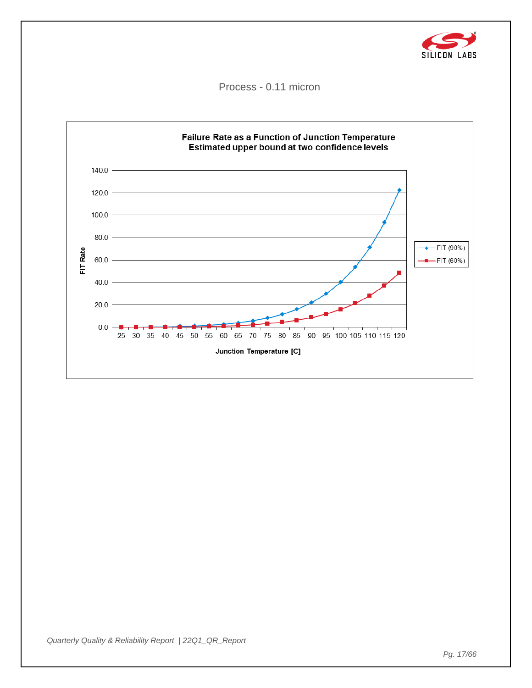![](_page_16_Picture_0.jpeg)

Process - 0.11 micron

![](_page_16_Figure_2.jpeg)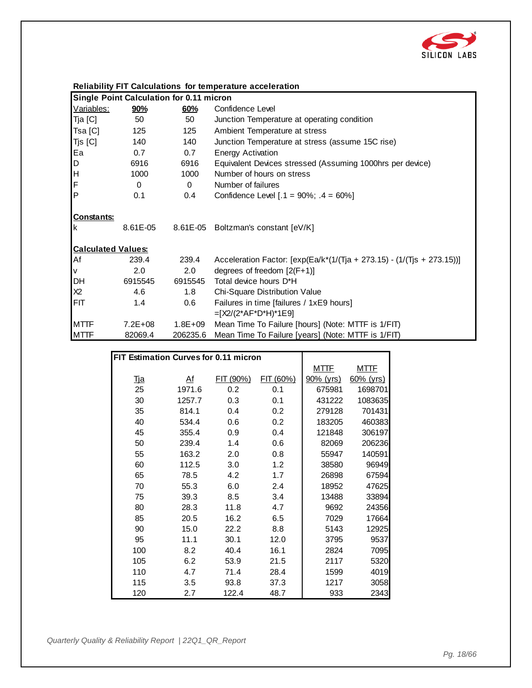![](_page_17_Picture_0.jpeg)

|                           | Reliability FIT Calculations for temperature acceleration |             |                                                                              |  |  |  |
|---------------------------|-----------------------------------------------------------|-------------|------------------------------------------------------------------------------|--|--|--|
|                           | <b>Single Point Calculation for 0.11 micron</b>           |             |                                                                              |  |  |  |
| Variables:                | 90%                                                       | 60%         | Confidence Level                                                             |  |  |  |
| Tja [C]                   | 50                                                        | 50          | Junction Temperature at operating condition                                  |  |  |  |
| Tsa [C]                   | 125                                                       | 125         | Ambient Temperature at stress                                                |  |  |  |
| $T$ js $[C]$              | 140                                                       | 140         | Junction Temperature at stress (assume 15C rise)                             |  |  |  |
| Ea                        | 0.7                                                       | 0.7         | <b>Energy Activation</b>                                                     |  |  |  |
| D                         | 6916                                                      | 6916        | Equivalent Devices stressed (Assuming 1000hrs per device)                    |  |  |  |
| H                         | 1000                                                      | 1000        | Number of hours on stress                                                    |  |  |  |
| F                         | $\Omega$                                                  | $\Omega$    | Number of failures                                                           |  |  |  |
| $\mathsf{P}$              | 0.1                                                       | 0.4         | Confidence Level $[.1 = 90\%; .4 = 60\%]$                                    |  |  |  |
| <b>Constants:</b><br>Ιk   | 8.61E-05                                                  |             | 8.61E-05 Boltzman's constant [eV/K]                                          |  |  |  |
| <b>Calculated Values:</b> |                                                           |             |                                                                              |  |  |  |
| Af                        | 239.4                                                     | 239.4       | Acceleration Factor: $[\exp(Ea/k^{*}(1/(T)a + 273.15) - (1/(T)s + 273.15))]$ |  |  |  |
| V                         | 2.0                                                       | 2.0         | degrees of freedom $[2(F+1)]$                                                |  |  |  |
| DH                        | 6915545                                                   | 6915545     | Total device hours D*H                                                       |  |  |  |
| X2                        | 4.6                                                       | 1.8         | Chi-Square Distribution Value                                                |  |  |  |
| FIT                       | 1.4                                                       | 0.6         | Failures in time [failures / 1xE9 hours]<br>$=[X2/(2*AF*D*H)*1E9]$           |  |  |  |
| <b>MTTF</b>               | $7.2E + 08$                                               | $1.8E + 09$ | Mean Time To Failure [hours] (Note: MTTF is 1/FIT)                           |  |  |  |
| <b>MTTF</b>               | 82069.4                                                   | 206235.6    | Mean Time To Failure [years] (Note: MTTF is 1/FIT)                           |  |  |  |

|                                       |                |           | $\frac{1}{2}$ |             |              |
|---------------------------------------|----------------|-----------|---------------|-------------|--------------|
|                                       |                |           |               |             |              |
| FIT Estimation Curves for 0.11 micron |                |           |               |             |              |
|                                       |                |           |               | <b>MTTF</b> | <u>MTTF</u>  |
| <u>Tja</u>                            | A <sup>f</sup> | FIT (90%) | FIT (60%)     | 90% (yrs)   | $60\%$ (yrs) |
| 25                                    | 1971.6         | 0.2       | 0.1           | 675981      | 1698701      |
| 30                                    | 1257.7         | 0.3       | 0.1           | 431222      | 1083635      |
| 35                                    | 814.1          | 0.4       | 0.2           | 279128      | 701431       |
| 40                                    | 534.4          | 0.6       | 0.2           | 183205      | 460383       |
| 45                                    | 355.4          | 0.9       | 0.4           | 121848      | 306197       |
| 50                                    | 239.4          | 1.4       | 0.6           | 82069       | 206236       |
| 55                                    | 163.2          | 2.0       | 0.8           | 55947       | 140591       |
| 60                                    | 112.5          | 3.0       | 1.2           | 38580       | 96949        |
| 65                                    | 78.5           | 4.2       | 1.7           | 26898       | 67594        |
| 70                                    | 55.3           | 6.0       | 2.4           | 18952       | 47625        |
| 75                                    | 39.3           | 8.5       | 3.4           | 13488       | 33894        |
| 80                                    | 28.3           | 11.8      | 4.7           | 9692        | 24356        |
| 85                                    | 20.5           | 16.2      | 6.5           | 7029        | 17664        |
| 90                                    | 15.0           | 22.2      | 8.8           | 5143        | 12925        |
| 95                                    | 11.1           | 30.1      | 12.0          | 3795        | 9537         |
| 100                                   | 8.2            | 40.4      | 16.1          | 2824        | 7095         |
| 105                                   | 6.2            | 53.9      | 21.5          | 2117        | 5320         |
| 110                                   | 4.7            | 71.4      | 28.4          | 1599        | 4019         |
| 115                                   | 3.5            | 93.8      | 37.3          | 1217        | 3058         |
| 120                                   | 2.7            | 122.4     | 48.7          | 933         | 2343         |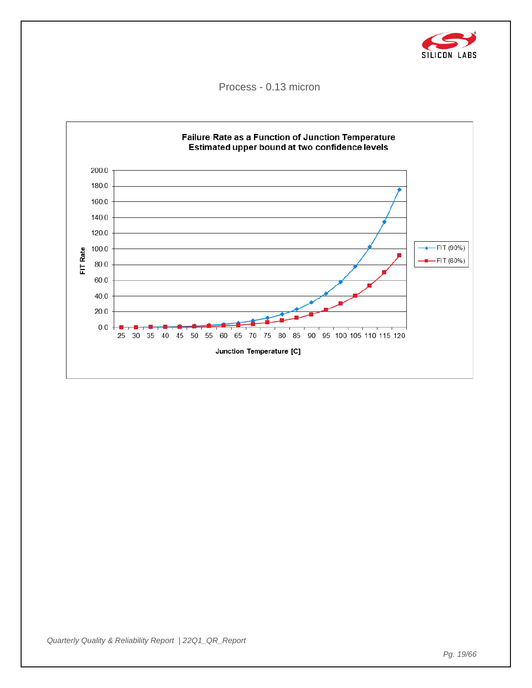![](_page_18_Picture_0.jpeg)

Process - 0.13 micron

![](_page_18_Figure_2.jpeg)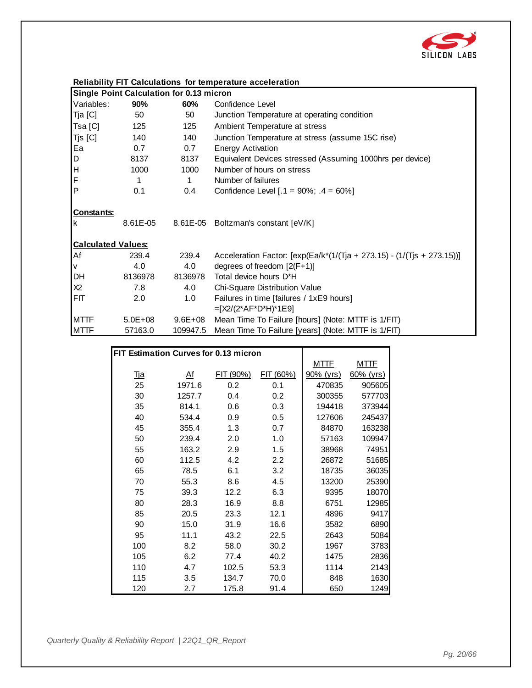![](_page_19_Picture_0.jpeg)

| <b>Reliability FIT Calculations for temperature acceleration</b> |  |  |
|------------------------------------------------------------------|--|--|
|                                                                  |  |  |

|                           | Single Point Calculation for 0.13 micron |             |                                                                           |  |  |  |
|---------------------------|------------------------------------------|-------------|---------------------------------------------------------------------------|--|--|--|
| Variables:                | <u>90%</u>                               | 60%         | Confidence Level                                                          |  |  |  |
| Tja [C]                   | 50                                       | 50          | Junction Temperature at operating condition                               |  |  |  |
| Tsa [C]                   | 125                                      | 125         | Ambient Temperature at stress                                             |  |  |  |
| Tjs [C]                   | 140                                      | 140         | Junction Temperature at stress (assume 15C rise)                          |  |  |  |
| Ea                        | 0.7                                      | 0.7         | <b>Energy Activation</b>                                                  |  |  |  |
| D                         | 8137                                     | 8137        | Equivalent Devices stressed (Assuming 1000hrs per device)                 |  |  |  |
| H                         | 1000                                     | 1000        | Number of hours on stress                                                 |  |  |  |
| F                         | 1                                        | 1           | Number of failures                                                        |  |  |  |
| <b>P</b>                  | 0.1                                      | 0.4         | Confidence Level $[.1 = 90\%; .4 = 60\%]$                                 |  |  |  |
| Constants:<br>Ιk          |                                          |             | 8.61E-05 8.61E-05 Boltzman's constant [eV/K]                              |  |  |  |
| <b>Calculated Values:</b> |                                          |             |                                                                           |  |  |  |
| Af                        | 239.4                                    | 239.4       | Acceleration Factor: $[exp(Ea/k*(1/(Tja + 273.15) - (1/(Tjs + 273.15)))]$ |  |  |  |
| V                         | 4.0                                      | 4.0         | degrees of freedom $[2(F+1)]$                                             |  |  |  |
| DH                        | 8136978                                  | 8136978     | Total device hours D*H                                                    |  |  |  |
| X2                        | 7.8                                      | 4.0         | Chi-Square Distribution Value                                             |  |  |  |
| FIT                       | 2.0                                      | 1.0         | Failures in time [failures / 1xE9 hours]                                  |  |  |  |
|                           |                                          |             | $=[X2/(2*AF*D*H)*1E9]$                                                    |  |  |  |
| <b>MTTF</b>               | $5.0E + 08$                              | $9.6E + 08$ | Mean Time To Failure [hours] (Note: MTTF is 1/FIT)                        |  |  |  |
| <b>MTTF</b>               | 57163.0                                  | 109947.5    | Mean Time To Failure [years] (Note: MTTF is 1/FIT)                        |  |  |  |

|                                       |           |           | $\frac{1}{2}$ |             |              |
|---------------------------------------|-----------|-----------|---------------|-------------|--------------|
|                                       |           |           |               |             |              |
| FIT Estimation Curves for 0.13 micron |           |           |               |             |              |
|                                       |           |           |               | <u>MTTF</u> | <u>MTTF</u>  |
| <u>Tja</u>                            | <u>Af</u> | FIT (90%) | FIT (60%)     | 90% (yrs)   | $60\%$ (yrs) |
| 25                                    | 1971.6    | 0.2       | 0.1           | 470835      | 905605       |
| 30                                    | 1257.7    | 0.4       | 0.2           | 300355      | 577703       |
| 35                                    | 814.1     | 0.6       | 0.3           | 194418      | 373944       |
| 40                                    | 534.4     | 0.9       | 0.5           | 127606      | 245437       |
| 45                                    | 355.4     | 1.3       | 0.7           | 84870       | 163238       |
| 50                                    | 239.4     | 2.0       | 1.0           | 57163       | 109947       |
| 55                                    | 163.2     | 2.9       | 1.5           | 38968       | 74951        |
| 60                                    | 112.5     | 4.2       | 2.2           | 26872       | 51685        |
| 65                                    | 78.5      | 6.1       | 3.2           | 18735       | 36035        |
| 70                                    | 55.3      | 8.6       | 4.5           | 13200       | 25390        |
| 75                                    | 39.3      | 12.2      | 6.3           | 9395        | 18070        |
| 80                                    | 28.3      | 16.9      | 8.8           | 6751        | 12985        |
| 85                                    | 20.5      | 23.3      | 12.1          | 4896        | 9417         |
| 90                                    | 15.0      | 31.9      | 16.6          | 3582        | 6890         |
| 95                                    | 11.1      | 43.2      | 22.5          | 2643        | 5084         |
| 100                                   | 8.2       | 58.0      | 30.2          | 1967        | 3783         |
| 105                                   | 6.2       | 77.4      | 40.2          | 1475        | 2836         |
| 110                                   | 4.7       | 102.5     | 53.3          | 1114        | 2143         |
| 115                                   | 3.5       | 134.7     | 70.0          | 848         | 1630         |
| 120                                   | 2.7       | 175.8     | 91.4          | 650         | 1249         |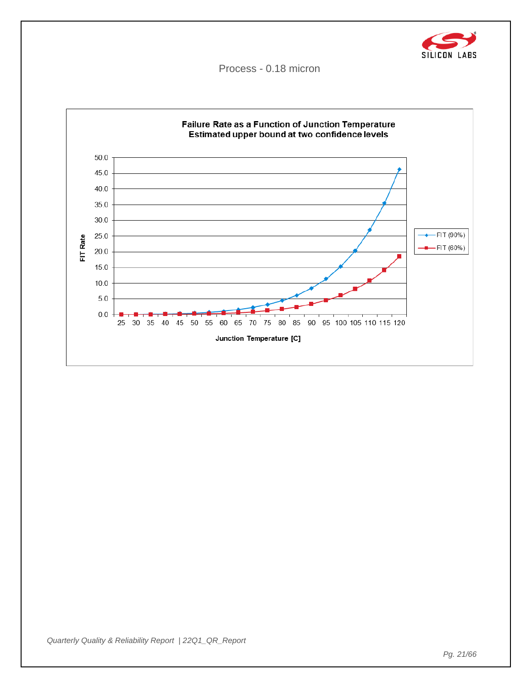![](_page_20_Picture_0.jpeg)

Process - 0.18 micron

![](_page_20_Figure_2.jpeg)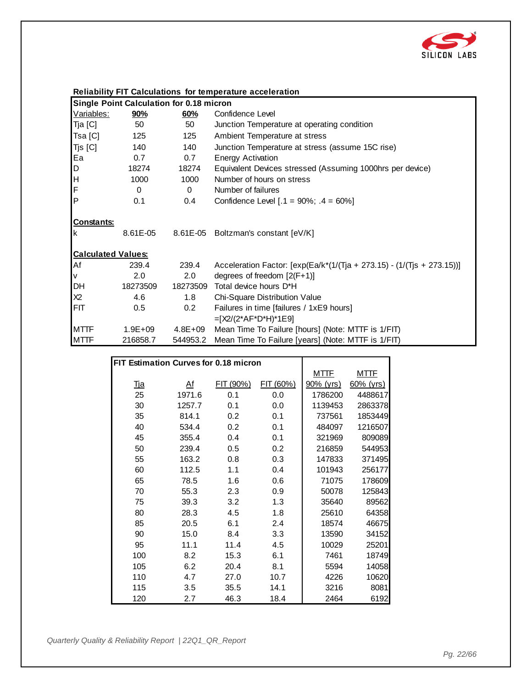![](_page_21_Picture_0.jpeg)

| <b>Single Point Calculation for 0.18 micron</b> |             |             |                                                                           |  |
|-------------------------------------------------|-------------|-------------|---------------------------------------------------------------------------|--|
| Variables:                                      | 90%         | 60%         | Confidence Level                                                          |  |
| Tja [C]                                         | 50          | 50          | Junction Temperature at operating condition                               |  |
| Tsa [C]                                         | 125         | 125         | Ambient Temperature at stress                                             |  |
| Tjs [C]                                         | 140         | 140         | Junction Temperature at stress (assume 15C rise)                          |  |
| Ea                                              | 0.7         | 0.7         | <b>Energy Activation</b>                                                  |  |
| $\mathsf D$                                     | 18274       | 18274       | Equivalent Devices stressed (Assuming 1000hrs per device)                 |  |
| H                                               | 1000        | 1000        | Number of hours on stress                                                 |  |
| F                                               | 0           | $\Omega$    | Number of failures                                                        |  |
| P                                               | 0.1         | 0.4         | Confidence Level $[.1 = 90\%; .4 = 60\%]$                                 |  |
| <b>Constants:</b><br>Ιk                         |             |             | 8.61E-05 8.61E-05 Boltzman's constant [eV/K]                              |  |
| <b>Calculated Values:</b>                       |             |             |                                                                           |  |
| Af                                              | 239.4       | 239.4       | Acceleration Factor: $[exp(Ea/k*(1/(Tja + 273.15) - (1/(Tjs + 273.15)))]$ |  |
| V                                               | 2.0         | 2.0         | degrees of freedom $[2(F+1)]$                                             |  |
| <b>DH</b>                                       | 18273509    | 18273509    | Total device hours D*H                                                    |  |
| X <sub>2</sub>                                  | 4.6         | 1.8         | Chi-Square Distribution Value                                             |  |
| <b>FIT</b>                                      | 0.5         | 0.2         | Failures in time [failures / 1xE9 hours]                                  |  |
|                                                 |             |             | $=[X2/(2*AF*D*H)*1E9]$                                                    |  |
| <b>MTTF</b>                                     | $1.9E + 09$ | $4.8E + 09$ | Mean Time To Failure [hours] (Note: MTTF is 1/FIT)                        |  |
| <b>MTTF</b>                                     | 216858.7    | 544953.2    | Mean Time To Failure [years] (Note: MTTF is 1/FIT)                        |  |

|                                       |                |           | $\frac{1}{2}$ |              |              |  |
|---------------------------------------|----------------|-----------|---------------|--------------|--------------|--|
|                                       |                |           |               |              |              |  |
| FIT Estimation Curves for 0.18 micron |                |           |               |              |              |  |
|                                       |                |           |               | <u>MTTF</u>  | <u>MTTF</u>  |  |
| <u>Tja</u>                            | A <sup>f</sup> | FIT (90%) | FIT (60%)     | $90\%$ (yrs) | $60\%$ (yrs) |  |
| 25                                    | 1971.6         | 0.1       | 0.0           | 1786200      | 4488617      |  |
| 30                                    | 1257.7         | 0.1       | 0.0           | 1139453      | 2863378      |  |
| 35                                    | 814.1          | 0.2       | 0.1           | 737561       | 1853449      |  |
| 40                                    | 534.4          | 0.2       | 0.1           | 484097       | 1216507      |  |
| 45                                    | 355.4          | 0.4       | 0.1           | 321969       | 809089       |  |
| 50                                    | 239.4          | 0.5       | 0.2           | 216859       | 544953       |  |
| 55                                    | 163.2          | 0.8       | 0.3           | 147833       | 371495       |  |
| 60                                    | 112.5          | 1.1       | 0.4           | 101943       | 256177       |  |
| 65                                    | 78.5           | 1.6       | 0.6           | 71075        | 178609       |  |
| 70                                    | 55.3           | 2.3       | 0.9           | 50078        | 125843       |  |
| 75                                    | 39.3           | 3.2       | 1.3           | 35640        | 89562        |  |
| 80                                    | 28.3           | 4.5       | 1.8           | 25610        | 64358        |  |
| 85                                    | 20.5           | 6.1       | 2.4           | 18574        | 46675        |  |
| 90                                    | 15.0           | 8.4       | 3.3           | 13590        | 34152        |  |
| 95                                    | 11.1           | 11.4      | 4.5           | 10029        | 25201        |  |
| 100                                   | 8.2            | 15.3      | 6.1           | 7461         | 18749        |  |
| 105                                   | 6.2            | 20.4      | 8.1           | 5594         | 14058        |  |
| 110                                   | 4.7            | 27.0      | 10.7          | 4226         | 10620        |  |
| 115                                   | 3.5            | 35.5      | 14.1          | 3216         | 8081         |  |
| 120                                   | 2.7            | 46.3      | 18.4          | 2464         | 6192         |  |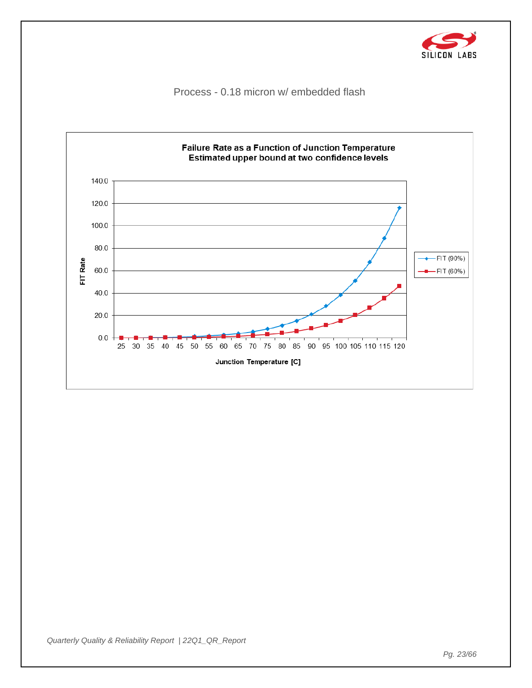![](_page_22_Picture_0.jpeg)

Process - 0.18 micron w/ embedded flash

![](_page_22_Figure_2.jpeg)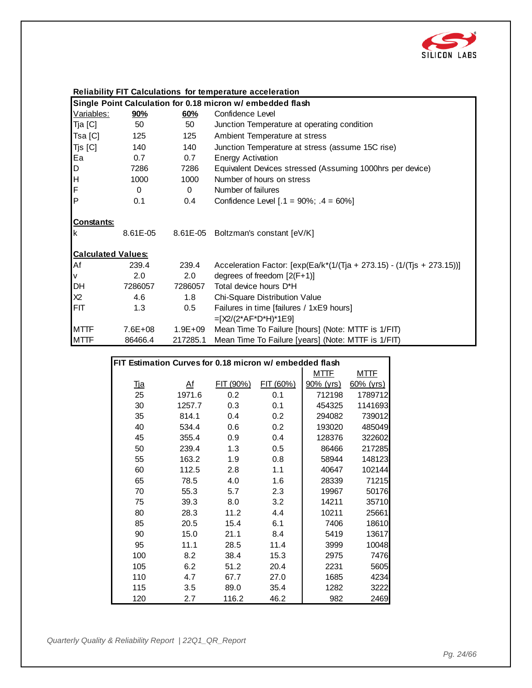![](_page_23_Picture_0.jpeg)

|  |  | <b>Reliability FIT Calculations for temperature acceleration</b> |
|--|--|------------------------------------------------------------------|
|  |  |                                                                  |

|                           | Single Point Calculation for 0.18 micron w/ embedded flash |             |                                                                           |  |  |
|---------------------------|------------------------------------------------------------|-------------|---------------------------------------------------------------------------|--|--|
| Variables:                | <u>90%</u>                                                 | 60%         | Confidence Level                                                          |  |  |
| Tja [C]                   | 50                                                         | 50          | Junction Temperature at operating condition                               |  |  |
| Tsa [C]                   | 125                                                        | 125         | Ambient Temperature at stress                                             |  |  |
| Tjs [C]                   | 140                                                        | 140         | Junction Temperature at stress (assume 15C rise)                          |  |  |
| Ea                        | 0.7                                                        | 0.7         | <b>Energy Activation</b>                                                  |  |  |
| D                         | 7286                                                       | 7286        | Equivalent Devices stressed (Assuming 1000hrs per device)                 |  |  |
| H                         | 1000                                                       | 1000        | Number of hours on stress                                                 |  |  |
| F                         | $\Omega$                                                   | $\Omega$    | Number of failures                                                        |  |  |
| P                         | 0.1                                                        | 0.4         | Confidence Level $[.1 = 90\%; .4 = 60\%]$                                 |  |  |
| <b>Constants:</b><br>Ιk   | 8.61E-05                                                   |             | 8.61E-05 Boltzman's constant [eV/K]                                       |  |  |
| <b>Calculated Values:</b> |                                                            |             |                                                                           |  |  |
| Af                        | 239.4                                                      | 239.4       | Acceleration Factor: $[exp(Ea/k*(1/(Tja + 273.15) - (1/(Tjs + 273.15)))]$ |  |  |
| V                         | 2.0                                                        | 2.0         | degrees of freedom $[2(F+1)]$                                             |  |  |
| DH                        | 7286057                                                    | 7286057     | Total device hours D*H                                                    |  |  |
| X2                        | 4.6                                                        | 1.8         | Chi-Square Distribution Value                                             |  |  |
| <b>FIT</b>                | 1.3                                                        | 0.5         | Failures in time [failures / 1xE9 hours]                                  |  |  |
|                           |                                                            |             | $=[X2/(2*AF*D*H)*1E9]$                                                    |  |  |
| <b>MTTF</b>               | $7.6E + 08$                                                | $1.9E + 09$ | Mean Time To Failure [hours] (Note: MTTF is 1/FIT)                        |  |  |
| <b>MTTF</b>               | 86466.4                                                    | 217285.1    | Mean Time To Failure [years] (Note: MTTF is 1/FIT)                        |  |  |

|                                                         |        |           | modif inno To I andro [yodro] (Hoto: MTTTL |             |              |  |
|---------------------------------------------------------|--------|-----------|--------------------------------------------|-------------|--------------|--|
|                                                         |        |           |                                            |             |              |  |
| FIT Estimation Curves for 0.18 micron w/ embedded flash |        |           |                                            |             |              |  |
|                                                         |        |           |                                            | <u>MTTF</u> | <u>MTTF</u>  |  |
| <u>Tja</u>                                              | Af     | FIT (90%) | FIT (60%)                                  | 90% (yrs)   | $60\%$ (yrs) |  |
| 25                                                      | 1971.6 | 0.2       | 0.1                                        | 712198      | 1789712      |  |
| 30                                                      | 1257.7 | 0.3       | 0.1                                        | 454325      | 1141693      |  |
| 35                                                      | 814.1  | 0.4       | 0.2                                        | 294082      | 739012       |  |
| 40                                                      | 534.4  | 0.6       | 0.2                                        | 193020      | 485049       |  |
| 45                                                      | 355.4  | 0.9       | 0.4                                        | 128376      | 322602       |  |
| 50                                                      | 239.4  | 1.3       | 0.5                                        | 86466       | 217285       |  |
| 55                                                      | 163.2  | 1.9       | 0.8                                        | 58944       | 148123       |  |
| 60                                                      | 112.5  | 2.8       | 1.1                                        | 40647       | 102144       |  |
| 65                                                      | 78.5   | 4.0       | 1.6                                        | 28339       | 71215        |  |
| 70                                                      | 55.3   | 5.7       | 2.3                                        | 19967       | 50176        |  |
| 75                                                      | 39.3   | 8.0       | 3.2                                        | 14211       | 35710        |  |
| 80                                                      | 28.3   | 11.2      | 4.4                                        | 10211       | 25661        |  |
| 85                                                      | 20.5   | 15.4      | 6.1                                        | 7406        | 18610        |  |
| 90                                                      | 15.0   | 21.1      | 8.4                                        | 5419        | 13617        |  |
| 95                                                      | 11.1   | 28.5      | 11.4                                       | 3999        | 10048        |  |
| 100                                                     | 8.2    | 38.4      | 15.3                                       | 2975        | 7476         |  |
| 105                                                     | 6.2    | 51.2      | 20.4                                       | 2231        | 5605         |  |
| 110                                                     | 4.7    | 67.7      | 27.0                                       | 1685        | 4234         |  |
| 115                                                     | 3.5    | 89.0      | 35.4                                       | 1282        | 3222         |  |
| 120                                                     | 2.7    | 116.2     | 46.2                                       | 982         | 2469         |  |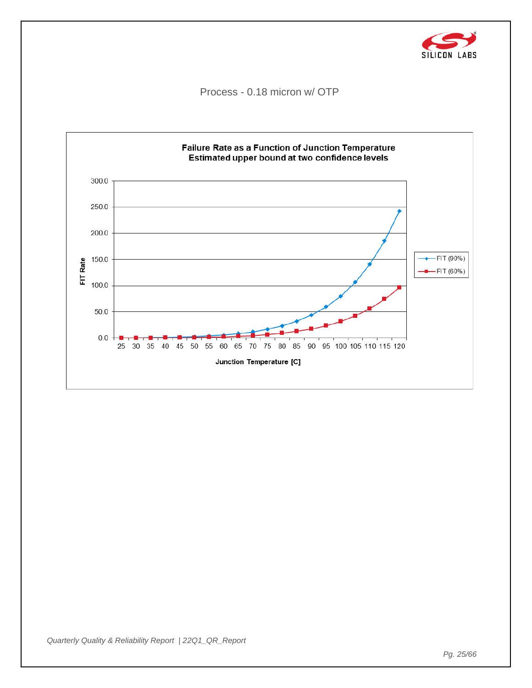![](_page_24_Picture_0.jpeg)

Process - 0.18 micron w/ OTP

![](_page_24_Figure_2.jpeg)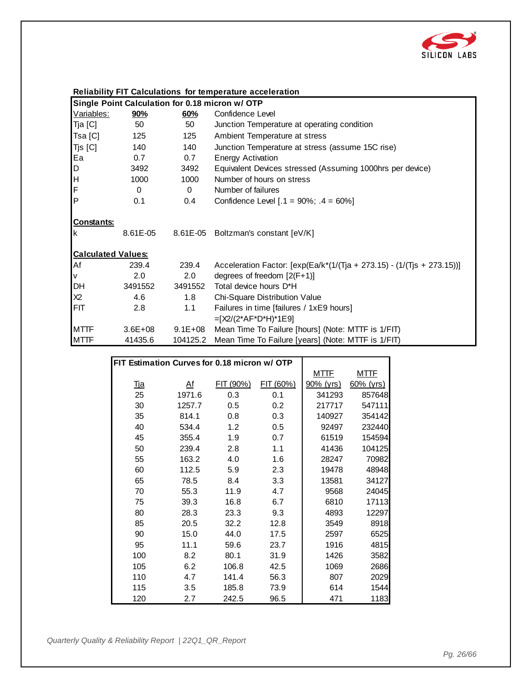![](_page_25_Picture_0.jpeg)

|                           |             |             | Single Point Calculation for 0.18 micron w/ OTP                           |
|---------------------------|-------------|-------------|---------------------------------------------------------------------------|
| Variables:                | <u>90%</u>  | 60%         | Confidence Level                                                          |
| Tja [C]                   | 50          | 50          | Junction Temperature at operating condition                               |
| Tsa [C]                   | 125         | 125         | Ambient Temperature at stress                                             |
| Tjs [C]                   | 140         | 140         | Junction Temperature at stress (assume 15C rise)                          |
| Ea                        | 0.7         | 0.7         | <b>Energy Activation</b>                                                  |
| D                         | 3492        | 3492        | Equivalent Devices stressed (Assuming 1000hrs per device)                 |
| H                         | 1000        | 1000        | Number of hours on stress                                                 |
| F                         | 0           | $\Omega$    | Number of failures                                                        |
| <b>P</b>                  | 0.1         | 0.4         | Confidence Level $[.1 = 90\%; .4 = 60\%]$                                 |
| <b>Constants:</b><br>Ιk   | 8.61E-05    |             | 8.61E-05 Boltzman's constant [eV/K]                                       |
| <b>Calculated Values:</b> |             |             |                                                                           |
| Af                        | 239.4       | 239.4       | Acceleration Factor: $[exp(Ea/k*(1/(Tja + 273.15) - (1/(Tjs + 273.15)))]$ |
| V                         | 2.0         | 2.0         | degrees of freedom $[2(F+1)]$                                             |
| <b>DH</b>                 | 3491552     | 3491552     | Total device hours D*H                                                    |
| X2                        | 4.6         | 1.8         | Chi-Square Distribution Value                                             |
| FIT                       | 2.8         | 1.1         | Failures in time [failures / 1xE9 hours]                                  |
|                           |             |             | $=[X2/(2*AF*D*H)*1E9]$                                                    |
| <b>MTTF</b>               | $3.6E + 08$ | $9.1E + 08$ | Mean Time To Failure [hours] (Note: MTTF is 1/FIT)                        |
| <b>MTTF</b>               | 41435.6     | 104125.2    | Mean Time To Failure [years] (Note: MTTF is 1/FIT)                        |

|                                              |           |           | $\frac{1}{2}$ |             |              |
|----------------------------------------------|-----------|-----------|---------------|-------------|--------------|
|                                              |           |           |               |             |              |
| FIT Estimation Curves for 0.18 micron w/ OTP |           |           |               |             |              |
|                                              |           |           |               | <u>MTTF</u> | <u>MTTF</u>  |
| <u>Tja</u>                                   | <u>Af</u> | FIT (90%) | FIT (60%)     | 90% (yrs)   | $60\%$ (yrs) |
| 25                                           | 1971.6    | 0.3       | 0.1           | 341293      | 857648       |
| 30                                           | 1257.7    | 0.5       | 0.2           | 217717      | 547111       |
| 35                                           | 814.1     | 0.8       | 0.3           | 140927      | 354142       |
| 40                                           | 534.4     | 1.2       | 0.5           | 92497       | 232440       |
| 45                                           | 355.4     | 1.9       | 0.7           | 61519       | 154594       |
| 50                                           | 239.4     | 2.8       | 1.1           | 41436       | 104125       |
| 55                                           | 163.2     | 4.0       | 1.6           | 28247       | 70982        |
| 60                                           | 112.5     | 5.9       | 2.3           | 19478       | 48948        |
| 65                                           | 78.5      | 8.4       | 3.3           | 13581       | 34127        |
| 70                                           | 55.3      | 11.9      | 4.7           | 9568        | 24045        |
| 75                                           | 39.3      | 16.8      | 6.7           | 6810        | 17113        |
| 80                                           | 28.3      | 23.3      | 9.3           | 4893        | 12297        |
| 85                                           | 20.5      | 32.2      | 12.8          | 3549        | 8918         |
| 90                                           | 15.0      | 44.0      | 17.5          | 2597        | 6525         |
| 95                                           | 11.1      | 59.6      | 23.7          | 1916        | 4815         |
| 100                                          | 8.2       | 80.1      | 31.9          | 1426        | 3582         |
| 105                                          | 6.2       | 106.8     | 42.5          | 1069        | 2686         |
| 110                                          | 4.7       | 141.4     | 56.3          | 807         | 2029         |
| 115                                          | 3.5       | 185.8     | 73.9          | 614         | 1544         |
| 120                                          | 2.7       | 242.5     | 96.5          | 471         | 1183         |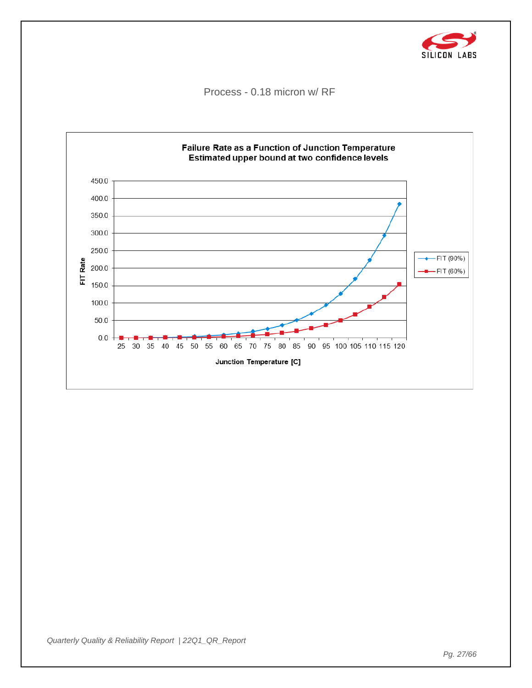![](_page_26_Picture_0.jpeg)

Process - 0.18 micron w/ RF

![](_page_26_Figure_2.jpeg)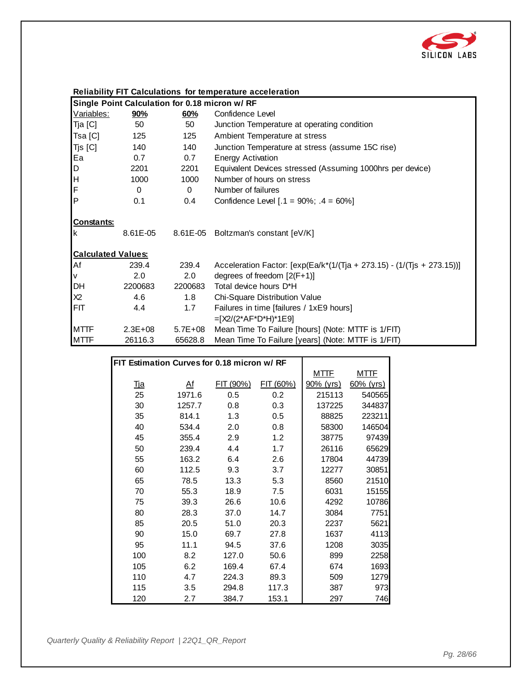![](_page_27_Picture_0.jpeg)

|  |  | <b>Reliability FIT Calculations for temperature acceleration</b> |
|--|--|------------------------------------------------------------------|
|  |  |                                                                  |

|                           | Single Point Calculation for 0.18 micron w/ RF |             |                                                                           |  |  |
|---------------------------|------------------------------------------------|-------------|---------------------------------------------------------------------------|--|--|
| Variables:                | <u>90%</u>                                     | 60%         | Confidence Level                                                          |  |  |
| Tja [C]                   | 50                                             | 50          | Junction Temperature at operating condition                               |  |  |
| Tsa [C]                   | 125                                            | 125         | Ambient Temperature at stress                                             |  |  |
| Tjs [C]                   | 140                                            | 140         | Junction Temperature at stress (assume 15C rise)                          |  |  |
| Ea                        | 0.7                                            | 0.7         | <b>Energy Activation</b>                                                  |  |  |
| D                         | 2201                                           | 2201        | Equivalent Devices stressed (Assuming 1000hrs per device)                 |  |  |
| H                         | 1000                                           | 1000        | Number of hours on stress                                                 |  |  |
| F                         | $\Omega$                                       | $\Omega$    | Number of failures                                                        |  |  |
| <b>P</b>                  | 0.1                                            | 0.4         | Confidence Level $[.1 = 90\%; .4 = 60\%]$                                 |  |  |
| Constants:<br>Ιk          | 8.61E-05                                       |             | 8.61E-05 Boltzman's constant [eV/K]                                       |  |  |
| <b>Calculated Values:</b> |                                                |             |                                                                           |  |  |
| Af                        | 239.4                                          | 239.4       | Acceleration Factor: $[exp(Ea/k*(1/(Tja + 273.15) - (1/(Tjs + 273.15)))]$ |  |  |
| V                         | 2.0                                            | 2.0         | degrees of freedom $[2(F+1)]$                                             |  |  |
| DH                        | 2200683                                        | 2200683     | Total device hours D*H                                                    |  |  |
| X2                        | 4.6                                            | 1.8         | Chi-Square Distribution Value                                             |  |  |
| FIT                       | 4.4                                            | 1.7         | Failures in time [failures / 1xE9 hours]                                  |  |  |
|                           |                                                |             | $=[X2/(2*AF*D*H)*1E9]$                                                    |  |  |
| <b>MTTF</b>               | $2.3E + 08$                                    | $5.7E + 08$ | Mean Time To Failure [hours] (Note: MTTF is 1/FIT)                        |  |  |
| <b>MTTF</b>               | 26116.3                                        | 65628.8     | Mean Time To Failure [years] (Note: MTTF is 1/FIT)                        |  |  |

|                                             |        |           | $\frac{1}{2}$ |             |              |
|---------------------------------------------|--------|-----------|---------------|-------------|--------------|
|                                             |        |           |               |             |              |
| FIT Estimation Curves for 0.18 micron w/ RF |        |           |               |             |              |
|                                             |        |           |               | <u>MTTF</u> | <u>MTTF</u>  |
| <u>Tja</u>                                  | Af     | FIT (90%) | FIT (60%)     | 90% (yrs)   | $60\%$ (yrs) |
| 25                                          | 1971.6 | 0.5       | 0.2           | 215113      | 540565       |
| 30                                          | 1257.7 | 0.8       | 0.3           | 137225      | 344837       |
| 35                                          | 814.1  | 1.3       | 0.5           | 88825       | 223211       |
| 40                                          | 534.4  | 2.0       | 0.8           | 58300       | 146504       |
| 45                                          | 355.4  | 2.9       | 1.2           | 38775       | 97439        |
| 50                                          | 239.4  | 4.4       | 1.7           | 26116       | 65629        |
| 55                                          | 163.2  | 6.4       | 2.6           | 17804       | 44739        |
| 60                                          | 112.5  | 9.3       | 3.7           | 12277       | 30851        |
| 65                                          | 78.5   | 13.3      | 5.3           | 8560        | 21510        |
| 70                                          | 55.3   | 18.9      | 7.5           | 6031        | 15155        |
| 75                                          | 39.3   | 26.6      | 10.6          | 4292        | 10786        |
| 80                                          | 28.3   | 37.0      | 14.7          | 3084        | 7751         |
| 85                                          | 20.5   | 51.0      | 20.3          | 2237        | 5621         |
| 90                                          | 15.0   | 69.7      | 27.8          | 1637        | 4113         |
| 95                                          | 11.1   | 94.5      | 37.6          | 1208        | 3035         |
| 100                                         | 8.2    | 127.0     | 50.6          | 899         | 2258         |
| 105                                         | 6.2    | 169.4     | 67.4          | 674         | 1693         |
| 110                                         | 4.7    | 224.3     | 89.3          | 509         | 1279         |
| 115                                         | 3.5    | 294.8     | 117.3         | 387         | 973          |
| 120                                         | 2.7    | 384.7     | 153.1         | 297         | 746          |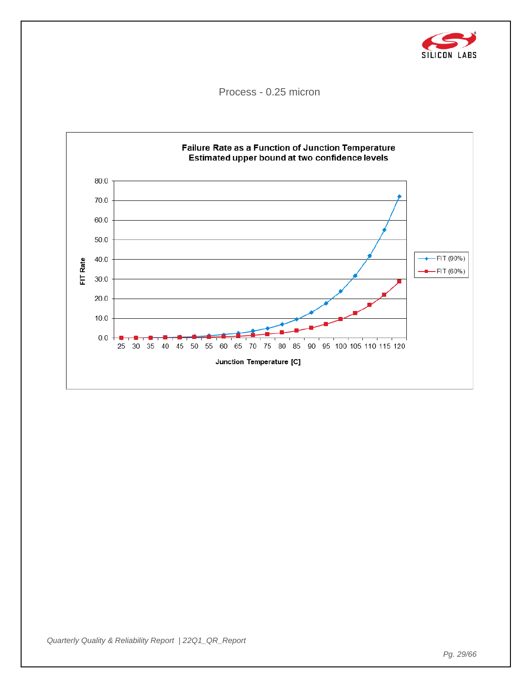![](_page_28_Picture_0.jpeg)

Process - 0.25 micron

![](_page_28_Figure_2.jpeg)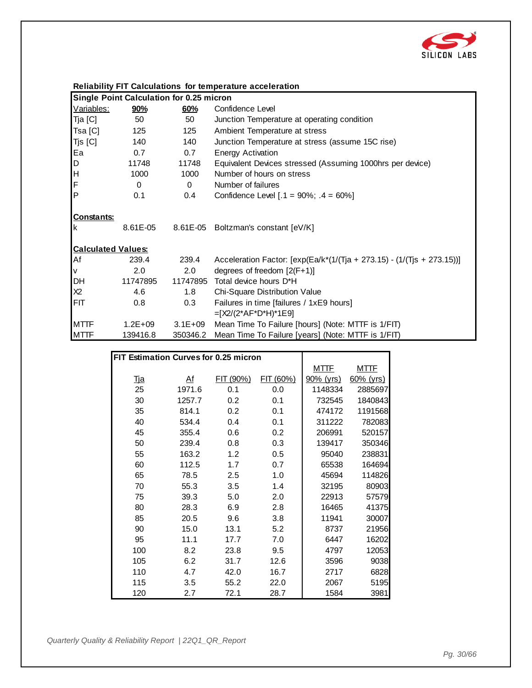![](_page_29_Picture_0.jpeg)

|                           |                                          |             | Reliability Fit Calculations for temperature acceleration                 |
|---------------------------|------------------------------------------|-------------|---------------------------------------------------------------------------|
|                           | Single Point Calculation for 0.25 micron |             |                                                                           |
| Variables:                | <u>90%</u>                               | 60%         | Confidence Level                                                          |
| Tja [C]                   | 50                                       | 50          | Junction Temperature at operating condition                               |
| Tsa [C]                   | 125                                      | 125         | Ambient Temperature at stress                                             |
| Tjs [C]                   | 140                                      | 140         | Junction Temperature at stress (assume 15C rise)                          |
| Ea                        | 0.7                                      | 0.7         | <b>Energy Activation</b>                                                  |
| D                         | 11748                                    | 11748       | Equivalent Devices stressed (Assuming 1000hrs per device)                 |
| H                         | 1000                                     | 1000        | Number of hours on stress                                                 |
| F                         | $\Omega$                                 | $\Omega$    | Number of failures                                                        |
| $\mathsf{P}$              | 0.1                                      | 0.4         | Confidence Level $[.1 = 90\%; .4 = 60\%]$                                 |
| <b>Constants:</b><br>Ιk   | 8.61E-05                                 |             | 8.61E-05 Boltzman's constant [eV/K]                                       |
| <b>Calculated Values:</b> |                                          |             |                                                                           |
| Af                        | 239.4                                    | 239.4       | Acceleration Factor: $[exp(Ea/k*(1/(Tja + 273.15) - (1/(Tjs + 273.15)))]$ |
| V                         | 2.0                                      | 2.0         | degrees of freedom $[2(F+1)]$                                             |
| DH                        | 11747895                                 | 11747895    | Total device hours D*H                                                    |
| X2                        | 4.6                                      | 1.8         | Chi-Square Distribution Value                                             |
| <b>FIT</b>                | 0.8                                      | 0.3         | Failures in time [failures / 1xE9 hours]<br>$=[X2/(2*AF*D*H)*1E9]$        |
| <b>MTTF</b>               | $1.2E + 09$                              | $3.1E + 09$ | Mean Time To Failure [hours] (Note: MTTF is 1/FIT)                        |
| <b>MTTF</b>               | 139416.8                                 | 350346.2    | Mean Time To Failure [years] (Note: MTTF is 1/FIT)                        |

| Reliability FIT Calculations for temperature acceleration |  |  |  |  |
|-----------------------------------------------------------|--|--|--|--|
|-----------------------------------------------------------|--|--|--|--|

|                                       |        |           | $\frac{1}{2}$ |             |              |
|---------------------------------------|--------|-----------|---------------|-------------|--------------|
|                                       |        |           |               |             |              |
| FIT Estimation Curves for 0.25 micron |        |           |               |             |              |
|                                       |        |           |               | <u>MTTF</u> | <u>MTTF</u>  |
| <u>Tja</u>                            | At     | FIT (90%) | FIT (60%)     | 90% (yrs)   | $60\%$ (yrs) |
| 25                                    | 1971.6 | 0.1       | 0.0           | 1148334     | 2885697      |
| 30                                    | 1257.7 | 0.2       | 0.1           | 732545      | 1840843      |
| 35                                    | 814.1  | 0.2       | 0.1           | 474172      | 1191568      |
| 40                                    | 534.4  | 0.4       | 0.1           | 311222      | 782083       |
| 45                                    | 355.4  | 0.6       | 0.2           | 206991      | 520157       |
| 50                                    | 239.4  | 0.8       | 0.3           | 139417      | 350346       |
| 55                                    | 163.2  | 1.2       | 0.5           | 95040       | 238831       |
| 60                                    | 112.5  | 1.7       | 0.7           | 65538       | 164694       |
| 65                                    | 78.5   | 2.5       | 1.0           | 45694       | 114826       |
| 70                                    | 55.3   | 3.5       | 1.4           | 32195       | 80903        |
| 75                                    | 39.3   | 5.0       | 2.0           | 22913       | 57579        |
| 80                                    | 28.3   | 6.9       | 2.8           | 16465       | 41375        |
| 85                                    | 20.5   | 9.6       | 3.8           | 11941       | 30007        |
| 90                                    | 15.0   | 13.1      | 5.2           | 8737        | 21956        |
| 95                                    | 11.1   | 17.7      | 7.0           | 6447        | 16202        |
| 100                                   | 8.2    | 23.8      | 9.5           | 4797        | 12053        |
| 105                                   | 6.2    | 31.7      | 12.6          | 3596        | 9038         |
| 110                                   | 4.7    | 42.0      | 16.7          | 2717        | 6828         |
| 115                                   | 3.5    | 55.2      | 22.0          | 2067        | 5195         |
| 120                                   | 2.7    | 72.1      | 28.7          | 1584        | 3981         |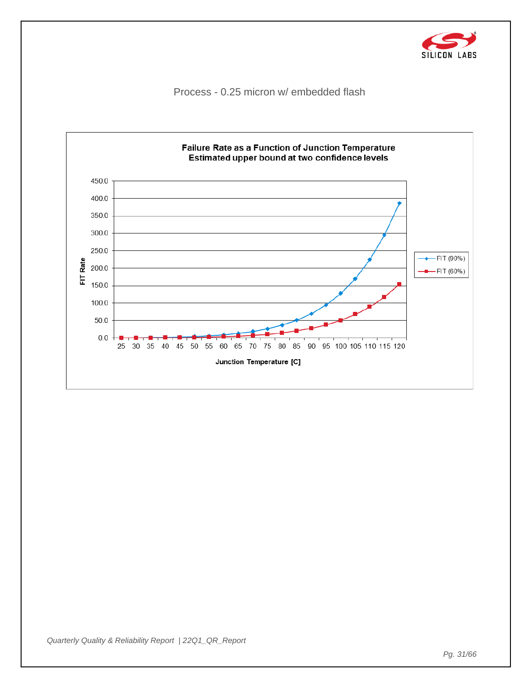![](_page_30_Picture_0.jpeg)

Process - 0.25 micron w/ embedded flash

![](_page_30_Figure_2.jpeg)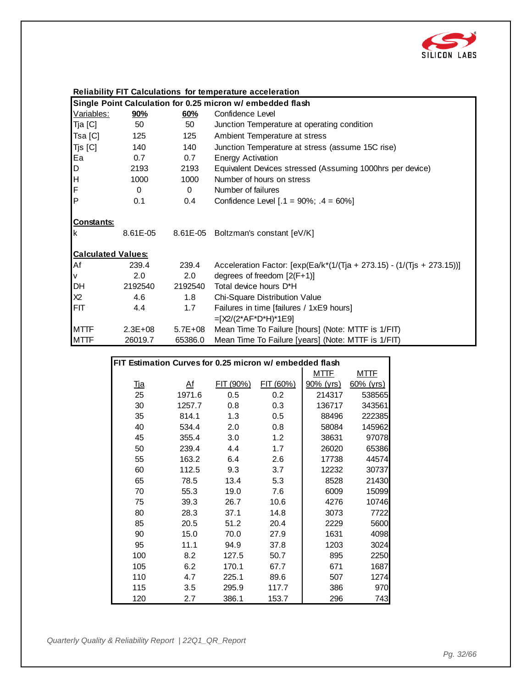![](_page_31_Picture_0.jpeg)

|  |  |  | Reliability FIT Calculations for temperature acceleration |  |
|--|--|--|-----------------------------------------------------------|--|
|  |  |  |                                                           |  |

|                           | Single Point Calculation for 0.25 micron w/ embedded flash |             |                                                                              |  |  |  |
|---------------------------|------------------------------------------------------------|-------------|------------------------------------------------------------------------------|--|--|--|
| <u>Variables:</u>         | 90%                                                        | 60%         | Confidence Level                                                             |  |  |  |
| Tja [C]                   | 50                                                         | 50          | Junction Temperature at operating condition                                  |  |  |  |
| Tsa [C]                   | 125                                                        | 125         | Ambient Temperature at stress                                                |  |  |  |
| Tjs [C]                   | 140                                                        | 140         | Junction Temperature at stress (assume 15C rise)                             |  |  |  |
| Ea                        | 0.7                                                        | 0.7         | <b>Energy Activation</b>                                                     |  |  |  |
| D                         | 2193                                                       | 2193        | Equivalent Devices stressed (Assuming 1000hrs per device)                    |  |  |  |
| H                         | 1000                                                       | 1000        | Number of hours on stress                                                    |  |  |  |
| F                         | $\Omega$                                                   | $\Omega$    | Number of failures                                                           |  |  |  |
| P                         | 0.1                                                        | 0.4         | Confidence Level $[.1 = 90\%; .4 = 60\%]$                                    |  |  |  |
| <b>Constants:</b><br>Ιk   | 8.61E-05                                                   |             | 8.61E-05 Boltzman's constant [eV/K]                                          |  |  |  |
| <b>Calculated Values:</b> |                                                            |             |                                                                              |  |  |  |
| Af                        | 239.4                                                      | 239.4       | Acceleration Factor: $[\exp(Ea/k^{*}(1/(T)a + 273.15) - (1/(T)a + 273.15))]$ |  |  |  |
| V                         | 2.0                                                        | 2.0         | degrees of freedom $[2(F+1)]$                                                |  |  |  |
| DH                        | 2192540                                                    | 2192540     | Total device hours D*H                                                       |  |  |  |
| X2                        | 4.6                                                        | 1.8         | Chi-Square Distribution Value                                                |  |  |  |
| <b>FIT</b>                | 4.4                                                        | 1.7         | Failures in time [failures / 1xE9 hours]                                     |  |  |  |
|                           |                                                            |             | $=[X2/(2*AF*D*H)*1E9]$                                                       |  |  |  |
| <b>MTTF</b>               | $2.3E + 08$                                                | $5.7E + 08$ | Mean Time To Failure [hours] (Note: MTTF is 1/FIT)                           |  |  |  |
| <b>MTTF</b>               | 26019.7                                                    | 65386.0     | Mean Time To Failure [years] (Note: MTTF is 1/FIT)                           |  |  |  |

|                                                         |                |           | $\frac{1}{2}$ |             |              |
|---------------------------------------------------------|----------------|-----------|---------------|-------------|--------------|
|                                                         |                |           |               |             |              |
| FIT Estimation Curves for 0.25 micron w/ embedded flash |                |           |               |             |              |
|                                                         |                |           |               | <u>MTTF</u> | <u>MTTF</u>  |
| <u>Tja</u>                                              | A <sup>f</sup> | FIT (90%) | FIT (60%)     | 90% (yrs)   | $60\%$ (yrs) |
| 25                                                      | 1971.6         | 0.5       | 0.2           | 214317      | 538565       |
| 30                                                      | 1257.7         | 0.8       | 0.3           | 136717      | 343561       |
| 35                                                      | 814.1          | 1.3       | 0.5           | 88496       | 222385       |
| 40                                                      | 534.4          | 2.0       | 0.8           | 58084       | 145962       |
| 45                                                      | 355.4          | 3.0       | 1.2           | 38631       | 97078        |
| 50                                                      | 239.4          | 4.4       | 1.7           | 26020       | 65386        |
| 55                                                      | 163.2          | 6.4       | 2.6           | 17738       | 44574        |
| 60                                                      | 112.5          | 9.3       | 3.7           | 12232       | 30737        |
| 65                                                      | 78.5           | 13.4      | 5.3           | 8528        | 21430        |
| 70                                                      | 55.3           | 19.0      | 7.6           | 6009        | 15099        |
| 75                                                      | 39.3           | 26.7      | 10.6          | 4276        | 10746        |
| 80                                                      | 28.3           | 37.1      | 14.8          | 3073        | 7722         |
| 85                                                      | 20.5           | 51.2      | 20.4          | 2229        | 5600         |
| 90                                                      | 15.0           | 70.0      | 27.9          | 1631        | 4098         |
| 95                                                      | 11.1           | 94.9      | 37.8          | 1203        | 3024         |
| 100                                                     | 8.2            | 127.5     | 50.7          | 895         | 2250         |
| 105                                                     | 6.2            | 170.1     | 67.7          | 671         | 1687         |
| 110                                                     | 4.7            | 225.1     | 89.6          | 507         | 1274         |
| 115                                                     | 3.5            | 295.9     | 117.7         | 386         | 970          |
| 120                                                     | 2.7            | 386.1     | 153.7         | 296         | 743          |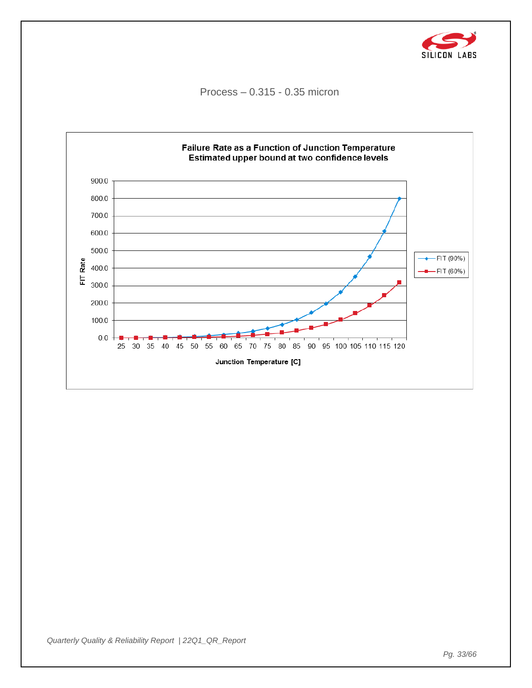![](_page_32_Picture_0.jpeg)

Process – 0.315 - 0.35 micron

![](_page_32_Figure_2.jpeg)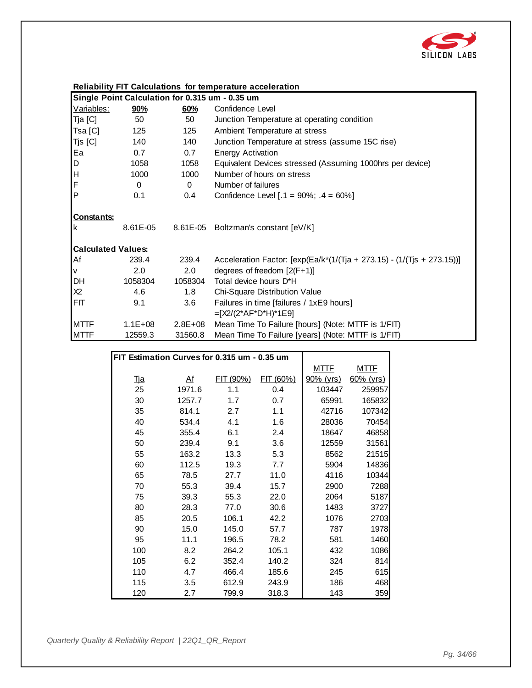![](_page_33_Picture_0.jpeg)

#### **Reliability FIT Calculations for temperature acceleration**

|                           | Single Point Calculation for 0.315 um - 0.35 um |             |                                                                           |  |  |  |
|---------------------------|-------------------------------------------------|-------------|---------------------------------------------------------------------------|--|--|--|
| Variables:                | <u>90%</u>                                      | 60%         | Confidence Level                                                          |  |  |  |
| Tja [C]                   | 50                                              | 50          | Junction Temperature at operating condition                               |  |  |  |
| Tsa [C]                   | 125                                             | 125         | Ambient Temperature at stress                                             |  |  |  |
| Tjs [C]                   | 140                                             | 140         | Junction Temperature at stress (assume 15C rise)                          |  |  |  |
| Ea                        | 0.7                                             | 0.7         | <b>Energy Activation</b>                                                  |  |  |  |
| D                         | 1058                                            | 1058        | Equivalent Devices stressed (Assuming 1000hrs per device)                 |  |  |  |
| H                         | 1000                                            | 1000        | Number of hours on stress                                                 |  |  |  |
| F                         | $\Omega$                                        | $\Omega$    | Number of failures                                                        |  |  |  |
| <b>P</b>                  | 0.1                                             | 0.4         | Confidence Level $[.1 = 90\%; .4 = 60\%]$                                 |  |  |  |
| <b>Constants:</b>         |                                                 |             |                                                                           |  |  |  |
| Ιk                        | 8.61E-05                                        |             | 8.61E-05 Boltzman's constant [eV/K]                                       |  |  |  |
| <b>Calculated Values:</b> |                                                 |             |                                                                           |  |  |  |
| Af                        | 239.4                                           | 239.4       | Acceleration Factor: $[exp(Ea/k*(1/(Tja + 273.15) - (1/(Tjs + 273.15)))]$ |  |  |  |
| V                         | 2.0                                             | 2.0         | degrees of freedom $[2(F+1)]$                                             |  |  |  |
| DH                        | 1058304                                         | 1058304     | Total device hours D*H                                                    |  |  |  |
| X2                        | 4.6                                             | 1.8         | Chi-Square Distribution Value                                             |  |  |  |
| <b>FIT</b>                | 9.1                                             | 3.6         | Failures in time [failures / 1xE9 hours]                                  |  |  |  |
|                           |                                                 |             | $=[X2/(2*AF*D*H)*1E9]$                                                    |  |  |  |
| <b>MTTF</b>               | $1.1E + 08$                                     | $2.8E + 08$ | Mean Time To Failure [hours] (Note: MTTF is 1/FIT)                        |  |  |  |
| <b>MTTF</b>               | 12559.3                                         | 31560.8     | Mean Time To Failure [years] (Note: MTTF is 1/FIT)                        |  |  |  |

|                                              |           |           | $\frac{1}{2}$ |                  |              |
|----------------------------------------------|-----------|-----------|---------------|------------------|--------------|
|                                              |           |           |               |                  |              |
| FIT Estimation Curves for 0.315 um - 0.35 um |           |           |               |                  |              |
|                                              |           |           |               | <b>MTTF</b>      | <u>MTTF</u>  |
| <u>Tja</u>                                   | <u>Af</u> | FIT (90%) | FIT (60%)     | <u>90% (yrs)</u> | $60\%$ (yrs) |
| 25                                           | 1971.6    | 1.1       | 0.4           | 103447           | 259957       |
| 30                                           | 1257.7    | 1.7       | 0.7           | 65991            | 165832       |
| 35                                           | 814.1     | 2.7       | 1.1           | 42716            | 107342       |
| 40                                           | 534.4     | 4.1       | 1.6           | 28036            | 70454        |
| 45                                           | 355.4     | 6.1       | 2.4           | 18647            | 46858        |
| 50                                           | 239.4     | 9.1       | 3.6           | 12559            | 31561        |
| 55                                           | 163.2     | 13.3      | 5.3           | 8562             | 21515        |
| 60                                           | 112.5     | 19.3      | 7.7           | 5904             | 14836        |
| 65                                           | 78.5      | 27.7      | 11.0          | 4116             | 10344        |
| 70                                           | 55.3      | 39.4      | 15.7          | 2900             | 7288         |
| 75                                           | 39.3      | 55.3      | 22.0          | 2064             | 5187         |
| 80                                           | 28.3      | 77.0      | 30.6          | 1483             | 3727         |
| 85                                           | 20.5      | 106.1     | 42.2          | 1076             | 2703         |
| 90                                           | 15.0      | 145.0     | 57.7          | 787              | 1978         |
| 95                                           | 11.1      | 196.5     | 78.2          | 581              | 1460         |
| 100                                          | 8.2       | 264.2     | 105.1         | 432              | 1086         |
| 105                                          | 6.2       | 352.4     | 140.2         | 324              | 814          |
| 110                                          | 4.7       | 466.4     | 185.6         | 245              | 615          |
| 115                                          | 3.5       | 612.9     | 243.9         | 186              | 468          |
| 120                                          | 2.7       | 799.9     | 318.3         | 143              | 359          |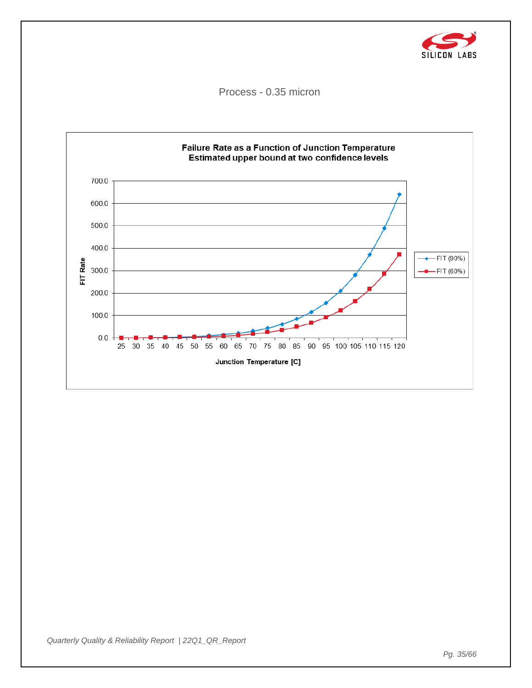![](_page_34_Picture_0.jpeg)

Process - 0.35 micron

![](_page_34_Figure_2.jpeg)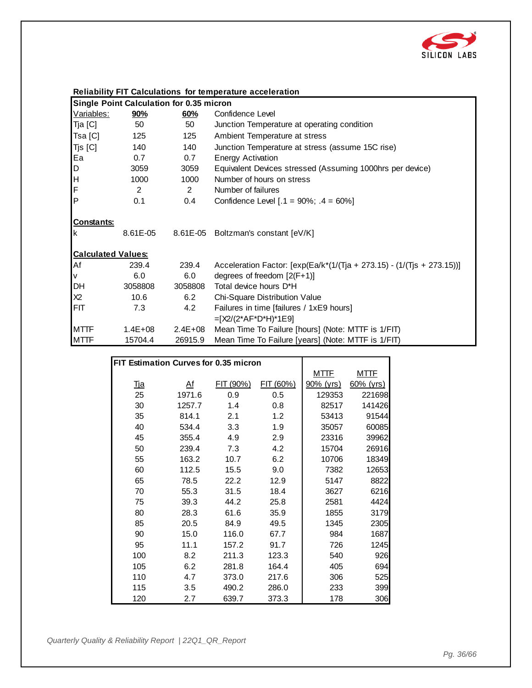![](_page_35_Picture_0.jpeg)

|  | <b>Reliability FIT Calculations for temperature acceleration</b> |
|--|------------------------------------------------------------------|
|--|------------------------------------------------------------------|

|                           | Single Point Calculation for 0.35 micron |             |                                                                           |  |  |  |
|---------------------------|------------------------------------------|-------------|---------------------------------------------------------------------------|--|--|--|
| Variables:                | <u>90%</u>                               | 60%         | Confidence Level                                                          |  |  |  |
| Tja [C]                   | 50                                       | 50          | Junction Temperature at operating condition                               |  |  |  |
| Tsa [C]                   | 125                                      | 125         | Ambient Temperature at stress                                             |  |  |  |
| Tjs [C]                   | 140                                      | 140         | Junction Temperature at stress (assume 15C rise)                          |  |  |  |
| Ea                        | 0.7                                      | 0.7         | <b>Energy Activation</b>                                                  |  |  |  |
| D                         | 3059                                     | 3059        | Equivalent Devices stressed (Assuming 1000hrs per device)                 |  |  |  |
| ļн                        | 1000                                     | 1000        | Number of hours on stress                                                 |  |  |  |
| F                         | 2                                        | 2           | Number of failures                                                        |  |  |  |
| lP.                       | 0.1                                      | 0.4         | Confidence Level $[.1 = 90\%; .4 = 60\%]$                                 |  |  |  |
| Constants:<br>Ιk          |                                          |             | 8.61E-05 8.61E-05 Boltzman's constant [eV/K]                              |  |  |  |
| <b>Calculated Values:</b> |                                          |             |                                                                           |  |  |  |
| Af                        | 239.4                                    | 239.4       | Acceleration Factor: $[exp(Ea/k*(1/(Tja + 273.15) - (1/(Tjs + 273.15)))]$ |  |  |  |
| V                         | 6.0                                      | 6.0         | degrees of freedom $[2(F+1)]$                                             |  |  |  |
| DH                        | 3058808                                  | 3058808     | Total device hours D*H                                                    |  |  |  |
| X2                        | 10.6                                     | 6.2         | Chi-Square Distribution Value                                             |  |  |  |
| FIT                       | 7.3                                      | 4.2         | Failures in time [failures / 1xE9 hours]                                  |  |  |  |
|                           |                                          |             | $=[X2/(2*AF*D*H)*1E9]$                                                    |  |  |  |
| <b>MTTF</b>               | $1.4E + 08$                              | $2.4E + 08$ | Mean Time To Failure [hours] (Note: MTTF is 1/FIT)                        |  |  |  |
| <b>MTTF</b>               | 15704.4                                  | 26915.9     | Mean Time To Failure [years] (Note: MTTF is 1/FIT)                        |  |  |  |

|                                       |                |           | $\frac{1}{2}$ |             |              |
|---------------------------------------|----------------|-----------|---------------|-------------|--------------|
|                                       |                |           |               |             |              |
| FIT Estimation Curves for 0.35 micron |                |           |               |             |              |
|                                       |                |           |               | <u>MTTF</u> | <u>MTTF</u>  |
| <u>Tja</u>                            | A <sup>f</sup> | FIT (90%) | FIT (60%)     | 90% (yrs)   | $60\%$ (yrs) |
| 25                                    | 1971.6         | 0.9       | 0.5           | 129353      | 221698       |
| 30                                    | 1257.7         | 1.4       | 0.8           | 82517       | 141426       |
| 35                                    | 814.1          | 2.1       | 1.2           | 53413       | 91544        |
| 40                                    | 534.4          | 3.3       | 1.9           | 35057       | 60085        |
| 45                                    | 355.4          | 4.9       | 2.9           | 23316       | 39962        |
| 50                                    | 239.4          | 7.3       | 4.2           | 15704       | 26916        |
| 55                                    | 163.2          | 10.7      | 6.2           | 10706       | 18349        |
| 60                                    | 112.5          | 15.5      | 9.0           | 7382        | 12653        |
| 65                                    | 78.5           | 22.2      | 12.9          | 5147        | 8822         |
| 70                                    | 55.3           | 31.5      | 18.4          | 3627        | 6216         |
| 75                                    | 39.3           | 44.2      | 25.8          | 2581        | 4424         |
| 80                                    | 28.3           | 61.6      | 35.9          | 1855        | 3179         |
| 85                                    | 20.5           | 84.9      | 49.5          | 1345        | 2305         |
| 90                                    | 15.0           | 116.0     | 67.7          | 984         | 1687         |
| 95                                    | 11.1           | 157.2     | 91.7          | 726         | 1245         |
| 100                                   | 8.2            | 211.3     | 123.3         | 540         | 926          |
| 105                                   | 6.2            | 281.8     | 164.4         | 405         | 694          |
| 110                                   | 4.7            | 373.0     | 217.6         | 306         | 525          |
| 115                                   | 3.5            | 490.2     | 286.0         | 233         | 399          |
| 120                                   | 2.7            | 639.7     | 373.3         | 178         | 306          |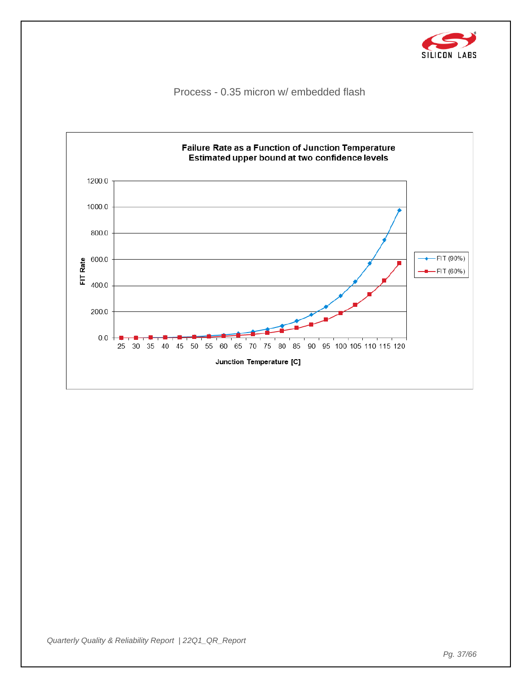![](_page_36_Picture_0.jpeg)

Process - 0.35 micron w/ embedded flash

![](_page_36_Figure_2.jpeg)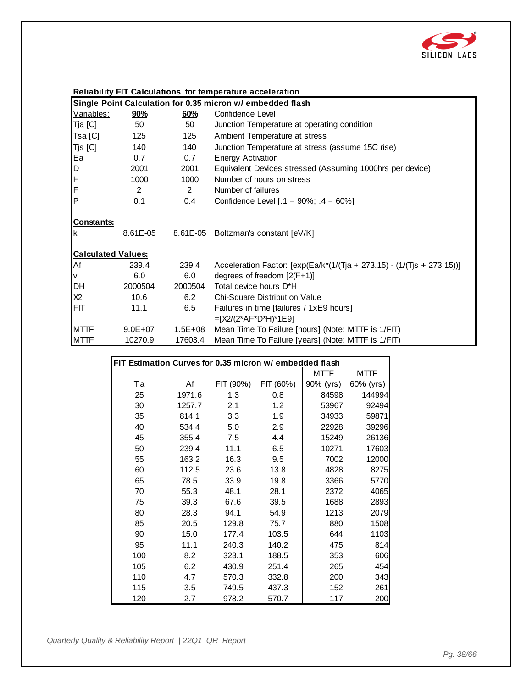![](_page_37_Picture_0.jpeg)

| Single Point Calculation for 0.35 micron w/ embedded flash |             |             |                                                                           |  |  |
|------------------------------------------------------------|-------------|-------------|---------------------------------------------------------------------------|--|--|
| <u>Variables:</u>                                          | 90%         | 60%         | Confidence Level                                                          |  |  |
| Tja [C]                                                    | 50          | 50          | Junction Temperature at operating condition                               |  |  |
| Tsa [C]                                                    | 125         | 125         | Ambient Temperature at stress                                             |  |  |
| Tjs [C]                                                    | 140         | 140         | Junction Temperature at stress (assume 15C rise)                          |  |  |
| Ea                                                         | 0.7         | 0.7         | <b>Energy Activation</b>                                                  |  |  |
| D                                                          | 2001        | 2001        | Equivalent Devices stressed (Assuming 1000hrs per device)                 |  |  |
| H                                                          | 1000        | 1000        | Number of hours on stress                                                 |  |  |
| F                                                          | 2           | 2           | Number of failures                                                        |  |  |
| $\mathsf{P}$                                               | 0.1         | 0.4         | Confidence Level $[.1 = 90\%; .4 = 60\%]$                                 |  |  |
| <b>Constants:</b><br>Ιk                                    | 8.61E-05    |             | 8.61E-05 Boltzman's constant [eV/K]                                       |  |  |
| <b>Calculated Values:</b>                                  |             |             |                                                                           |  |  |
| Af                                                         | 239.4       | 239.4       | Acceleration Factor: $[exp(Ea/k*(1/(Tja + 273.15) - (1/(Tjs + 273.15)))]$ |  |  |
| V                                                          | 6.0         | 6.0         | degrees of freedom $[2(F+1)]$                                             |  |  |
| DH                                                         | 2000504     | 2000504     | Total device hours D*H                                                    |  |  |
| X2                                                         | 10.6        | 6.2         | Chi-Square Distribution Value                                             |  |  |
| <b>FIT</b>                                                 | 11.1        | 6.5         | Failures in time [failures / 1xE9 hours]                                  |  |  |
|                                                            |             |             | $=[X2/(2*AF*D*H)*1E9]$                                                    |  |  |
| <b>MTTF</b>                                                | $9.0E + 07$ | $1.5E + 08$ | Mean Time To Failure [hours] (Note: MTTF is 1/FIT)                        |  |  |
| <b>MTTF</b>                                                | 10270.9     | 17603.4     | Mean Time To Failure [years] (Note: MTTF is 1/FIT)                        |  |  |

|                                                         |        |           | <b>10 Tanaro</b> [youro] (Hoto: MTTH |             |              |
|---------------------------------------------------------|--------|-----------|--------------------------------------|-------------|--------------|
|                                                         |        |           |                                      |             |              |
| FIT Estimation Curves for 0.35 micron w/ embedded flash |        |           |                                      |             |              |
|                                                         |        |           |                                      | <u>MTTF</u> | <u>MTTF</u>  |
| <u>Tja</u>                                              | A f    | FIT (90%) | FIT (60%)                            | 90% (yrs)   | $60\%$ (yrs) |
| 25                                                      | 1971.6 | 1.3       | 0.8                                  | 84598       | 144994       |
| 30                                                      | 1257.7 | 2.1       | 1.2                                  | 53967       | 92494        |
| 35                                                      | 814.1  | 3.3       | 1.9                                  | 34933       | 59871        |
| 40                                                      | 534.4  | 5.0       | 2.9                                  | 22928       | 39296        |
| 45                                                      | 355.4  | 7.5       | 4.4                                  | 15249       | 26136        |
| 50                                                      | 239.4  | 11.1      | 6.5                                  | 10271       | 17603        |
| 55                                                      | 163.2  | 16.3      | 9.5                                  | 7002        | 12000        |
| 60                                                      | 112.5  | 23.6      | 13.8                                 | 4828        | 8275         |
| 65                                                      | 78.5   | 33.9      | 19.8                                 | 3366        | 5770         |
| 70                                                      | 55.3   | 48.1      | 28.1                                 | 2372        | 4065         |
| 75                                                      | 39.3   | 67.6      | 39.5                                 | 1688        | 2893         |
| 80                                                      | 28.3   | 94.1      | 54.9                                 | 1213        | 2079         |
| 85                                                      | 20.5   | 129.8     | 75.7                                 | 880         | 1508         |
| 90                                                      | 15.0   | 177.4     | 103.5                                | 644         | 1103         |
| 95                                                      | 11.1   | 240.3     | 140.2                                | 475         | 814          |
| 100                                                     | 8.2    | 323.1     | 188.5                                | 353         | 606          |
| 105                                                     | 6.2    | 430.9     | 251.4                                | 265         | 454          |
| 110                                                     | 4.7    | 570.3     | 332.8                                | 200         | 343          |
| 115                                                     | 3.5    | 749.5     | 437.3                                | 152         | 261          |
| 120                                                     | 2.7    | 978.2     | 570.7                                | 117         | 200          |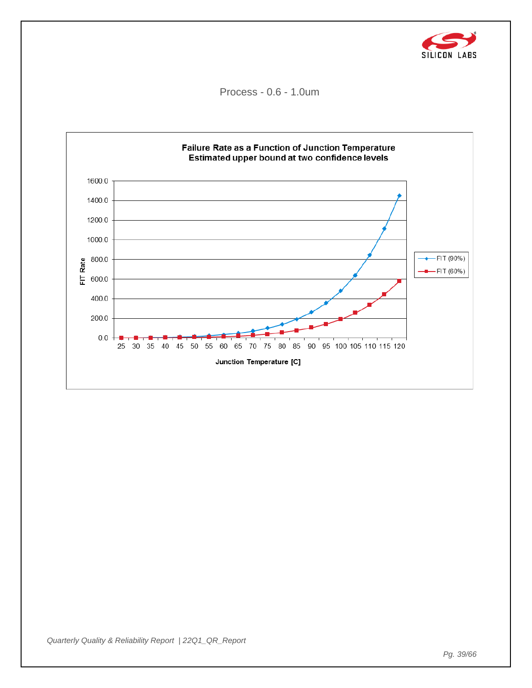![](_page_38_Picture_0.jpeg)

Process - 0.6 - 1.0um

![](_page_38_Figure_2.jpeg)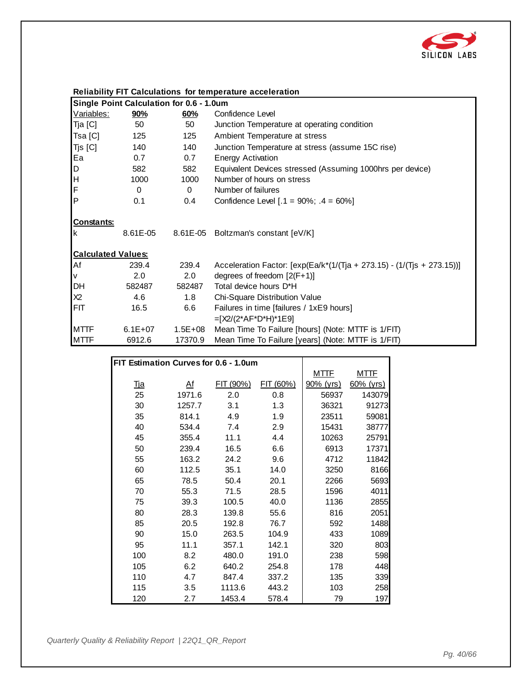![](_page_39_Picture_0.jpeg)

|  | <b>Reliability FIT Calculations for temperature acceleration</b> |
|--|------------------------------------------------------------------|
|--|------------------------------------------------------------------|

|                           | Single Point Calculation for 0.6 - 1.0um |             |                                                                           |  |  |  |
|---------------------------|------------------------------------------|-------------|---------------------------------------------------------------------------|--|--|--|
| Variables:                | <u>90%</u>                               | 60%         | Confidence Level                                                          |  |  |  |
| Tja [C]                   | 50                                       | 50          | Junction Temperature at operating condition                               |  |  |  |
| Tsa [C]                   | 125                                      | 125         | Ambient Temperature at stress                                             |  |  |  |
| Tjs [C]                   | 140                                      | 140         | Junction Temperature at stress (assume 15C rise)                          |  |  |  |
| Ea                        | 0.7                                      | 0.7         | <b>Energy Activation</b>                                                  |  |  |  |
| D                         | 582                                      | 582         | Equivalent Devices stressed (Assuming 1000hrs per device)                 |  |  |  |
| H                         | 1000                                     | 1000        | Number of hours on stress                                                 |  |  |  |
| F                         | $\Omega$                                 | $\Omega$    | Number of failures                                                        |  |  |  |
| <b>P</b>                  | 0.1                                      | 0.4         | Confidence Level $[.1 = 90\%; .4 = 60\%]$                                 |  |  |  |
| Constants:                |                                          |             |                                                                           |  |  |  |
| Ιk                        | 8.61E-05                                 |             | 8.61E-05 Boltzman's constant [eV/K]                                       |  |  |  |
| <b>Calculated Values:</b> |                                          |             |                                                                           |  |  |  |
| Af                        | 239.4                                    | 239.4       | Acceleration Factor: $[exp(Ea/k*(1/(Tja + 273.15) - (1/(Tjs + 273.15)))]$ |  |  |  |
| V                         | 2.0                                      | 2.0         | degrees of freedom $[2(F+1)]$                                             |  |  |  |
| DH                        | 582487                                   | 582487      | Total device hours D*H                                                    |  |  |  |
| X2                        | 4.6                                      | 1.8         | Chi-Square Distribution Value                                             |  |  |  |
| FIT                       | 16.5                                     | 6.6         | Failures in time [failures / 1xE9 hours]                                  |  |  |  |
|                           |                                          |             | $=[X2/(2*AF*D*H)*1E9]$                                                    |  |  |  |
| <b>MTTF</b>               | $6.1E+07$                                | $1.5E + 08$ | Mean Time To Failure [hours] (Note: MTTF is 1/FIT)                        |  |  |  |
| <b>MTTF</b>               | 6912.6                                   | 17370.9     | Mean Time To Failure [years] (Note: MTTF is 1/FIT)                        |  |  |  |

|                                       |                |           | modif inno To Failuro [youro] (Hoto: MTTH |             |              |
|---------------------------------------|----------------|-----------|-------------------------------------------|-------------|--------------|
|                                       |                |           |                                           |             |              |
| FIT Estimation Curves for 0.6 - 1.0um |                |           |                                           |             |              |
|                                       |                |           |                                           | <u>MTTF</u> | <u>MTTF</u>  |
| <u>Тја</u>                            | A <sup>f</sup> | FIT (90%) | FIT (60%)                                 | 90% (yrs)   | $60\%$ (yrs) |
| 25                                    | 1971.6         | 2.0       | 0.8                                       | 56937       | 143079       |
| 30                                    | 1257.7         | 3.1       | 1.3                                       | 36321       | 91273        |
| 35                                    | 814.1          | 4.9       | 1.9                                       | 23511       | 59081        |
| 40                                    | 534.4          | 7.4       | 2.9                                       | 15431       | 38777        |
| 45                                    | 355.4          | 11.1      | 4.4                                       | 10263       | 25791        |
| 50                                    | 239.4          | 16.5      | 6.6                                       | 6913        | 17371        |
| 55                                    | 163.2          | 24.2      | 9.6                                       | 4712        | 11842        |
| 60                                    | 112.5          | 35.1      | 14.0                                      | 3250        | 8166         |
| 65                                    | 78.5           | 50.4      | 20.1                                      | 2266        | 5693         |
| 70                                    | 55.3           | 71.5      | 28.5                                      | 1596        | 4011         |
| 75                                    | 39.3           | 100.5     | 40.0                                      | 1136        | 2855         |
| 80                                    | 28.3           | 139.8     | 55.6                                      | 816         | 2051         |
| 85                                    | 20.5           | 192.8     | 76.7                                      | 592         | 1488         |
| 90                                    | 15.0           | 263.5     | 104.9                                     | 433         | 1089         |
| 95                                    | 11.1           | 357.1     | 142.1                                     | 320         | 803          |
| 100                                   | 8.2            | 480.0     | 191.0                                     | 238         | 598          |
| 105                                   | 6.2            | 640.2     | 254.8                                     | 178         | 448          |
| 110                                   | 4.7            | 847.4     | 337.2                                     | 135         | 339          |
| 115                                   | 3.5            | 1113.6    | 443.2                                     | 103         | 258          |
| 120                                   | 2.7            | 1453.4    | 578.4                                     | 79          | 197          |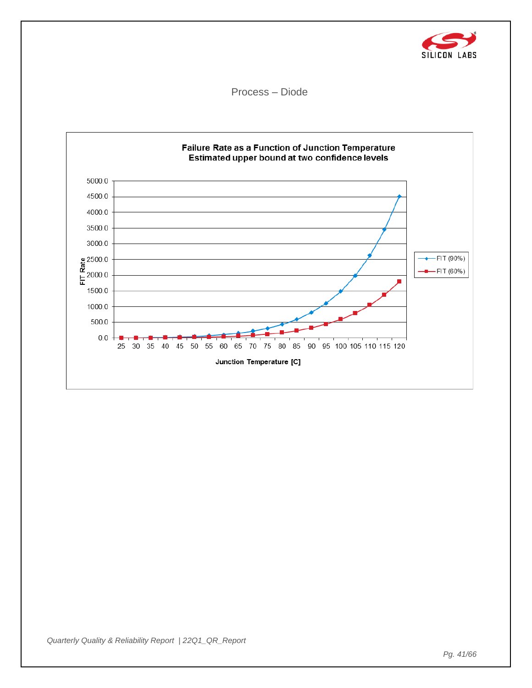![](_page_40_Picture_0.jpeg)

Process – Diode

![](_page_40_Figure_2.jpeg)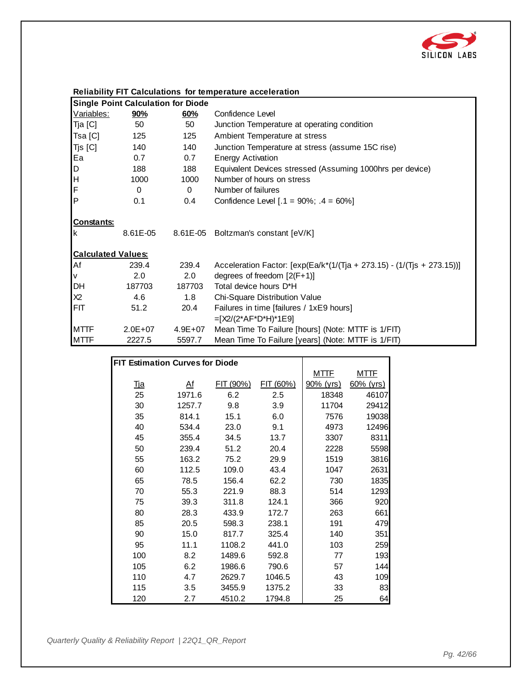![](_page_41_Picture_0.jpeg)

|                           | <b>Single Point Calculation for Diode</b> |             |                                                                              |  |  |  |  |
|---------------------------|-------------------------------------------|-------------|------------------------------------------------------------------------------|--|--|--|--|
| Variables:                | 90%                                       | 60%         | Confidence Level                                                             |  |  |  |  |
| Tja [C]                   | 50                                        | 50          | Junction Temperature at operating condition                                  |  |  |  |  |
| Tsa [C]                   | 125                                       | 125         | Ambient Temperature at stress                                                |  |  |  |  |
| Tjs [C]                   | 140                                       | 140         | Junction Temperature at stress (assume 15C rise)                             |  |  |  |  |
| Ea                        | 0.7                                       | 0.7         | <b>Energy Activation</b>                                                     |  |  |  |  |
| D                         | 188                                       | 188         | Equivalent Devices stressed (Assuming 1000hrs per device)                    |  |  |  |  |
| ļн                        | 1000                                      | 1000        | Number of hours on stress                                                    |  |  |  |  |
| F                         | 0                                         | $\Omega$    | Number of failures                                                           |  |  |  |  |
| ΙP                        | 0.1                                       | 0.4         | Confidence Level $[.1 = 90\%; .4 = 60\%]$                                    |  |  |  |  |
| <b>Constants:</b><br>Ιk   | 8.61E-05                                  |             | 8.61E-05 Boltzman's constant [eV/K]                                          |  |  |  |  |
| <b>Calculated Values:</b> |                                           |             |                                                                              |  |  |  |  |
| Af                        | 239.4                                     | 239.4       | Acceleration Factor: $[\exp(Ea/k^{*}(1/(T)a + 273.15) - (1/(T)a + 273.15))]$ |  |  |  |  |
| V                         | 2.0                                       | 2.0         | degrees of freedom $[2(F+1)]$                                                |  |  |  |  |
| DH                        | 187703                                    | 187703      | Total device hours D*H                                                       |  |  |  |  |
| X2                        | 4.6                                       | 1.8         | Chi-Square Distribution Value                                                |  |  |  |  |
| FIT                       | 51.2                                      | 20.4        | Failures in time [failures / 1xE9 hours]                                     |  |  |  |  |
|                           |                                           |             | $=[X2/(2*AF*D*H)*1E9]$                                                       |  |  |  |  |
| <b>MTTF</b>               | $2.0E + 07$                               | $4.9E + 07$ | Mean Time To Failure [hours] (Note: MTTF is 1/FIT)                           |  |  |  |  |
| <b>MTTF</b>               | 2227.5                                    | 5597.7      | Mean Time To Failure [years] (Note: MTTF is 1/FIT)                           |  |  |  |  |

|                                        |                |           | $\frac{1}{2}$ |             |              |
|----------------------------------------|----------------|-----------|---------------|-------------|--------------|
|                                        |                |           |               |             |              |
| <b>FIT Estimation Curves for Diode</b> |                |           |               |             |              |
|                                        |                |           |               | <u>MTTF</u> | <u>MTTF</u>  |
| <u>Тја</u>                             | A <sup>f</sup> | FIT (90%) | FIT (60%)     | 90% (yrs)   | $60\%$ (yrs) |
| 25                                     | 1971.6         | 6.2       | 2.5           | 18348       | 46107        |
| 30                                     | 1257.7         | 9.8       | 3.9           | 11704       | 29412        |
| 35                                     | 814.1          | 15.1      | 6.0           | 7576        | 19038        |
| 40                                     | 534.4          | 23.0      | 9.1           | 4973        | 12496        |
| 45                                     | 355.4          | 34.5      | 13.7          | 3307        | 8311         |
| 50                                     | 239.4          | 51.2      | 20.4          | 2228        | 5598         |
| 55                                     | 163.2          | 75.2      | 29.9          | 1519        | 3816         |
| 60                                     | 112.5          | 109.0     | 43.4          | 1047        | 2631         |
| 65                                     | 78.5           | 156.4     | 62.2          | 730         | 1835         |
| 70                                     | 55.3           | 221.9     | 88.3          | 514         | 1293         |
| 75                                     | 39.3           | 311.8     | 124.1         | 366         | 920          |
| 80                                     | 28.3           | 433.9     | 172.7         | 263         | 661          |
| 85                                     | 20.5           | 598.3     | 238.1         | 191         | 479          |
| 90                                     | 15.0           | 817.7     | 325.4         | 140         | 351          |
| 95                                     | 11.1           | 1108.2    | 441.0         | 103         | 259          |
| 100                                    | 8.2            | 1489.6    | 592.8         | 77          | 193          |
| 105                                    | 6.2            | 1986.6    | 790.6         | 57          | 144          |
| 110                                    | 4.7            | 2629.7    | 1046.5        | 43          | 109          |
| 115                                    | 3.5            | 3455.9    | 1375.2        | 33          | 83           |
| 120                                    | 2.7            | 4510.2    | 1794.8        | 25          | 64           |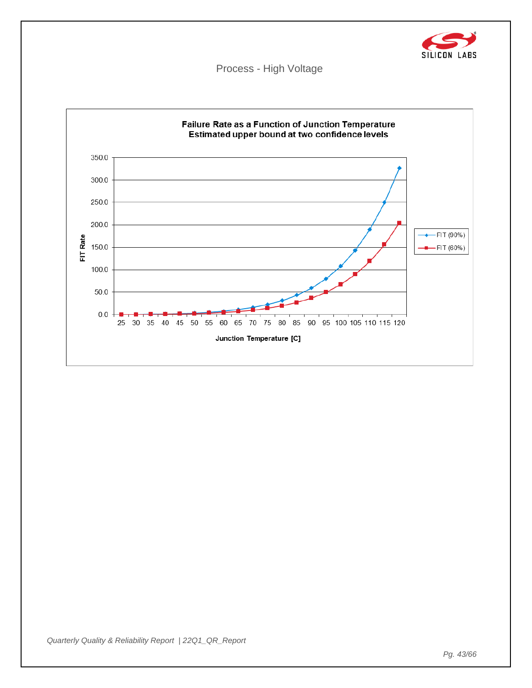![](_page_42_Picture_0.jpeg)

Process - High Voltage

![](_page_42_Figure_2.jpeg)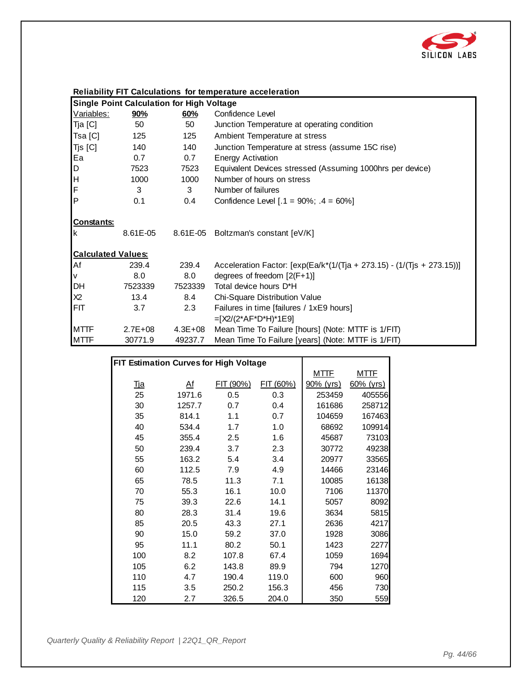![](_page_43_Picture_0.jpeg)

| <b>Single Point Calculation for High Voltage</b> |             |             |                                                                           |  |  |  |
|--------------------------------------------------|-------------|-------------|---------------------------------------------------------------------------|--|--|--|
| Variables:                                       | <u>90%</u>  | 60%         | Confidence Level                                                          |  |  |  |
| Tja [C]                                          | 50          | 50          | Junction Temperature at operating condition                               |  |  |  |
| Tsa [C]                                          | 125         | 125         | Ambient Temperature at stress                                             |  |  |  |
| Tjs [C]                                          | 140         | 140         | Junction Temperature at stress (assume 15C rise)                          |  |  |  |
| Ea                                               | 0.7         | 0.7         | <b>Energy Activation</b>                                                  |  |  |  |
| D                                                | 7523        | 7523        | Equivalent Devices stressed (Assuming 1000hrs per device)                 |  |  |  |
| ļн                                               | 1000        | 1000        | Number of hours on stress                                                 |  |  |  |
| F                                                | 3           | 3           | Number of failures                                                        |  |  |  |
| <b>P</b>                                         | 0.1         | 0.4         | Confidence Level $[.1 = 90\%; .4 = 60\%]$                                 |  |  |  |
| Constants:<br>Ιk                                 |             |             | 8.61E-05 8.61E-05 Boltzman's constant [eV/K]                              |  |  |  |
| <b>Calculated Values:</b>                        |             |             |                                                                           |  |  |  |
| Af                                               | 239.4       | 239.4       | Acceleration Factor: $[exp(Ea/k*(1/(Tja + 273.15) - (1/(Tjs + 273.15)))]$ |  |  |  |
| V                                                | 8.0         | 8.0         | degrees of freedom $[2(F+1)]$                                             |  |  |  |
| DH                                               | 7523339     | 7523339     | Total device hours D*H                                                    |  |  |  |
| X2                                               | 13.4        | 8.4         | Chi-Square Distribution Value                                             |  |  |  |
| FIT                                              | 3.7         | 2.3         | Failures in time [failures / 1xE9 hours]                                  |  |  |  |
|                                                  |             |             | $=[X2/(2*AF*D*H)*1E9]$                                                    |  |  |  |
| <b>MTTF</b>                                      | $2.7E + 08$ | $4.3E + 08$ | Mean Time To Failure [hours] (Note: MTTF is 1/FIT)                        |  |  |  |
| <b>MTTF</b>                                      | 30771.9     | 49237.7     | Mean Time To Failure [years] (Note: MTTF is 1/FIT)                        |  |  |  |

|                                        |           |           | $\frac{1}{2}$ |             |              |
|----------------------------------------|-----------|-----------|---------------|-------------|--------------|
|                                        |           |           |               |             |              |
| FIT Estimation Curves for High Voltage |           |           |               |             |              |
|                                        |           |           |               | <b>MTTF</b> | <u>MTTF</u>  |
| <u>Тја</u>                             | <u>Af</u> | FIT (90%) | FIT (60%)     | 90% (yrs)   | $60\%$ (yrs) |
| 25                                     | 1971.6    | 0.5       | 0.3           | 253459      | 405556       |
| 30                                     | 1257.7    | 0.7       | 0.4           | 161686      | 258712       |
| 35                                     | 814.1     | 1.1       | 0.7           | 104659      | 167463       |
| 40                                     | 534.4     | 1.7       | 1.0           | 68692       | 109914       |
| 45                                     | 355.4     | 2.5       | 1.6           | 45687       | 73103        |
| 50                                     | 239.4     | 3.7       | 2.3           | 30772       | 49238        |
| 55                                     | 163.2     | 5.4       | 3.4           | 20977       | 33565        |
| 60                                     | 112.5     | 7.9       | 4.9           | 14466       | 23146        |
| 65                                     | 78.5      | 11.3      | 7.1           | 10085       | 16138        |
| 70                                     | 55.3      | 16.1      | 10.0          | 7106        | 11370        |
| 75                                     | 39.3      | 22.6      | 14.1          | 5057        | 8092         |
| 80                                     | 28.3      | 31.4      | 19.6          | 3634        | 5815         |
| 85                                     | 20.5      | 43.3      | 27.1          | 2636        | 4217         |
| 90                                     | 15.0      | 59.2      | 37.0          | 1928        | 3086         |
| 95                                     | 11.1      | 80.2      | 50.1          | 1423        | 2277         |
| 100                                    | 8.2       | 107.8     | 67.4          | 1059        | 1694         |
| 105                                    | 6.2       | 143.8     | 89.9          | 794         | 1270         |
| 110                                    | 4.7       | 190.4     | 119.0         | 600         | 960          |
| 115                                    | 3.5       | 250.2     | 156.3         | 456         | 730          |
| 120                                    | 2.7       | 326.5     | 204.0         | 350         | 559          |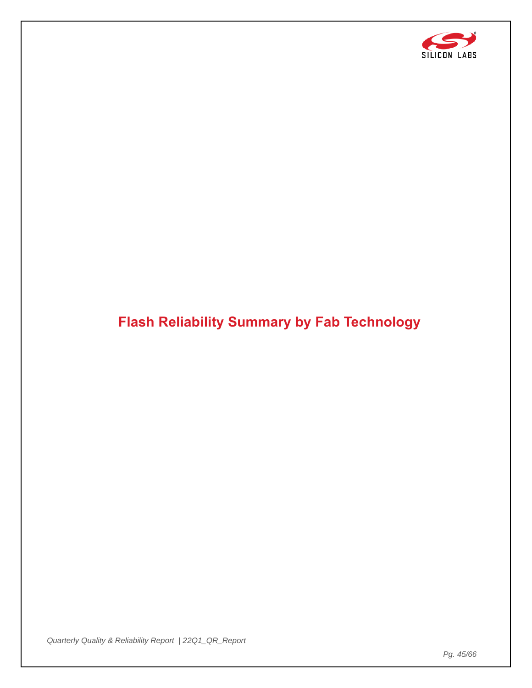![](_page_44_Picture_0.jpeg)

# <span id="page-44-0"></span>**Flash Reliability Summary by Fab Technology**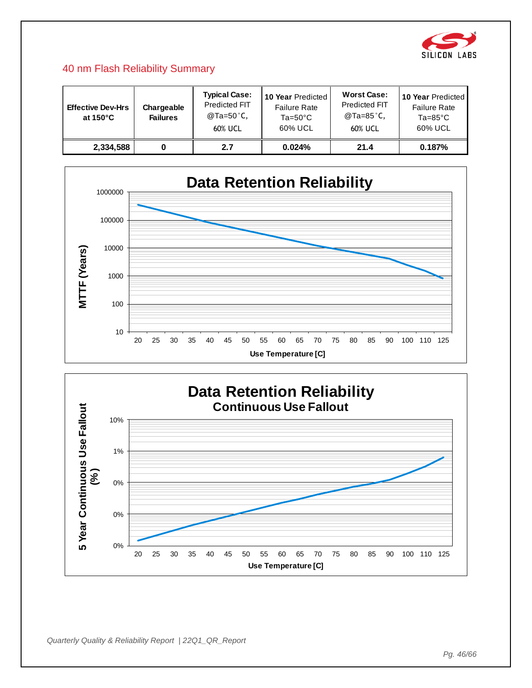![](_page_45_Picture_0.jpeg)

#### 40 nm Flash Reliability Summary

| <b>Effective Dev-Hrs</b><br>at $150^{\circ}$ C | Chargeable<br><b>Failures</b> | <b>Typical Case:</b><br>Predicted FIT<br>@Ta=50°C,<br>60% UCL | 10 Year Predicted<br><b>Failure Rate</b><br>$Ta=50^{\circ}C$<br>60% UCL | <b>Worst Case:</b><br><b>Predicted FIT</b><br>@Ta=85°C,<br>60% UCL | 10 Year Predicted<br><b>Failure Rate</b><br>$Ta = 85^{\circ}C$<br>60% UCL |
|------------------------------------------------|-------------------------------|---------------------------------------------------------------|-------------------------------------------------------------------------|--------------------------------------------------------------------|---------------------------------------------------------------------------|
| 2,334,588                                      |                               | 2.7                                                           | 0.024%                                                                  | 21.4                                                               | 0.187%                                                                    |

![](_page_45_Figure_3.jpeg)

![](_page_45_Figure_4.jpeg)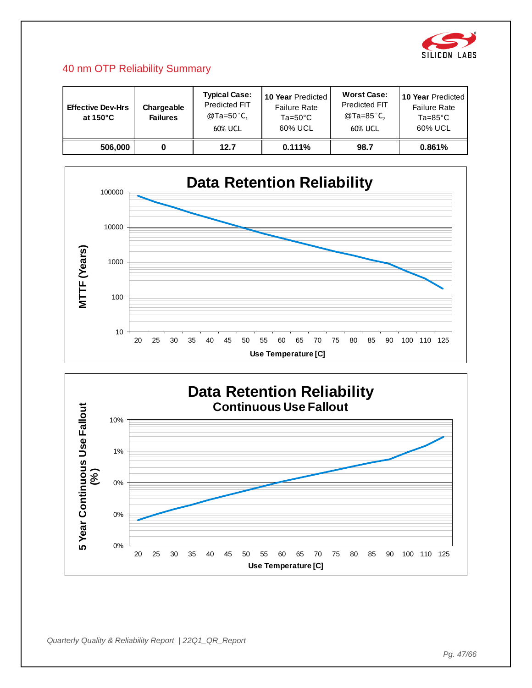![](_page_46_Picture_0.jpeg)

### 40 nm OTP Reliability Summary

| <b>Effective Dev-Hrs</b><br>at $150^{\circ}$ C | Chargeable<br><b>Failures</b> | <b>Typical Case:</b><br>Predicted FIT<br>@Ta=50°C,<br>60% UCL | 10 Year Predicted<br><b>Failure Rate</b><br>$Ta=50^{\circ}C$<br>60% UCL | <b>Worst Case:</b><br><b>Predicted FIT</b><br>@Ta=85°C,<br>60% UCL | <b>10 Year Predicted</b><br><b>Failure Rate</b><br>$Ta = 85^{\circ}C$<br>60% UCL |
|------------------------------------------------|-------------------------------|---------------------------------------------------------------|-------------------------------------------------------------------------|--------------------------------------------------------------------|----------------------------------------------------------------------------------|
| 506,000                                        |                               | 12.7                                                          | 0.111%                                                                  | 98.7                                                               | 0.861%                                                                           |

![](_page_46_Figure_3.jpeg)

![](_page_46_Figure_4.jpeg)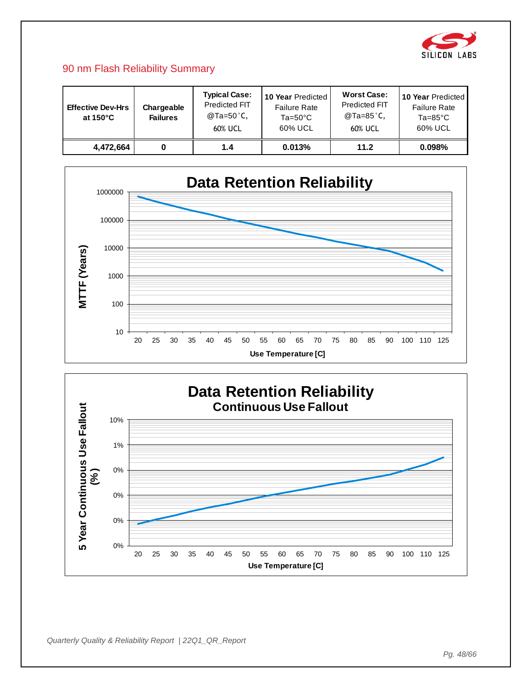![](_page_47_Picture_0.jpeg)

#### 90 nm Flash Reliability Summary

| <b>Effective Dev-Hrs</b><br>at $150^{\circ}$ C | Chargeable<br><b>Failures</b> | <b>Typical Case:</b><br>Predicted FIT<br>@Ta=50°C,<br>60% UCL | 10 Year Predicted<br><b>Failure Rate</b><br>$Ta=50^{\circ}C$<br>60% UCL | <b>Worst Case:</b><br><b>Predicted FIT</b><br>@Ta=85°C,<br>60% UCL | <b>10 Year Predicted</b><br><b>Failure Rate</b><br>$Ta = 85^{\circ}C$<br>60% UCL |
|------------------------------------------------|-------------------------------|---------------------------------------------------------------|-------------------------------------------------------------------------|--------------------------------------------------------------------|----------------------------------------------------------------------------------|
| 4.472.664                                      |                               | 1.4                                                           | 0.013%                                                                  | 11.2                                                               | 0.098%                                                                           |

![](_page_47_Figure_3.jpeg)

![](_page_47_Figure_4.jpeg)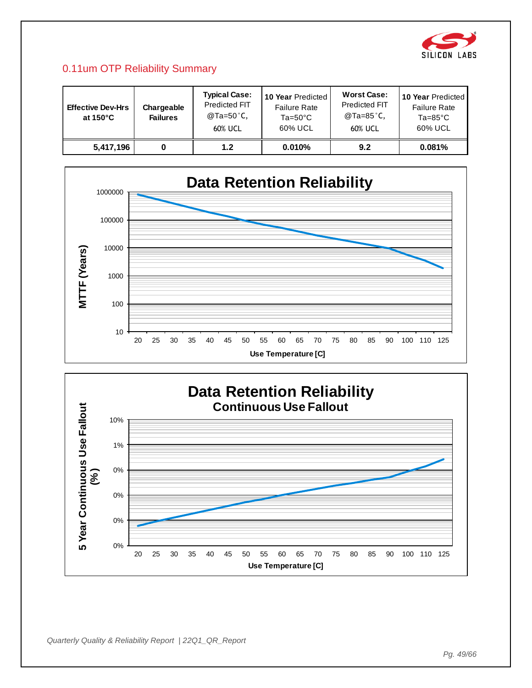![](_page_48_Picture_0.jpeg)

# 0.11um OTP Reliability Summary

| <b>Effective Dev-Hrs</b><br>at 150 $^{\circ}$ C | Chargeable<br><b>Failures</b> | <b>Typical Case:</b><br>Predicted FIT<br>@Ta=50°C,<br>60% UCL | 10 Year Predicted<br><b>Failure Rate</b><br>$Ta=50^{\circ}C$<br>60% UCL | <b>Worst Case:</b><br><b>Predicted FIT</b><br>@Ta=85 $^{\circ}$ C,<br>60% UCL | 10 Year Predicted<br><b>Failure Rate</b><br>$Ta = 85^{\circ}C$<br>60% UCL |
|-------------------------------------------------|-------------------------------|---------------------------------------------------------------|-------------------------------------------------------------------------|-------------------------------------------------------------------------------|---------------------------------------------------------------------------|
| 5,417,196                                       |                               | 1.2                                                           | 0.010%                                                                  | 9.2                                                                           | 0.081%                                                                    |

![](_page_48_Figure_3.jpeg)

![](_page_48_Figure_4.jpeg)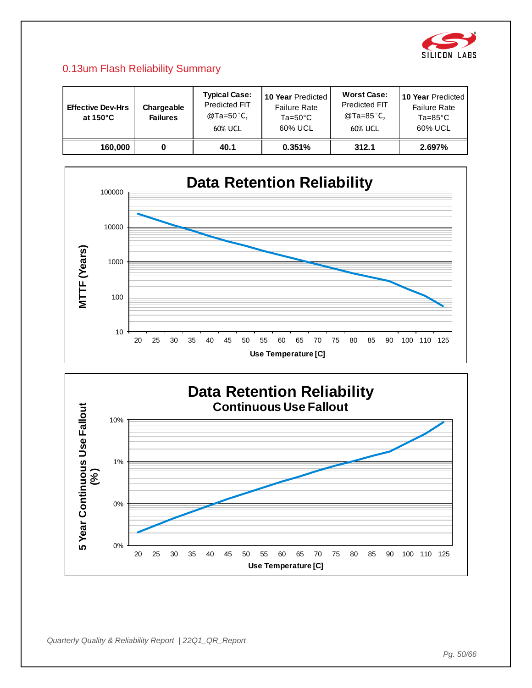![](_page_49_Picture_0.jpeg)

# 0.13um Flash Reliability Summary

| <b>Effective Dev-Hrs</b><br>at 150 $^{\circ}$ C | Chargeable<br><b>Failures</b> | <b>Typical Case:</b><br>Predicted FIT<br>@Ta=50°C,<br>60% UCL | 10 Year Predicted<br><b>Failure Rate</b><br>$Ta=50^{\circ}C$<br>60% UCL | <b>Worst Case:</b><br><b>Predicted FIT</b><br>@Ta=85°C,<br>60% UCL | 10 Year Predicted<br><b>Failure Rate</b><br>$Ta = 85^{\circ}C$<br>60% UCL |
|-------------------------------------------------|-------------------------------|---------------------------------------------------------------|-------------------------------------------------------------------------|--------------------------------------------------------------------|---------------------------------------------------------------------------|
| 160,000                                         |                               | 40.1                                                          | 0.351%                                                                  | 312.1                                                              | 2.697%                                                                    |

![](_page_49_Figure_3.jpeg)

![](_page_49_Figure_4.jpeg)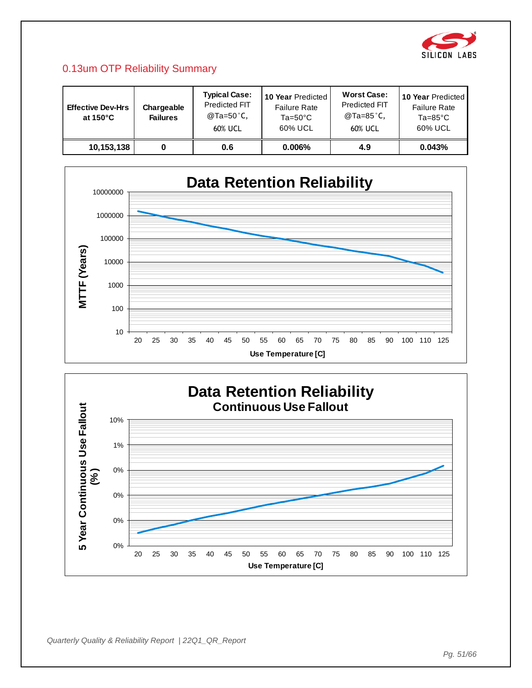![](_page_50_Picture_0.jpeg)

# 0.13um OTP Reliability Summary

| <b>Effective Dev-Hrs</b><br>at $150^{\circ}$ C | Chargeable<br><b>Failures</b> | <b>Typical Case:</b><br>Predicted FIT<br>@Ta=50°C,<br>60% UCL | 10 Year Predicted<br><b>Failure Rate</b><br>$Ta=50^{\circ}C$<br>60% UCL | <b>Worst Case:</b><br><b>Predicted FIT</b><br>@Ta=85°C,<br>60% UCL | <b>10 Year Predicted</b><br><b>Failure Rate</b><br>$Ta = 85^{\circ}C$<br>60% UCL |
|------------------------------------------------|-------------------------------|---------------------------------------------------------------|-------------------------------------------------------------------------|--------------------------------------------------------------------|----------------------------------------------------------------------------------|
| 10,153,138                                     |                               | 0.6                                                           | $0.006\%$                                                               | 4.9                                                                | 0.043%                                                                           |

![](_page_50_Figure_3.jpeg)

![](_page_50_Figure_4.jpeg)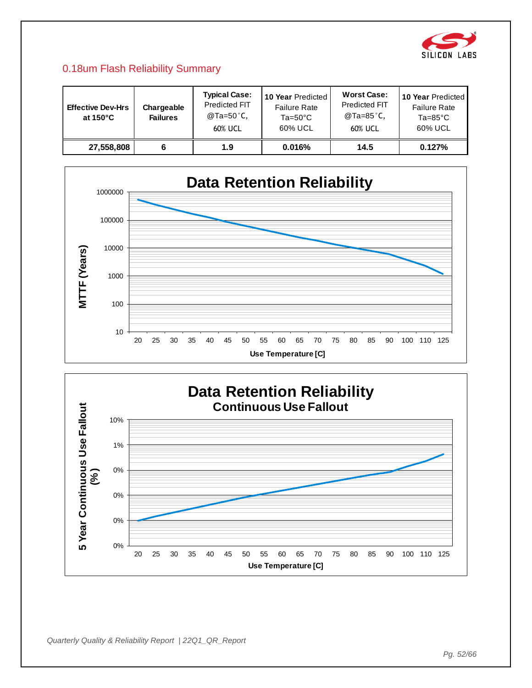![](_page_51_Picture_0.jpeg)

## 0.18um Flash Reliability Summary

| <b>Effective Dev-Hrs</b><br>at $150^{\circ}$ C | Chargeable<br><b>Failures</b> | <b>Typical Case:</b><br>Predicted FIT<br>@Ta=50°C,<br>60% UCL | 10 Year Predicted<br><b>Failure Rate</b><br>$Ta=50^{\circ}C$<br>60% UCL | <b>Worst Case:</b><br><b>Predicted FIT</b><br>@Ta=85°C,<br>60% UCL | <b>10 Year Predicted</b><br><b>Failure Rate</b><br>$Ta = 85^{\circ}C$<br>60% UCL |
|------------------------------------------------|-------------------------------|---------------------------------------------------------------|-------------------------------------------------------------------------|--------------------------------------------------------------------|----------------------------------------------------------------------------------|
| 27,558,808                                     |                               | 1.9                                                           | 0.016%                                                                  | 14.5                                                               | 0.127%                                                                           |

![](_page_51_Figure_3.jpeg)

![](_page_51_Figure_4.jpeg)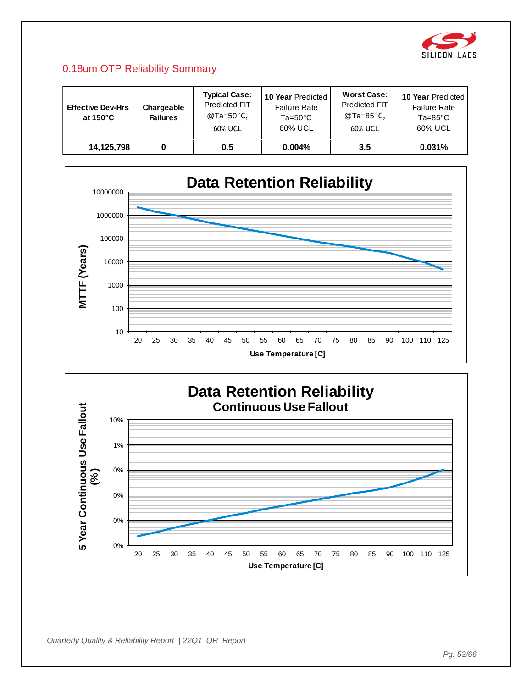![](_page_52_Picture_0.jpeg)

# 0.18um OTP Reliability Summary

| <b>Effective Dev-Hrs</b><br>at $150^{\circ}$ C | Chargeable<br><b>Failures</b> | <b>Typical Case:</b><br>Predicted FIT<br>@Ta=50°C,<br>60% UCL | 10 Year Predicted<br><b>Failure Rate</b><br>$Ta=50^{\circ}C$<br>60% UCL | <b>Worst Case:</b><br><b>Predicted FIT</b><br>@Ta=85°C,<br>60% UCL | <b>10 Year Predicted</b><br><b>Failure Rate</b><br>$Ta = 85^{\circ}C$<br>60% UCL |
|------------------------------------------------|-------------------------------|---------------------------------------------------------------|-------------------------------------------------------------------------|--------------------------------------------------------------------|----------------------------------------------------------------------------------|
| 14,125,798                                     |                               | 0.5                                                           | 0.004%                                                                  | $3.5\,$                                                            | 0.031%                                                                           |

![](_page_52_Figure_3.jpeg)

![](_page_52_Figure_4.jpeg)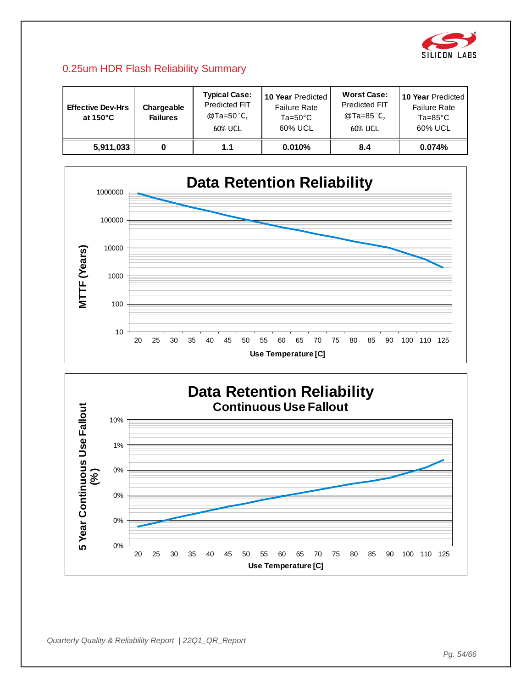![](_page_53_Picture_0.jpeg)

#### 0.25um HDR Flash Reliability Summary

| <b>Effective Dev-Hrs</b><br>at $150^{\circ}$ C | Chargeable<br><b>Failures</b> | <b>Typical Case:</b><br>Predicted FIT<br>@Ta=50°C,<br>60% UCL | 10 Year Predicted<br><b>Failure Rate</b><br>$Ta=50^{\circ}C$<br>60% UCL | <b>Worst Case:</b><br><b>Predicted FIT</b><br>@Ta=85°C,<br>60% UCL | 10 Year Predicted<br><b>Failure Rate</b><br>$Ta = 85^{\circ}C$<br>60% UCL |
|------------------------------------------------|-------------------------------|---------------------------------------------------------------|-------------------------------------------------------------------------|--------------------------------------------------------------------|---------------------------------------------------------------------------|
| 5,911,033                                      |                               | 1.1                                                           | 0.010%                                                                  | 8.4                                                                | 0.074%                                                                    |

![](_page_53_Figure_3.jpeg)

![](_page_53_Figure_4.jpeg)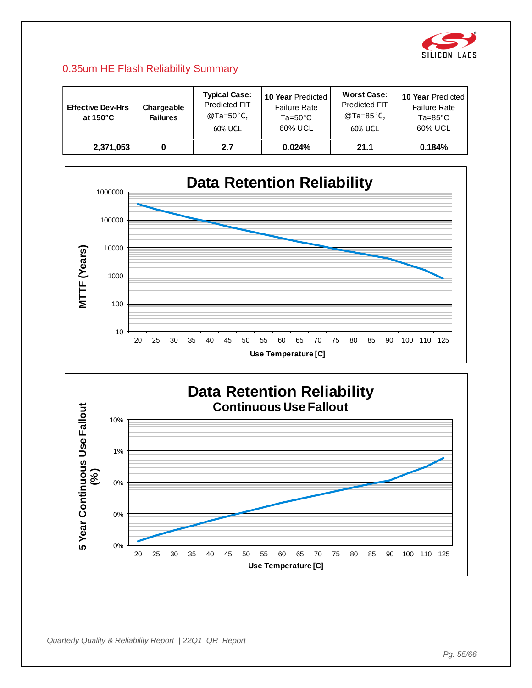![](_page_54_Picture_0.jpeg)

### 0.35um HE Flash Reliability Summary

| <b>Effective Dev-Hrs</b><br>at $150^{\circ}$ C | Chargeable<br><b>Failures</b> | <b>Typical Case:</b><br>Predicted FIT<br>@Ta=50°C,<br>60% UCL | 10 Year Predicted<br><b>Failure Rate</b><br>$Ta=50^{\circ}C$<br>60% UCL | <b>Worst Case:</b><br><b>Predicted FIT</b><br>@Ta=85°C,<br>60% UCL | <b>10 Year Predicted</b><br><b>Failure Rate</b><br>$Ta = 85^{\circ}C$<br>60% UCL |
|------------------------------------------------|-------------------------------|---------------------------------------------------------------|-------------------------------------------------------------------------|--------------------------------------------------------------------|----------------------------------------------------------------------------------|
| 2,371,053                                      |                               | 2.7                                                           | 0.024%                                                                  | 21.1                                                               | 0.184%                                                                           |

![](_page_54_Figure_3.jpeg)

![](_page_54_Figure_4.jpeg)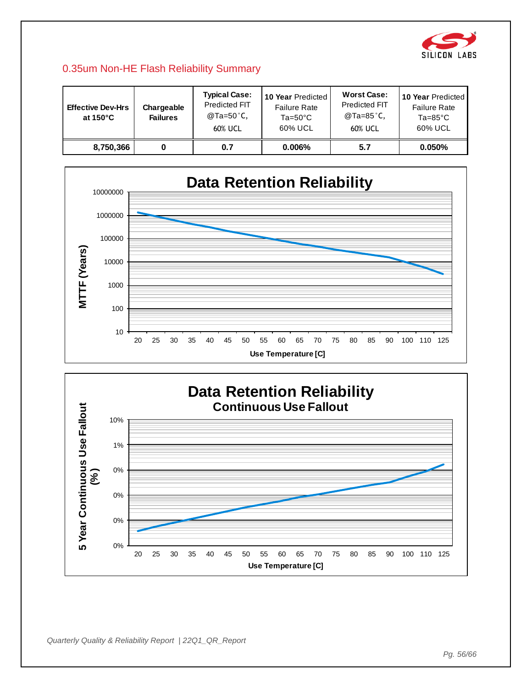![](_page_55_Picture_0.jpeg)

#### 0.35um Non-HE Flash Reliability Summary

| <b>Effective Dev-Hrs</b><br>at 150 $^{\circ}$ C | Chargeable<br><b>Failures</b> | <b>Typical Case:</b><br>Predicted FIT<br>@Ta=50°C,<br>60% UCL | 10 Year Predicted<br><b>Failure Rate</b><br>$Ta=50^{\circ}C$<br>60% UCL | <b>Worst Case:</b><br><b>Predicted FIT</b><br>@Ta=85°C,<br>60% UCL | 10 Year Predicted<br><b>Failure Rate</b><br>$Ta = 85^{\circ}C$<br>60% UCL |
|-------------------------------------------------|-------------------------------|---------------------------------------------------------------|-------------------------------------------------------------------------|--------------------------------------------------------------------|---------------------------------------------------------------------------|
| 8,750,366                                       |                               | 0.7                                                           | $0.006\%$                                                               | 5.7                                                                | $0.050\%$                                                                 |

![](_page_55_Figure_3.jpeg)

![](_page_55_Figure_4.jpeg)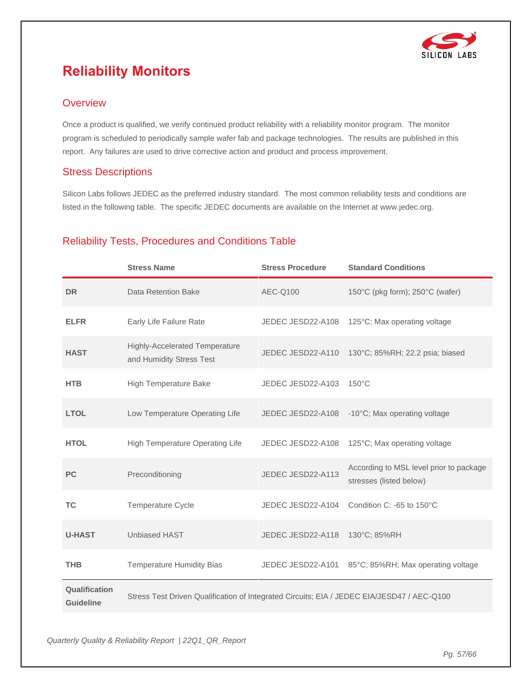![](_page_56_Picture_0.jpeg)

# <span id="page-56-0"></span>**Reliability Monitors**

#### **Overview**

Once a product is qualified, we verify continued product reliability with a reliability monitor program. The monitor program is scheduled to periodically sample wafer fab and package technologies. The results are published in this report. Any failures are used to drive corrective action and product and process improvement.

#### Stress Descriptions

Silicon Labs follows JEDEC as the preferred industry standard. The most common reliability tests and conditions are listed in the following table. The specific JEDEC documents are available on the Internet at www.jedec.org.

### Reliability Tests, Procedures and Conditions Table

|                                   | <b>Stress Name</b>                                                                         | <b>Stress Procedure</b> | <b>Standard Conditions</b>                                         |
|-----------------------------------|--------------------------------------------------------------------------------------------|-------------------------|--------------------------------------------------------------------|
| <b>DR</b>                         | Data Retention Bake                                                                        | AEC-Q100                | 150°C (pkg form); 250°C (wafer)                                    |
| <b>ELFR</b>                       | Early Life Failure Rate                                                                    | JEDEC JESD22-A108       | 125°C; Max operating voltage                                       |
| <b>HAST</b>                       | <b>Highly-Accelerated Temperature</b><br>and Humidity Stress Test                          | JEDEC JESD22-A110       | 130°C; 85%RH; 22.2 psia; biased                                    |
| <b>HTB</b>                        | High Temperature Bake                                                                      | JEDEC JESD22-A103       | $150^{\circ}$ C                                                    |
| <b>LTOL</b>                       | Low Temperature Operating Life                                                             | JEDEC JESD22-A108       | -10°C; Max operating voltage                                       |
| <b>HTOL</b>                       | High Temperature Operating Life                                                            | JEDEC JESD22-A108       | 125°C; Max operating voltage                                       |
| <b>PC</b>                         | Preconditioning                                                                            | JEDEC JESD22-A113       | According to MSL level prior to package<br>stresses (listed below) |
| <b>TC</b>                         | Temperature Cycle                                                                          | JEDEC JESD22-A104       | Condition C: -65 to 150°C                                          |
| <b>U-HAST</b>                     | <b>Unbiased HAST</b>                                                                       | JEDEC JESD22-A118       | 130°C; 85%RH                                                       |
| <b>THB</b>                        | <b>Temperature Humidity Bias</b>                                                           | JEDEC JESD22-A101       | 85°C; 85%RH; Max operating voltage                                 |
| Qualification<br><b>Guideline</b> | Stress Test Driven Qualification of Integrated Circuits; EIA / JEDEC EIA/JESD47 / AEC-Q100 |                         |                                                                    |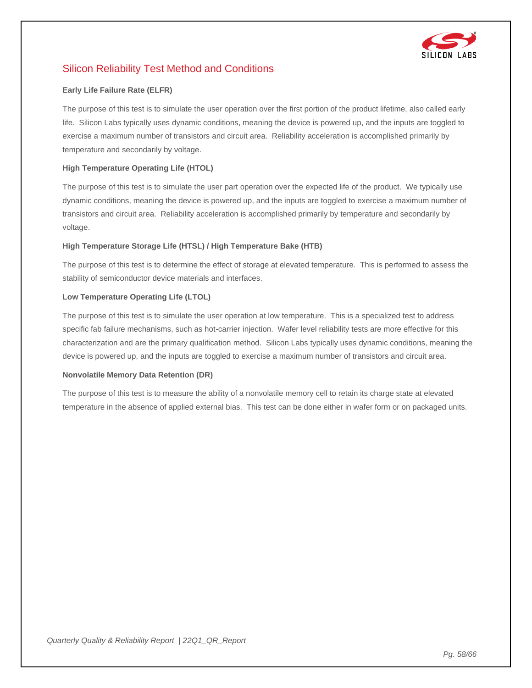![](_page_57_Picture_0.jpeg)

### Silicon Reliability Test Method and Conditions

#### **Early Life Failure Rate (ELFR)**

The purpose of this test is to simulate the user operation over the first portion of the product lifetime, also called early life. Silicon Labs typically uses dynamic conditions, meaning the device is powered up, and the inputs are toggled to exercise a maximum number of transistors and circuit area. Reliability acceleration is accomplished primarily by temperature and secondarily by voltage.

#### **High Temperature Operating Life (HTOL)**

The purpose of this test is to simulate the user part operation over the expected life of the product. We typically use dynamic conditions, meaning the device is powered up, and the inputs are toggled to exercise a maximum number of transistors and circuit area. Reliability acceleration is accomplished primarily by temperature and secondarily by voltage.

#### **High Temperature Storage Life (HTSL) / High Temperature Bake (HTB)**

The purpose of this test is to determine the effect of storage at elevated temperature. This is performed to assess the stability of semiconductor device materials and interfaces.

#### **Low Temperature Operating Life (LTOL)**

The purpose of this test is to simulate the user operation at low temperature. This is a specialized test to address specific fab failure mechanisms, such as hot-carrier injection. Wafer level reliability tests are more effective for this characterization and are the primary qualification method. Silicon Labs typically uses dynamic conditions, meaning the device is powered up, and the inputs are toggled to exercise a maximum number of transistors and circuit area.

#### **Nonvolatile Memory Data Retention (DR)**

The purpose of this test is to measure the ability of a nonvolatile memory cell to retain its charge state at elevated temperature in the absence of applied external bias. This test can be done either in wafer form or on packaged units.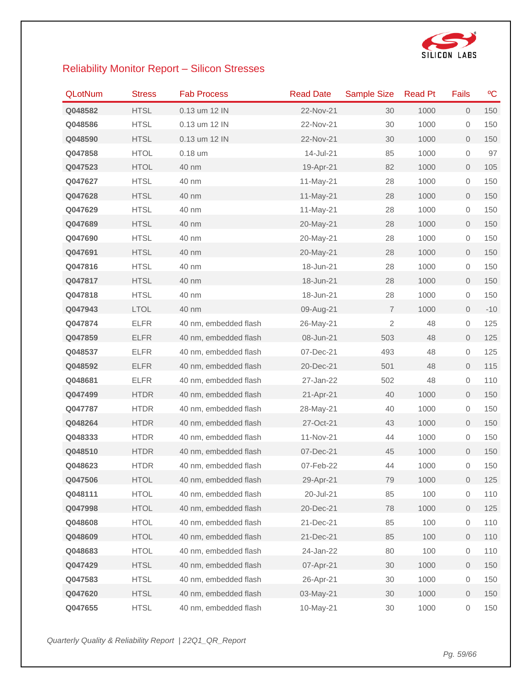![](_page_58_Picture_0.jpeg)

# Reliability Monitor Report – Silicon Stresses

| <b>QLotNum</b> | <b>Stress</b> | <b>Fab Process</b>    | <b>Read Date</b> | <b>Sample Size</b> | <b>Read Pt</b> | Fails               | °C    |
|----------------|---------------|-----------------------|------------------|--------------------|----------------|---------------------|-------|
| Q048582        | <b>HTSL</b>   | 0.13 um 12 IN         | 22-Nov-21        | 30                 | 1000           | $\overline{0}$      | 150   |
| Q048586        | <b>HTSL</b>   | 0.13 um 12 IN         | 22-Nov-21        | 30                 | 1000           | 0                   | 150   |
| Q048590        | <b>HTSL</b>   | 0.13 um 12 IN         | 22-Nov-21        | 30                 | 1000           | $\overline{0}$      | 150   |
| Q047858        | <b>HTOL</b>   | $0.18$ um             | 14-Jul-21        | 85                 | 1000           | 0                   | 97    |
| Q047523        | <b>HTOL</b>   | 40 nm                 | 19-Apr-21        | 82                 | 1000           | 0                   | 105   |
| Q047627        | <b>HTSL</b>   | 40 nm                 | 11-May-21        | 28                 | 1000           | 0                   | 150   |
| Q047628        | <b>HTSL</b>   | 40 nm                 | 11-May-21        | 28                 | 1000           | $\overline{0}$      | 150   |
| Q047629        | <b>HTSL</b>   | 40 nm                 | 11-May-21        | 28                 | 1000           | 0                   | 150   |
| Q047689        | <b>HTSL</b>   | 40 nm                 | 20-May-21        | 28                 | 1000           | $\mathbf 0$         | 150   |
| Q047690        | <b>HTSL</b>   | 40 nm                 | 20-May-21        | 28                 | 1000           | 0                   | 150   |
| Q047691        | <b>HTSL</b>   | 40 nm                 | 20-May-21        | 28                 | 1000           | $\mathbf{0}$        | 150   |
| Q047816        | <b>HTSL</b>   | 40 nm                 | 18-Jun-21        | 28                 | 1000           | 0                   | 150   |
| Q047817        | <b>HTSL</b>   | 40 nm                 | 18-Jun-21        | 28                 | 1000           | $\mathbf{0}$        | 150   |
| Q047818        | <b>HTSL</b>   | 40 nm                 | 18-Jun-21        | 28                 | 1000           | 0                   | 150   |
| Q047943        | LTOL          | 40 nm                 | 09-Aug-21        | $\overline{7}$     | 1000           | $\mathbf{0}$        | $-10$ |
| Q047874        | <b>ELFR</b>   | 40 nm, embedded flash | 26-May-21        | $\overline{2}$     | 48             | $\mathsf{O}\xspace$ | 125   |
| Q047859        | <b>ELFR</b>   | 40 nm, embedded flash | 08-Jun-21        | 503                | 48             | $\overline{0}$      | 125   |
| Q048537        | <b>ELFR</b>   | 40 nm, embedded flash | 07-Dec-21        | 493                | 48             | 0                   | 125   |
| Q048592        | <b>ELFR</b>   | 40 nm, embedded flash | 20-Dec-21        | 501                | 48             | $\mathsf{O}\xspace$ | 115   |
| Q048681        | <b>ELFR</b>   | 40 nm, embedded flash | 27-Jan-22        | 502                | 48             | 0                   | 110   |
| Q047499        | <b>HTDR</b>   | 40 nm, embedded flash | 21-Apr-21        | 40                 | 1000           | $\overline{0}$      | 150   |
| Q047787        | <b>HTDR</b>   | 40 nm, embedded flash | 28-May-21        | 40                 | 1000           | 0                   | 150   |
| Q048264        | <b>HTDR</b>   | 40 nm, embedded flash | 27-Oct-21        | 43                 | 1000           | $\overline{0}$      | 150   |
| Q048333        | <b>HTDR</b>   | 40 nm, embedded flash | 11-Nov-21        | 44                 | 1000           | 0                   | 150   |
| Q048510        | <b>HTDR</b>   | 40 nm, embedded flash | 07-Dec-21        | 45                 | 1000           | $\overline{0}$      | 150   |
| Q048623        | <b>HTDR</b>   | 40 nm, embedded flash | 07-Feb-22        | 44                 | 1000           | 0                   | 150   |
| Q047506        | <b>HTOL</b>   | 40 nm, embedded flash | 29-Apr-21        | 79                 | 1000           | 0                   | 125   |
| Q048111        | <b>HTOL</b>   | 40 nm, embedded flash | 20-Jul-21        | 85                 | 100            | 0                   | 110   |
| Q047998        | <b>HTOL</b>   | 40 nm, embedded flash | 20-Dec-21        | 78                 | 1000           | 0                   | 125   |
| Q048608        | <b>HTOL</b>   | 40 nm, embedded flash | 21-Dec-21        | 85                 | 100            | 0                   | 110   |
| Q048609        | <b>HTOL</b>   | 40 nm, embedded flash | 21-Dec-21        | 85                 | 100            | 0                   | 110   |
| Q048683        | <b>HTOL</b>   | 40 nm, embedded flash | 24-Jan-22        | 80                 | 100            | 0                   | 110   |
| Q047429        | <b>HTSL</b>   | 40 nm, embedded flash | 07-Apr-21        | 30                 | 1000           | 0                   | 150   |
| Q047583        | <b>HTSL</b>   | 40 nm, embedded flash | 26-Apr-21        | 30                 | 1000           | 0                   | 150   |
| Q047620        | <b>HTSL</b>   | 40 nm, embedded flash | 03-May-21        | 30                 | 1000           | 0                   | 150   |
| Q047655        | <b>HTSL</b>   | 40 nm, embedded flash | 10-May-21        | $30\,$             | 1000           | 0                   | 150   |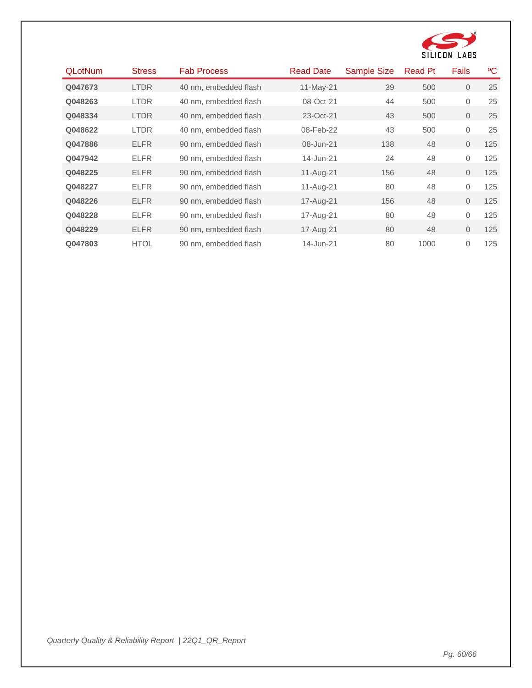![](_page_59_Picture_0.jpeg)

| <b>QLotNum</b> | <b>Stress</b> | <b>Fab Process</b>    | <b>Read Date</b> | <b>Sample Size</b> | <b>Read Pt</b> | <b>Fails</b> | ٥C  |
|----------------|---------------|-----------------------|------------------|--------------------|----------------|--------------|-----|
| Q047673        | <b>LTDR</b>   | 40 nm, embedded flash | 11-May-21        | 39                 | 500            | $\Omega$     | 25  |
| Q048263        | <b>LTDR</b>   | 40 nm. embedded flash | 08-Oct-21        | 44                 | 500            | 0            | 25  |
| Q048334        | <b>LTDR</b>   | 40 nm, embedded flash | 23-Oct-21        | 43                 | 500            | 0            | 25  |
| Q048622        | <b>LTDR</b>   | 40 nm, embedded flash | 08-Feb-22        | 43                 | 500            | 0            | 25  |
| Q047886        | <b>ELFR</b>   | 90 nm, embedded flash | 08-Jun-21        | 138                | 48             | $\Omega$     | 125 |
| Q047942        | <b>ELFR</b>   | 90 nm. embedded flash | 14-Jun-21        | 24                 | 48             | $\Omega$     | 125 |
| Q048225        | <b>ELFR</b>   | 90 nm. embedded flash | 11-Aug-21        | 156                | 48             | $\Omega$     | 125 |
| Q048227        | <b>ELFR</b>   | 90 nm, embedded flash | 11-Aug-21        | 80                 | 48             | $\Omega$     | 125 |
| Q048226        | <b>ELFR</b>   | 90 nm, embedded flash | 17-Aug-21        | 156                | 48             | $\Omega$     | 125 |
| Q048228        | <b>ELFR</b>   | 90 nm, embedded flash | 17-Aug-21        | 80                 | 48             | 0            | 125 |
| Q048229        | <b>ELFR</b>   | 90 nm, embedded flash | 17-Aug-21        | 80                 | 48             | $\Omega$     | 125 |
| Q047803        | <b>HTOL</b>   | 90 nm. embedded flash | 14-Jun-21        | 80                 | 1000           | $\Omega$     | 125 |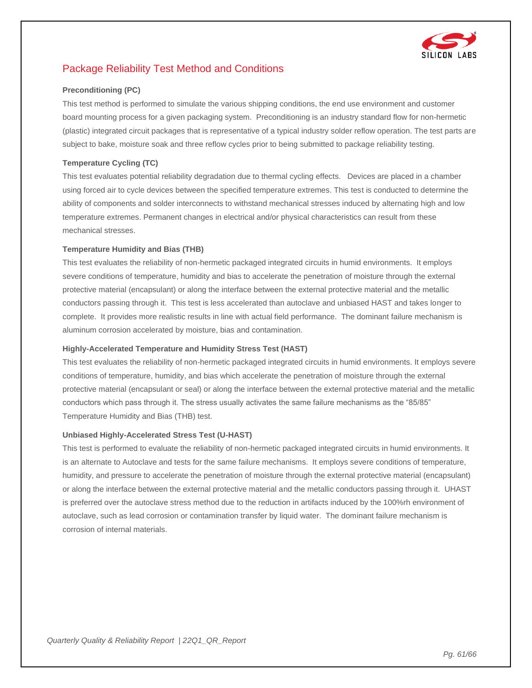![](_page_60_Picture_0.jpeg)

# Package Reliability Test Method and Conditions

#### **Preconditioning (PC)**

This test method is performed to simulate the various shipping conditions, the end use environment and customer board mounting process for a given packaging system. Preconditioning is an industry standard flow for non-hermetic (plastic) integrated circuit packages that is representative of a typical industry solder reflow operation. The test parts are subject to bake, moisture soak and three reflow cycles prior to being submitted to package reliability testing.

#### **Temperature Cycling (TC)**

This test evaluates potential reliability degradation due to thermal cycling effects. Devices are placed in a chamber using forced air to cycle devices between the specified temperature extremes. This test is conducted to determine the ability of components and solder interconnects to withstand mechanical stresses induced by alternating high and low temperature extremes. Permanent changes in electrical and/or physical characteristics can result from these mechanical stresses.

#### **Temperature Humidity and Bias (THB)**

This test evaluates the reliability of non-hermetic packaged integrated circuits in humid environments. It employs severe conditions of temperature, humidity and bias to accelerate the penetration of moisture through the external protective material (encapsulant) or along the interface between the external protective material and the metallic conductors passing through it. This test is less accelerated than autoclave and unbiased HAST and takes longer to complete. It provides more realistic results in line with actual field performance. The dominant failure mechanism is aluminum corrosion accelerated by moisture, bias and contamination.

#### **Highly-Accelerated Temperature and Humidity Stress Test (HAST)**

This test evaluates the reliability of non-hermetic packaged integrated circuits in humid environments. It employs severe conditions of temperature, humidity, and bias which accelerate the penetration of moisture through the external protective material (encapsulant or seal) or along the interface between the external protective material and the metallic conductors which pass through it. The stress usually activates the same failure mechanisms as the "85/85" Temperature Humidity and Bias (THB) test.

#### **Unbiased Highly-Accelerated Stress Test (U-HAST)**

This test is performed to evaluate the reliability of non-hermetic packaged integrated circuits in humid environments. It is an alternate to Autoclave and tests for the same failure mechanisms. It employs severe conditions of temperature, humidity, and pressure to accelerate the penetration of moisture through the external protective material (encapsulant) or along the interface between the external protective material and the metallic conductors passing through it. UHAST is preferred over the autoclave stress method due to the reduction in artifacts induced by the 100%rh environment of autoclave, such as lead corrosion or contamination transfer by liquid water. The dominant failure mechanism is corrosion of internal materials.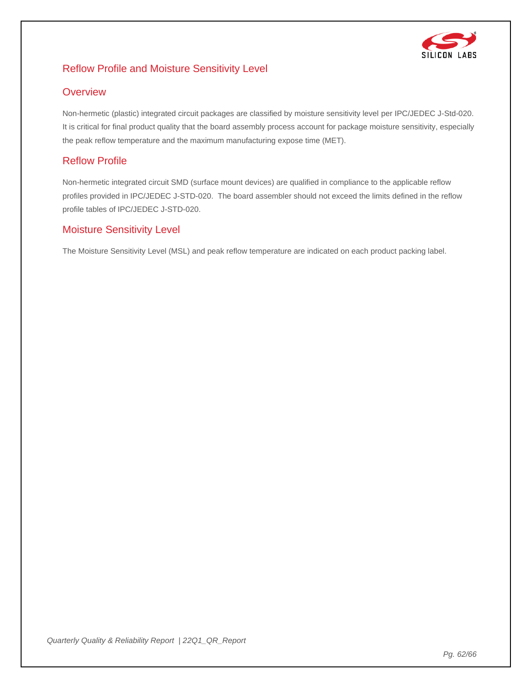![](_page_61_Picture_0.jpeg)

### Reflow Profile and Moisture Sensitivity Level

#### **Overview**

Non-hermetic (plastic) integrated circuit packages are classified by moisture sensitivity level per IPC/JEDEC J-Std-020. It is critical for final product quality that the board assembly process account for package moisture sensitivity, especially the peak reflow temperature and the maximum manufacturing expose time (MET).

#### Reflow Profile

Non-hermetic integrated circuit SMD (surface mount devices) are qualified in compliance to the applicable reflow profiles provided in IPC/JEDEC J-STD-020. The board assembler should not exceed the limits defined in the reflow profile tables of IPC/JEDEC J-STD-020.

#### Moisture Sensitivity Level

The Moisture Sensitivity Level (MSL) and peak reflow temperature are indicated on each product packing label.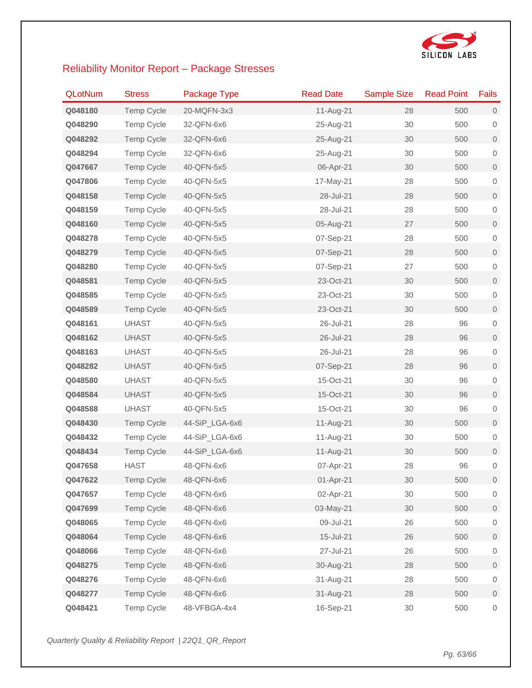![](_page_62_Picture_0.jpeg)

# Reliability Monitor Report – Package Stresses

| <b>QLotNum</b> | <b>Stress</b>     | Package Type   | <b>Read Date</b> | <b>Sample Size</b> | <b>Read Point</b> | Fails               |
|----------------|-------------------|----------------|------------------|--------------------|-------------------|---------------------|
| Q048180        | <b>Temp Cycle</b> | 20-MQFN-3x3    | 11-Aug-21        | 28                 | 500               | $\mathbf 0$         |
| Q048290        | <b>Temp Cycle</b> | 32-QFN-6x6     | 25-Aug-21        | 30                 | 500               | $\mathbf 0$         |
| Q048292        | <b>Temp Cycle</b> | 32-QFN-6x6     | 25-Aug-21        | 30                 | 500               | $\mathbf 0$         |
| Q048294        | <b>Temp Cycle</b> | 32-QFN-6x6     | 25-Aug-21        | 30                 | 500               | $\mathbf 0$         |
| Q047667        | <b>Temp Cycle</b> | 40-QFN-5x5     | 06-Apr-21        | 30                 | 500               | $\mathbf 0$         |
| Q047806        | <b>Temp Cycle</b> | 40-QFN-5x5     | 17-May-21        | 28                 | 500               | $\mathbf 0$         |
| Q048158        | <b>Temp Cycle</b> | 40-QFN-5x5     | 28-Jul-21        | 28                 | 500               | $\mathbf 0$         |
| Q048159        | Temp Cycle        | 40-QFN-5x5     | 28-Jul-21        | 28                 | 500               | $\mathbf 0$         |
| Q048160        | <b>Temp Cycle</b> | 40-QFN-5x5     | 05-Aug-21        | 27                 | 500               | $\mathbf 0$         |
| Q048278        | Temp Cycle        | 40-QFN-5x5     | 07-Sep-21        | 28                 | 500               | $\mathbf 0$         |
| Q048279        | <b>Temp Cycle</b> | 40-QFN-5x5     | 07-Sep-21        | 28                 | 500               | $\mathbf 0$         |
| Q048280        | <b>Temp Cycle</b> | 40-QFN-5x5     | 07-Sep-21        | 27                 | 500               | $\mathbf 0$         |
| Q048581        | <b>Temp Cycle</b> | 40-QFN-5x5     | 23-Oct-21        | 30                 | 500               | $\mathsf{O}\xspace$ |
| Q048585        | <b>Temp Cycle</b> | 40-QFN-5x5     | 23-Oct-21        | 30                 | 500               | $\mathbf 0$         |
| Q048589        | <b>Temp Cycle</b> | 40-QFN-5x5     | 23-Oct-21        | 30                 | 500               | $\mathbf 0$         |
| Q048161        | <b>UHAST</b>      | 40-QFN-5x5     | 26-Jul-21        | 28                 | 96                | $\mathbf 0$         |
| Q048162        | <b>UHAST</b>      | 40-QFN-5x5     | 26-Jul-21        | 28                 | 96                | $\mathbf 0$         |
| Q048163        | <b>UHAST</b>      | 40-QFN-5x5     | 26-Jul-21        | 28                 | 96                | $\mathbf 0$         |
| Q048282        | <b>UHAST</b>      | 40-QFN-5x5     | 07-Sep-21        | 28                 | 96                | $\mathbf 0$         |
| Q048580        | <b>UHAST</b>      | 40-QFN-5x5     | 15-Oct-21        | 30                 | 96                | $\mathbf 0$         |
| Q048584        | <b>UHAST</b>      | 40-QFN-5x5     | 15-Oct-21        | 30                 | 96                | $\mathbf 0$         |
| Q048588        | <b>UHAST</b>      | 40-QFN-5x5     | 15-Oct-21        | 30                 | 96                | $\mathbf 0$         |
| Q048430        | <b>Temp Cycle</b> | 44-SiP_LGA-6x6 | 11-Aug-21        | 30                 | 500               | $\mathbf 0$         |
| Q048432        | Temp Cycle        | 44-SiP_LGA-6x6 | 11-Aug-21        | 30                 | 500               | $\mathbf 0$         |
| Q048434        | <b>Temp Cycle</b> | 44-SiP_LGA-6x6 | 11-Aug-21        | 30                 | 500               | $\mathbf 0$         |
| Q047658        | <b>HAST</b>       | 48-QFN-6x6     | 07-Apr-21        | 28                 | 96                | 0                   |
| Q047622        | <b>Temp Cycle</b> | 48-QFN-6x6     | 01-Apr-21        | 30                 | 500               | $\mathbf 0$         |
| Q047657        | Temp Cycle        | 48-QFN-6x6     | 02-Apr-21        | 30                 | 500               | $\boldsymbol{0}$    |
| Q047699        | Temp Cycle        | 48-QFN-6x6     | 03-May-21        | 30                 | 500               | $\mathbf 0$         |
| Q048065        | <b>Temp Cycle</b> | 48-QFN-6x6     | 09-Jul-21        | 26                 | 500               | $\mathbf 0$         |
| Q048064        | Temp Cycle        | 48-QFN-6x6     | 15-Jul-21        | 26                 | 500               | $\overline{0}$      |
| Q048066        | Temp Cycle        | 48-QFN-6x6     | 27-Jul-21        | 26                 | 500               | $\boldsymbol{0}$    |
| Q048275        | <b>Temp Cycle</b> | 48-QFN-6x6     | 30-Aug-21        | 28                 | 500               | $\mathsf{O}\xspace$ |
| Q048276        | Temp Cycle        | 48-QFN-6x6     | 31-Aug-21        | 28                 | 500               | $\boldsymbol{0}$    |
| Q048277        | Temp Cycle        | 48-QFN-6x6     | 31-Aug-21        | 28                 | 500               | $\overline{0}$      |
| Q048421        | Temp Cycle        | 48-VFBGA-4x4   | 16-Sep-21        | $30\,$             | 500               | $\mathsf{O}\xspace$ |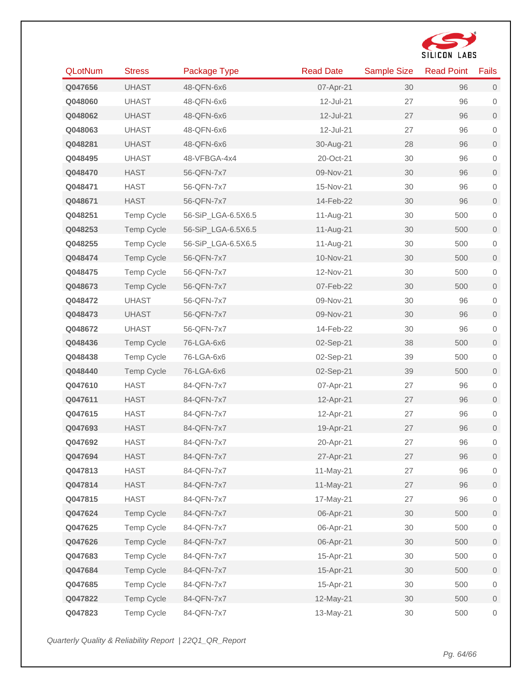![](_page_63_Picture_0.jpeg)

| <b>QLotNum</b> | <b>Stress</b>     | Package Type       | <b>Read Date</b> | Sample Size | <b>Read Point</b> | Fails               |
|----------------|-------------------|--------------------|------------------|-------------|-------------------|---------------------|
| Q047656        | <b>UHAST</b>      | 48-QFN-6x6         | 07-Apr-21        | 30          | 96                | $\overline{0}$      |
| Q048060        | <b>UHAST</b>      | 48-QFN-6x6         | 12-Jul-21        | 27          | 96                | $\mathbf 0$         |
| Q048062        | <b>UHAST</b>      | 48-QFN-6x6         | 12-Jul-21        | 27          | 96                | $\mathsf{O}\xspace$ |
| Q048063        | <b>UHAST</b>      | 48-QFN-6x6         | 12-Jul-21        | 27          | 96                | $\,0\,$             |
| Q048281        | <b>UHAST</b>      | 48-QFN-6x6         | 30-Aug-21        | 28          | 96                | $\mathsf{O}\xspace$ |
| Q048495        | <b>UHAST</b>      | 48-VFBGA-4x4       | 20-Oct-21        | 30          | 96                | $\,0\,$             |
| Q048470        | <b>HAST</b>       | 56-QFN-7x7         | 09-Nov-21        | 30          | 96                | $\mathsf{O}\xspace$ |
| Q048471        | <b>HAST</b>       | 56-QFN-7x7         | 15-Nov-21        | 30          | 96                | $\,0\,$             |
| Q048671        | <b>HAST</b>       | 56-QFN-7x7         | 14-Feb-22        | 30          | 96                | $\mathsf{O}\xspace$ |
| Q048251        | <b>Temp Cycle</b> | 56-SiP_LGA-6.5X6.5 | 11-Aug-21        | 30          | 500               | $\mathbf 0$         |
| Q048253        | <b>Temp Cycle</b> | 56-SiP_LGA-6.5X6.5 | 11-Aug-21        | 30          | 500               | $\mathsf{O}\xspace$ |
| Q048255        | Temp Cycle        | 56-SiP_LGA-6.5X6.5 | 11-Aug-21        | 30          | 500               | $\,0\,$             |
| Q048474        | <b>Temp Cycle</b> | 56-QFN-7x7         | 10-Nov-21        | 30          | 500               | $\mathsf{O}\xspace$ |
| Q048475        | Temp Cycle        | 56-QFN-7x7         | 12-Nov-21        | 30          | 500               | $\mathbf 0$         |
| Q048673        | <b>Temp Cycle</b> | 56-QFN-7x7         | 07-Feb-22        | 30          | 500               | $\mathsf{O}\xspace$ |
| Q048472        | <b>UHAST</b>      | 56-QFN-7x7         | 09-Nov-21        | 30          | 96                | $\mathbf 0$         |
| Q048473        | <b>UHAST</b>      | 56-QFN-7x7         | 09-Nov-21        | 30          | 96                | $\mathbf 0$         |
| Q048672        | <b>UHAST</b>      | 56-QFN-7x7         | 14-Feb-22        | 30          | 96                | $\mathbf 0$         |
| Q048436        | <b>Temp Cycle</b> | 76-LGA-6x6         | 02-Sep-21        | 38          | 500               | $\mathsf{O}\xspace$ |
| Q048438        | Temp Cycle        | 76-LGA-6x6         | 02-Sep-21        | 39          | 500               | $\mathbf 0$         |
| Q048440        | Temp Cycle        | 76-LGA-6x6         | 02-Sep-21        | 39          | 500               | $\mathsf{O}\xspace$ |
| Q047610        | <b>HAST</b>       | 84-QFN-7x7         | 07-Apr-21        | 27          | 96                | $\,0\,$             |
| Q047611        | <b>HAST</b>       | 84-QFN-7x7         | 12-Apr-21        | 27          | 96                | $\mathsf{O}\xspace$ |
| Q047615        | <b>HAST</b>       | 84-QFN-7x7         | 12-Apr-21        | 27          | 96                | $\mathbf 0$         |
| Q047693        | <b>HAST</b>       | 84-QFN-7x7         | 19-Apr-21        | 27          | 96                | $\mathsf{O}\xspace$ |
| Q047692        | <b>HAST</b>       | 84-QFN-7x7         | 20-Apr-21        | 27          | 96                | $\mathbf 0$         |
| Q047694        | <b>HAST</b>       | 84-QFN-7x7         | 27-Apr-21        | 27          | 96                | $\mathsf{O}\xspace$ |
| Q047813        | <b>HAST</b>       | 84-QFN-7x7         | 11-May-21        | 27          | 96                | $\mathbf 0$         |
| Q047814        | <b>HAST</b>       | 84-QFN-7x7         | 11-May-21        | 27          | 96                | $\mathsf{O}\xspace$ |
| Q047815        | <b>HAST</b>       | 84-QFN-7x7         | 17-May-21        | 27          | 96                | $\,0\,$             |
| Q047624        | Temp Cycle        | 84-QFN-7x7         | 06-Apr-21        | 30          | 500               | $\mathsf{O}\xspace$ |
| Q047625        | Temp Cycle        | 84-QFN-7x7         | 06-Apr-21        | 30          | 500               | $\,0\,$             |
| Q047626        | Temp Cycle        | 84-QFN-7x7         | 06-Apr-21        | 30          | 500               | $\mathsf{O}\xspace$ |
| Q047683        | Temp Cycle        | 84-QFN-7x7         | 15-Apr-21        | 30          | 500               | $\mathbf 0$         |
| Q047684        | Temp Cycle        | 84-QFN-7x7         | 15-Apr-21        | 30          | 500               | $\mathsf{O}\xspace$ |
| Q047685        | Temp Cycle        | 84-QFN-7x7         | 15-Apr-21        | 30          | 500               | $\,0\,$             |
| Q047822        | Temp Cycle        | 84-QFN-7x7         | 12-May-21        | 30          | 500               | $\mathsf{O}\xspace$ |
| Q047823        | Temp Cycle        | 84-QFN-7x7         | 13-May-21        | 30          | 500               | $\boldsymbol{0}$    |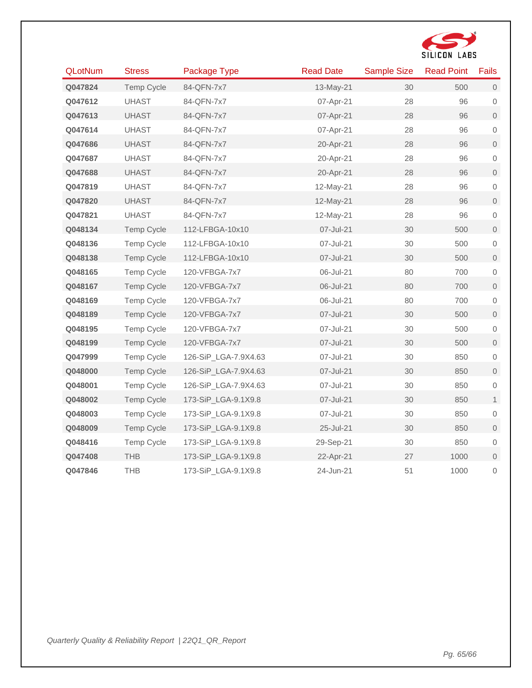![](_page_64_Picture_0.jpeg)

| <b>QLotNum</b> | <b>Stress</b>     | Package Type         | <b>Read Date</b> | <b>Sample Size</b> | <b>Read Point</b> | <b>Fails</b>        |
|----------------|-------------------|----------------------|------------------|--------------------|-------------------|---------------------|
| Q047824        | Temp Cycle        | 84-QFN-7x7           | 13-May-21        | 30                 | 500               | $\mathsf{O}\xspace$ |
| Q047612        | <b>UHAST</b>      | 84-QFN-7x7           | 07-Apr-21        | 28                 | 96                | $\mathbf 0$         |
| Q047613        | <b>UHAST</b>      | 84-QFN-7x7           | 07-Apr-21        | 28                 | 96                | $\mathsf{O}\xspace$ |
| Q047614        | <b>UHAST</b>      | 84-QFN-7x7           | 07-Apr-21        | 28                 | 96                | $\mathbf 0$         |
| Q047686        | <b>UHAST</b>      | 84-QFN-7x7           | 20-Apr-21        | 28                 | 96                | $\mathsf{O}\xspace$ |
| Q047687        | <b>UHAST</b>      | 84-QFN-7x7           | 20-Apr-21        | 28                 | 96                | $\mathbf 0$         |
| Q047688        | <b>UHAST</b>      | 84-QFN-7x7           | 20-Apr-21        | 28                 | 96                | $\mathsf{O}\xspace$ |
| Q047819        | <b>UHAST</b>      | 84-QFN-7x7           | 12-May-21        | 28                 | 96                | $\mathbf 0$         |
| Q047820        | <b>UHAST</b>      | 84-QFN-7x7           | 12-May-21        | 28                 | 96                | $\mathbf{0}$        |
| Q047821        | <b>UHAST</b>      | 84-QFN-7x7           | 12-May-21        | 28                 | 96                | $\mathbf 0$         |
| Q048134        | <b>Temp Cycle</b> | 112-LFBGA-10x10      | 07-Jul-21        | 30                 | 500               | $\mathsf{O}\xspace$ |
| Q048136        | Temp Cycle        | 112-LFBGA-10x10      | 07-Jul-21        | 30                 | 500               | $\mathbf 0$         |
| Q048138        | <b>Temp Cycle</b> | 112-LFBGA-10x10      | 07-Jul-21        | 30                 | 500               | $\mathbf{O}$        |
| Q048165        | <b>Temp Cycle</b> | 120-VFBGA-7x7        | 06-Jul-21        | 80                 | 700               | $\mathbf 0$         |
| Q048167        | Temp Cycle        | 120-VFBGA-7x7        | 06-Jul-21        | 80                 | 700               | $\mathsf{O}\xspace$ |
| Q048169        | <b>Temp Cycle</b> | 120-VFBGA-7x7        | 06-Jul-21        | 80                 | 700               | $\mathbf 0$         |
| Q048189        | Temp Cycle        | 120-VFBGA-7x7        | 07-Jul-21        | 30                 | 500               | $\mathsf{O}\xspace$ |
| Q048195        | <b>Temp Cycle</b> | 120-VFBGA-7x7        | 07-Jul-21        | 30                 | 500               | $\mathbf 0$         |
| Q048199        | <b>Temp Cycle</b> | 120-VFBGA-7x7        | 07-Jul-21        | 30                 | 500               | $\mathsf{O}\xspace$ |
| Q047999        | <b>Temp Cycle</b> | 126-SiP_LGA-7.9X4.63 | 07-Jul-21        | 30                 | 850               | $\mathbf 0$         |
| Q048000        | <b>Temp Cycle</b> | 126-SiP_LGA-7.9X4.63 | 07-Jul-21        | 30                 | 850               | $\mathsf{O}\xspace$ |
| Q048001        | <b>Temp Cycle</b> | 126-SiP_LGA-7.9X4.63 | 07-Jul-21        | 30                 | 850               | $\mathbf 0$         |
| Q048002        | <b>Temp Cycle</b> | 173-SiP_LGA-9.1X9.8  | 07-Jul-21        | 30                 | 850               | $\mathbf{1}$        |
| Q048003        | Temp Cycle        | 173-SiP_LGA-9.1X9.8  | 07-Jul-21        | 30                 | 850               | $\mathbf 0$         |
| Q048009        | Temp Cycle        | 173-SiP_LGA-9.1X9.8  | 25-Jul-21        | 30                 | 850               | $\mathsf{O}\xspace$ |
| Q048416        | Temp Cycle        | 173-SiP_LGA-9.1X9.8  | 29-Sep-21        | 30                 | 850               | $\mathbf 0$         |
| Q047408        | <b>THB</b>        | 173-SiP_LGA-9.1X9.8  | 22-Apr-21        | 27                 | 1000              | $\mathsf{O}\xspace$ |
| Q047846        | <b>THB</b>        | 173-SiP_LGA-9.1X9.8  | 24-Jun-21        | 51                 | 1000              | 0                   |